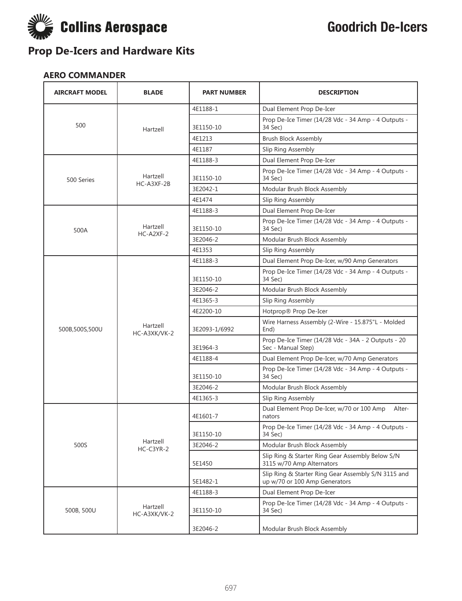

### **AERO COMMANDER**

| <b>AIRCRAFT MODEL</b> | <b>BLADE</b>             | <b>PART NUMBER</b> | <b>DESCRIPTION</b>                                                                   |
|-----------------------|--------------------------|--------------------|--------------------------------------------------------------------------------------|
|                       |                          | 4E1188-1           | Dual Element Prop De-Icer                                                            |
| 500                   | Hartzell                 | 3E1150-10          | Prop De-Ice Timer (14/28 Vdc - 34 Amp - 4 Outputs -<br>34 Sec)                       |
|                       |                          | 4E1213             | <b>Brush Block Assembly</b>                                                          |
|                       |                          | 4E1187             | Slip Ring Assembly                                                                   |
|                       |                          | 4E1188-3           | Dual Element Prop De-Icer                                                            |
| 500 Series            | Hartzell<br>HC-A3XF-2B   | 3E1150-10          | Prop De-Ice Timer (14/28 Vdc - 34 Amp - 4 Outputs -<br>34 Sec)                       |
|                       |                          | 3E2042-1           | Modular Brush Block Assembly                                                         |
|                       |                          | 4E1474             | Slip Ring Assembly                                                                   |
|                       |                          | 4E1188-3           | Dual Element Prop De-Icer                                                            |
| 500A                  | Hartzell<br>$HC-A2XF-2$  | 3E1150-10          | Prop De-Ice Timer (14/28 Vdc - 34 Amp - 4 Outputs -<br>34 Sec)                       |
|                       |                          | 3E2046-2           | Modular Brush Block Assembly                                                         |
|                       |                          | 4E1353             | Slip Ring Assembly                                                                   |
|                       |                          | 4E1188-3           | Dual Element Prop De-Icer, w/90 Amp Generators                                       |
|                       |                          | 3E1150-10          | Prop De-Ice Timer (14/28 Vdc - 34 Amp - 4 Outputs -<br>34 Sec)                       |
|                       |                          | 3E2046-2           | Modular Brush Block Assembly                                                         |
|                       |                          | 4E1365-3           | Slip Ring Assembly                                                                   |
|                       |                          | 4E2200-10          | Hotprop® Prop De-Icer                                                                |
| 500B,500S,500U        | Hartzell<br>HC-A3XK/VK-2 | 3E2093-1/6992      | Wire Harness Assembly (2-Wire - 15.875"L - Molded<br>End)                            |
|                       |                          | 3E1964-3           | Prop De-Ice Timer (14/28 Vdc - 34A - 2 Outputs - 20<br>Sec - Manual Step)            |
|                       |                          | 4E1188-4           | Dual Element Prop De-Icer, w/70 Amp Generators                                       |
|                       |                          | 3E1150-10          | Prop De-Ice Timer (14/28 Vdc - 34 Amp - 4 Outputs -<br>34 Sec)                       |
|                       |                          | 3E2046-2           | Modular Brush Block Assembly                                                         |
|                       |                          | 4E1365-3           | Slip Ring Assembly                                                                   |
|                       |                          | 4E1601-7           | Dual Element Prop De-Icer, w/70 or 100 Amp<br>Alter-<br>nators                       |
|                       |                          | 3E1150-10          | Prop De-Ice Timer (14/28 Vdc - 34 Amp - 4 Outputs -<br>34 Sec)                       |
| 500S                  | Hartzell<br>HC-C3YR-2    | 3E2046-2           | Modular Brush Block Assembly                                                         |
|                       |                          | 5E1450             | Slip Ring & Starter Ring Gear Assembly Below S/N<br>3115 w/70 Amp Alternators        |
|                       |                          | 5E1482-1           | Slip Ring & Starter Ring Gear Assembly S/N 3115 and<br>up w/70 or 100 Amp Generators |
|                       |                          | 4E1188-3           | Dual Element Prop De-Icer                                                            |
| 500B, 500U            | Hartzell<br>HC-A3XK/VK-2 | 3E1150-10          | Prop De-Ice Timer (14/28 Vdc - 34 Amp - 4 Outputs -<br>34 Sec)                       |
|                       |                          | 3E2046-2           | Modular Brush Block Assembly                                                         |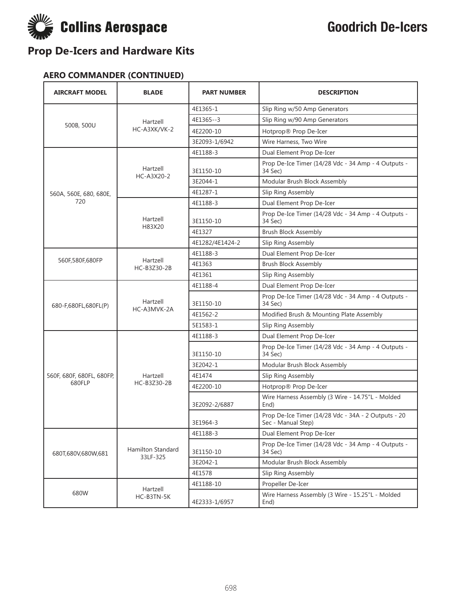

#### **AERO COMMANDER (CONTINUED)**

| <b>AIRCRAFT MODEL</b>     | <b>BLADE</b>                  | <b>PART NUMBER</b> | <b>DESCRIPTION</b>                                                        |
|---------------------------|-------------------------------|--------------------|---------------------------------------------------------------------------|
|                           |                               | 4E1365-1           | Slip Ring w/50 Amp Generators                                             |
|                           | Hartzell                      | 4E1365--3          | Slip Ring w/90 Amp Generators                                             |
| 500B, 500U                | HC-A3XK/VK-2                  | 4E2200-10          | Hotprop® Prop De-Icer                                                     |
|                           |                               | 3E2093-1/6942      | Wire Harness, Two Wire                                                    |
|                           |                               | 4E1188-3           | Dual Element Prop De-Icer                                                 |
|                           | Hartzell<br>HC-A3X20-2        | 3E1150-10          | Prop De-Ice Timer (14/28 Vdc - 34 Amp - 4 Outputs -<br>34 Sec)            |
|                           |                               | 3E2044-1           | Modular Brush Block Assembly                                              |
| 560A, 560E, 680, 680E,    |                               | 4E1287-1           | Slip Ring Assembly                                                        |
| 720                       |                               | 4E1188-3           | Dual Element Prop De-Icer                                                 |
|                           | Hartzell<br>H83X20            | 3E1150-10          | Prop De-Ice Timer (14/28 Vdc - 34 Amp - 4 Outputs -<br>34 Sec)            |
|                           |                               | 4E1327             | <b>Brush Block Assembly</b>                                               |
|                           |                               | 4E1282/4E1424-2    | Slip Ring Assembly                                                        |
|                           |                               | 4E1188-3           | Dual Element Prop De-Icer                                                 |
| 560F,580F,680FP           | Hartzell<br>HC-B3Z30-2B       | 4E1363             | <b>Brush Block Assembly</b>                                               |
|                           |                               | 4E1361             | Slip Ring Assembly                                                        |
|                           | Hartzell<br>HC-A3MVK-2A       | 4E1188-4           | Dual Element Prop De-Icer                                                 |
| 680-F,680FL,680FL(P)      |                               | 3E1150-10          | Prop De-Ice Timer (14/28 Vdc - 34 Amp - 4 Outputs -<br>34 Sec)            |
|                           |                               | 4E1562-2           | Modified Brush & Mounting Plate Assembly                                  |
|                           |                               | 5E1583-1           | Slip Ring Assembly                                                        |
|                           |                               | 4E1188-3           | Dual Element Prop De-Icer                                                 |
|                           |                               | 3E1150-10          | Prop De-Ice Timer (14/28 Vdc - 34 Amp - 4 Outputs -<br>34 Sec)            |
|                           |                               | 3E2042-1           | Modular Brush Block Assembly                                              |
| 560F, 680F, 680FL, 680FP, | Hartzell                      | 4E1474             | Slip Ring Assembly                                                        |
| 680FLP                    | HC-B3Z30-2B                   | 4E2200-10          | Hotprop® Prop De-Icer                                                     |
|                           |                               | 3E2092-2/6887      | Wire Harness Assembly (3 Wire - 14.75"L - Molded<br>End)                  |
|                           |                               | 3E1964-3           | Prop De-Ice Timer (14/28 Vdc - 34A - 2 Outputs - 20<br>Sec - Manual Step) |
|                           |                               | 4E1188-3           | Dual Element Prop De-Icer                                                 |
| 680T,680V,680W,681        | Hamilton Standard<br>33LF-325 | 3E1150-10          | Prop De-Ice Timer (14/28 Vdc - 34 Amp - 4 Outputs -<br>34 Sec)            |
|                           |                               | 3E2042-1           | Modular Brush Block Assembly                                              |
|                           |                               | 4E1578             | Slip Ring Assembly                                                        |
|                           | Hartzell                      | 4E1188-10          | Propeller De-Icer                                                         |
| 680W                      | HC-B3TN-5K                    | 4E2333-1/6957      | Wire Harness Assembly (3 Wire - 15.25"L - Molded<br>End)                  |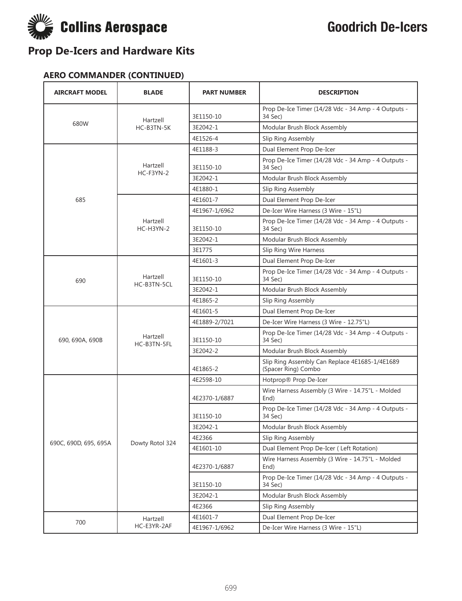

#### **AERO COMMANDER (CONTINUED)**

| <b>AIRCRAFT MODEL</b> | <b>BLADE</b>            | <b>PART NUMBER</b> | <b>DESCRIPTION</b>                                                    |
|-----------------------|-------------------------|--------------------|-----------------------------------------------------------------------|
|                       | Hartzell                | 3E1150-10          | Prop De-Ice Timer (14/28 Vdc - 34 Amp - 4 Outputs -<br>34 Sec)        |
| 680W                  | HC-B3TN-5K              | 3E2042-1           | Modular Brush Block Assembly                                          |
|                       |                         | 4E1526-4           | Slip Ring Assembly                                                    |
|                       |                         | 4E1188-3           | Dual Element Prop De-Icer                                             |
|                       | Hartzell                | 3E1150-10          | Prop De-Ice Timer (14/28 Vdc - 34 Amp - 4 Outputs -<br>34 Sec)        |
|                       | $HC-F3YN-2$             | 3E2042-1           | Modular Brush Block Assembly                                          |
|                       |                         | 4E1880-1           | Slip Ring Assembly                                                    |
| 685                   |                         | 4E1601-7           | Dual Element Prop De-Icer                                             |
|                       |                         | 4E1967-1/6962      | De-Icer Wire Harness (3 Wire - 15"L)                                  |
|                       | Hartzell<br>HC-H3YN-2   | 3E1150-10          | Prop De-Ice Timer (14/28 Vdc - 34 Amp - 4 Outputs -<br>34 Sec)        |
|                       |                         | 3E2042-1           | Modular Brush Block Assembly                                          |
|                       |                         | 3E1775             | Slip Ring Wire Harness                                                |
|                       |                         | 4E1601-3           | Dual Element Prop De-Icer                                             |
| 690                   | Hartzell<br>HC-B3TN-5CL | 3E1150-10          | Prop De-Ice Timer (14/28 Vdc - 34 Amp - 4 Outputs -<br>34 Sec)        |
|                       |                         | 3E2042-1           | Modular Brush Block Assembly                                          |
|                       |                         | 4E1865-2           | Slip Ring Assembly                                                    |
|                       |                         | 4E1601-5           | Dual Element Prop De-Icer                                             |
|                       |                         | 4E1889-2/7021      | De-Icer Wire Harness (3 Wire - 12.75"L)                               |
| 690, 690A, 690B       | Hartzell<br>HC-B3TN-5FL | 3E1150-10          | Prop De-Ice Timer (14/28 Vdc - 34 Amp - 4 Outputs -<br>34 Sec)        |
|                       |                         | 3E2042-2           | Modular Brush Block Assembly                                          |
|                       |                         | 4E1865-2           | Slip Ring Assembly Can Replace 4E1685-1/4E1689<br>(Spacer Ring) Combo |
|                       |                         | 4E2598-10          | Hotprop® Prop De-Icer                                                 |
|                       |                         | 4E2370-1/6887      | Wire Harness Assembly (3 Wire - 14.75"L - Molded<br>End)              |
|                       |                         | 3E1150-10          | Prop De-Ice Timer (14/28 Vdc - 34 Amp - 4 Outputs -<br>34 Sec)        |
| 690C, 690D, 695, 695A |                         | 3E2042-1           | Modular Brush Block Assembly                                          |
|                       | Dowty Rotol 324         | 4E2366             | Slip Ring Assembly                                                    |
|                       |                         | 4E1601-10          | Dual Element Prop De-Icer (Left Rotation)                             |
|                       |                         | 4E2370-1/6887      | Wire Harness Assembly (3 Wire - 14.75"L - Molded<br>End)              |
|                       |                         | 3E1150-10          | Prop De-Ice Timer (14/28 Vdc - 34 Amp - 4 Outputs -<br>34 Sec)        |
|                       |                         | 3E2042-1           | Modular Brush Block Assembly                                          |
|                       |                         | 4E2366             | Slip Ring Assembly                                                    |
| 700                   | Hartzell                | 4E1601-7           | Dual Element Prop De-Icer                                             |
|                       | HC-E3YR-2AF             | 4E1967-1/6962      | De-Icer Wire Harness (3 Wire - 15"L)                                  |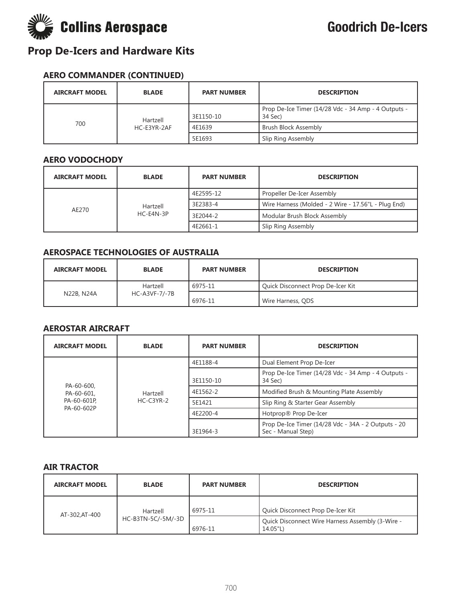

#### **AERO COMMANDER (CONTINUED)**

| <b>AIRCRAFT MODEL</b> | <b>BLADE</b>            | <b>PART NUMBER</b> | <b>DESCRIPTION</b>                                             |
|-----------------------|-------------------------|--------------------|----------------------------------------------------------------|
| 700                   | Hartzell<br>HC-E3YR-2AF | 3E1150-10          | Prop De-Ice Timer (14/28 Vdc - 34 Amp - 4 Outputs -<br>34 Sec) |
|                       |                         | 4E1639             | Brush Block Assembly                                           |
|                       |                         | 5E1693             | Slip Ring Assembly                                             |

#### **AERO VODOCHODY**

| <b>AIRCRAFT MODEL</b> | <b>BLADE</b>          | <b>PART NUMBER</b> | <b>DESCRIPTION</b>                                  |
|-----------------------|-----------------------|--------------------|-----------------------------------------------------|
| AE270                 | Hartzell<br>HC-E4N-3P | 4E2595-12          | Propeller De-Icer Assembly                          |
|                       |                       | 3E2383-4           | Wire Harness (Molded - 2 Wire - 17.56"L - Plug End) |
|                       |                       | 3E2044-2           | Modular Brush Block Assembly                        |
|                       |                       | 4E2661-1           | Slip Ring Assembly                                  |

#### **AEROSPACE TECHNOLOGIES OF AUSTRALIA**

| <b>AIRCRAFT MODEL</b> | <b>BLADE</b>  | <b>PART NUMBER</b> | <b>DESCRIPTION</b>                |
|-----------------------|---------------|--------------------|-----------------------------------|
|                       | Hartzell      | 6975-11            | Quick Disconnect Prop De-Icer Kit |
| N22B, N24A            | HC-A3VF-7/-7B | 6976-11            | Wire Harness, QDS                 |

#### **AEROSTAR AIRCRAFT**

| <b>AIRCRAFT MODEL</b>                                | <b>BLADE</b>            | <b>PART NUMBER</b> | <b>DESCRIPTION</b>                                                        |
|------------------------------------------------------|-------------------------|--------------------|---------------------------------------------------------------------------|
|                                                      | Hartzell<br>$HC-C3YR-2$ | 4E1188-4           | Dual Element Prop De-Icer                                                 |
| PA-60-600.<br>PA-60-601,<br>PA-60-601P<br>PA-60-602P |                         | 3E1150-10          | Prop De-Ice Timer (14/28 Vdc - 34 Amp - 4 Outputs -<br>34 Sec)            |
|                                                      |                         | 4E1562-2           | Modified Brush & Mounting Plate Assembly                                  |
|                                                      |                         | 5E1421             | Slip Ring & Starter Gear Assembly                                         |
|                                                      |                         | 4E2200-4           | Hotprop® Prop De-Icer                                                     |
|                                                      |                         | 3E1964-3           | Prop De-Ice Timer (14/28 Vdc - 34A - 2 Outputs - 20<br>Sec - Manual Step) |

#### **AIR TRACTOR**

| <b>AIRCRAFT MODEL</b> | <b>BLADE</b>       | <b>PART NUMBER</b> | <b>DESCRIPTION</b>                                           |
|-----------------------|--------------------|--------------------|--------------------------------------------------------------|
| AT-302, AT-400        | Hartzell           | 6975-11            | Quick Disconnect Prop De-Icer Kit                            |
|                       | HC-B3TN-5C/-5M/-3D | 6976-11            | Quick Disconnect Wire Harness Assembly (3-Wire -<br>14.05"L) |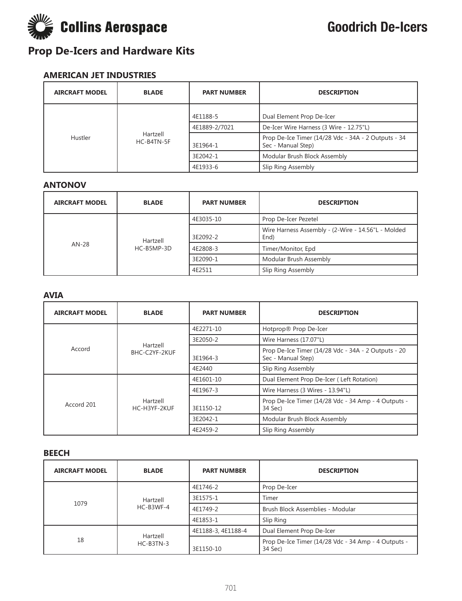

#### **AMERICAN JET INDUSTRIES**

| <b>AIRCRAFT MODEL</b> | <b>BLADE</b>           | <b>PART NUMBER</b> | <b>DESCRIPTION</b>                                                        |
|-----------------------|------------------------|--------------------|---------------------------------------------------------------------------|
| Hustler               | Hartzell<br>HC-B4TN-5F | 4E1188-5           | Dual Element Prop De-Icer                                                 |
|                       |                        | 4E1889-2/7021      | De-Icer Wire Harness (3 Wire - 12.75"L)                                   |
|                       |                        | 3E1964-1           | Prop De-Ice Timer (14/28 Vdc - 34A - 2 Outputs - 34<br>Sec - Manual Step) |
|                       |                        | 3E2042-1           | Modular Brush Block Assembly                                              |
|                       |                        | 4E1933-6           | Slip Ring Assembly                                                        |

#### **ANTONOV**

| <b>AIRCRAFT MODEL</b> | <b>BLADE</b>           | <b>PART NUMBER</b> | <b>DESCRIPTION</b>                                         |
|-----------------------|------------------------|--------------------|------------------------------------------------------------|
| $AN-28$               | Hartzell<br>HC-B5MP-3D | 4E3035-10          | Prop De-Icer Pezetel                                       |
|                       |                        | 3E2092-2           | Wire Harness Assembly - (2-Wire - 14.56"L - Molded<br>End) |
|                       |                        | 4E2808-3           | Timer/Monitor, Epd                                         |
|                       |                        | 3E2090-1           | Modular Brush Assembly                                     |
|                       |                        | 4E2511             | Slip Ring Assembly                                         |

#### **AVIA**

| <b>AIRCRAFT MODEL</b> | <b>BLADE</b>             | <b>PART NUMBER</b> | <b>DESCRIPTION</b>                                                        |
|-----------------------|--------------------------|--------------------|---------------------------------------------------------------------------|
|                       |                          | 4E2271-10          | Hotprop® Prop De-Icer                                                     |
|                       | Hartzell                 | 3E2050-2           | Wire Harness (17.07"L)                                                    |
| Accord                | BHC-C2YF-2KUF            | 3E1964-3           | Prop De-Ice Timer (14/28 Vdc - 34A - 2 Outputs - 20<br>Sec - Manual Step) |
|                       |                          | 4E2440             | Slip Ring Assembly                                                        |
| Accord 201            | Hartzell<br>HC-H3YF-2KUF | 4E1601-10          | Dual Element Prop De-Icer (Left Rotation)                                 |
|                       |                          | 4E1967-3           | Wire Harness (3 Wires - 13.94"L)                                          |
|                       |                          | 3E1150-12          | Prop De-Ice Timer (14/28 Vdc - 34 Amp - 4 Outputs -<br>34 Sec)            |
|                       |                          | 3E2042-1           | Modular Brush Block Assembly                                              |
|                       |                          | 4E2459-2           | Slip Ring Assembly                                                        |

#### **BEECH**

| <b>AIRCRAFT MODEL</b> | <b>BLADE</b>          | <b>PART NUMBER</b> | <b>DESCRIPTION</b>                                             |
|-----------------------|-----------------------|--------------------|----------------------------------------------------------------|
|                       | Hartzell<br>HC-B3WF-4 | 4E1746-2           | Prop De-Icer                                                   |
| 1079                  |                       | 3E1575-1           | Timer                                                          |
|                       |                       | 4E1749-2           | Brush Block Assemblies - Modular                               |
|                       |                       | 4E1853-1           | Slip Ring                                                      |
| 18                    | Hartzell<br>HC-B3TN-3 | 4E1188-3, 4E1188-4 | Dual Element Prop De-Icer                                      |
|                       |                       | 3E1150-10          | Prop De-Ice Timer (14/28 Vdc - 34 Amp - 4 Outputs -<br>34 Sec) |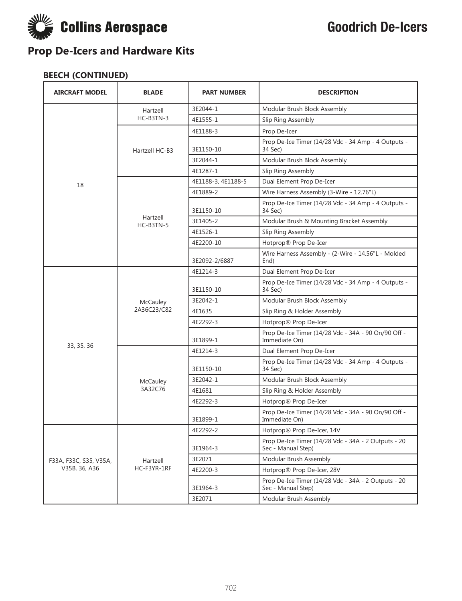

| <b>AIRCRAFT MODEL</b>  | <b>BLADE</b>            | <b>PART NUMBER</b> | <b>DESCRIPTION</b>                                                        |
|------------------------|-------------------------|--------------------|---------------------------------------------------------------------------|
|                        | Hartzell                | 3E2044-1           | Modular Brush Block Assembly                                              |
|                        | HC-B3TN-3               | 4E1555-1           | Slip Ring Assembly                                                        |
|                        |                         | 4E1188-3           | Prop De-Icer                                                              |
|                        | Hartzell HC-B3          | 3E1150-10          | Prop De-Ice Timer (14/28 Vdc - 34 Amp - 4 Outputs -<br>34 Sec)            |
|                        |                         | 3E2044-1           | Modular Brush Block Assembly                                              |
|                        |                         | 4E1287-1           | Slip Ring Assembly                                                        |
| 18                     |                         | 4E1188-3, 4E1188-5 | Dual Element Prop De-Icer                                                 |
|                        |                         | 4E1889-2           | Wire Harness Assembly (3-Wire - 12.76"L)                                  |
|                        |                         | 3E1150-10          | Prop De-Ice Timer (14/28 Vdc - 34 Amp - 4 Outputs -<br>34 Sec)            |
|                        | Hartzell<br>HC-B3TN-5   | 3E1405-2           | Modular Brush & Mounting Bracket Assembly                                 |
|                        |                         | 4E1526-1           | Slip Ring Assembly                                                        |
|                        |                         | 4E2200-10          | Hotprop® Prop De-Icer                                                     |
|                        |                         | 3E2092-2/6887      | Wire Harness Assembly - (2-Wire - 14.56"L - Molded<br>End)                |
|                        | McCauley<br>2A36C23/C82 | 4E1214-3           | Dual Element Prop De-Icer                                                 |
|                        |                         | 3E1150-10          | Prop De-Ice Timer (14/28 Vdc - 34 Amp - 4 Outputs -<br>34 Sec)            |
|                        |                         | 3E2042-1           | Modular Brush Block Assembly                                              |
|                        |                         | 4E1635             | Slip Ring & Holder Assembly                                               |
|                        |                         | 4E2292-3           | Hotprop® Prop De-Icer                                                     |
| 33, 35, 36             |                         | 3E1899-1           | Prop De-Ice Timer (14/28 Vdc - 34A - 90 On/90 Off -<br>Immediate On)      |
|                        |                         | 4E1214-3           | Dual Element Prop De-Icer                                                 |
|                        |                         | 3E1150-10          | Prop De-Ice Timer (14/28 Vdc - 34 Amp - 4 Outputs -<br>34 Sec)            |
|                        | McCauley                | 3E2042-1           | Modular Brush Block Assembly                                              |
|                        | 3A32C76                 | 4E1681             | Slip Ring & Holder Assembly                                               |
|                        |                         | 4E2292-3           | Hotprop® Prop De-Icer                                                     |
|                        |                         | 3E1899-1           | Prop De-Ice Timer (14/28 Vdc - 34A - 90 On/90 Off -<br>Immediate On)      |
|                        |                         | 4E2292-2           | Hotprop® Prop De-Icer, 14V                                                |
|                        |                         | 3E1964-3           | Prop De-Ice Timer (14/28 Vdc - 34A - 2 Outputs - 20<br>Sec - Manual Step) |
| F33A, F33C, S35, V35A, | Hartzell                | 3E2071             | Modular Brush Assembly                                                    |
| V35B, 36, A36          | HC-F3YR-1RF             | 4E2200-3           | Hotprop® Prop De-Icer, 28V                                                |
|                        |                         | 3E1964-3           | Prop De-Ice Timer (14/28 Vdc - 34A - 2 Outputs - 20<br>Sec - Manual Step) |
|                        |                         | 3E2071             | Modular Brush Assembly                                                    |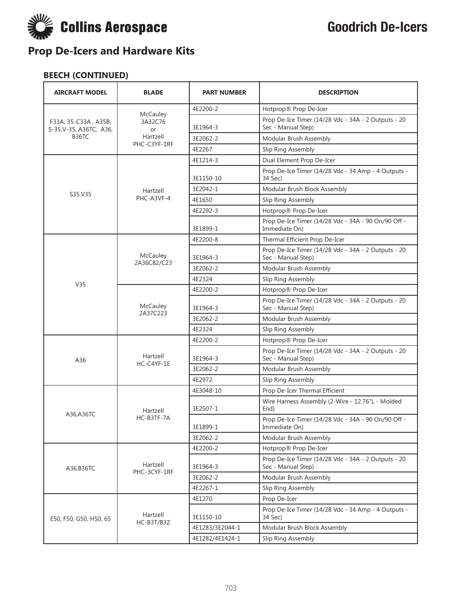

| <b>AIRCRAFT MODEL</b>                           | <b>BLADE</b>              | <b>PART NUMBER</b> | <b>DESCRIPTION</b>                                                        |
|-------------------------------------------------|---------------------------|--------------------|---------------------------------------------------------------------------|
|                                                 |                           | 4E2200-2           | Hotprop® Prop De-Icer                                                     |
| F33A, 35-C33A, A35B,<br>S-35, V-35, A36TC, A36, | McCauley<br>3A32C76<br>or | 3E1964-3           | Prop De-Ice Timer (14/28 Vdc - 34A - 2 Outputs - 20<br>Sec - Manual Step) |
| <b>B36TC</b>                                    | Hartzell                  | 3E2062-2           | Modular Brush Assembly                                                    |
|                                                 | PHC-C3YF-1RF              | 4E2267             | Slip Ring Assembly                                                        |
|                                                 |                           | 4E1214-3           | Dual Element Prop De-Icer                                                 |
|                                                 |                           | 3E1150-10          | Prop De-Ice Timer (14/28 Vdc - 34 Amp - 4 Outputs -<br>34 Sec)            |
|                                                 | Hartzell                  | 3E2042-1           | Modular Brush Block Assembly                                              |
| S35, V35                                        | PHC-A3VF-4                | 4E1650             | Slip Ring Assembly                                                        |
|                                                 |                           | 4E2292-3           | Hotprop® Prop De-Icer                                                     |
|                                                 |                           | 3E1899-1           | Prop De-Ice Timer (14/28 Vdc - 34A - 90 On/90 Off -<br>Immediate On)      |
|                                                 |                           | 4E2200-8           | Thermal Efficient Prop De-Icer                                            |
|                                                 | McCauley<br>2A36C82/C23   | 3E1964-3           | Prop De-Ice Timer (14/28 Vdc - 34A - 2 Outputs - 20<br>Sec - Manual Step) |
|                                                 |                           | 3E2062-2           | Modular Brush Assembly                                                    |
|                                                 |                           | 4E2324             | Slip Ring Assembly                                                        |
| V35                                             | McCauley<br>2A37C223      | 4E2200-2           | Hotprop® Prop De-Icer                                                     |
|                                                 |                           | 3E1964-3           | Prop De-Ice Timer (14/28 Vdc - 34A - 2 Outputs - 20<br>Sec - Manual Step) |
|                                                 |                           | 3E2062-2           | Modular Brush Assembly                                                    |
|                                                 |                           | 4E2324             | Slip Ring Assembly                                                        |
|                                                 |                           | 4E2200-2           | Hotprop® Prop De-Icer                                                     |
| A36                                             | Hartzell                  | 3E1964-3           | Prop De-Ice Timer (14/28 Vdc - 34A - 2 Outputs - 20<br>Sec - Manual Step) |
|                                                 | HC-C4YF-1E                | 3E2062-2           | Modular Brush Assembly                                                    |
|                                                 |                           | 4E2972             | Slip Ring Assembly                                                        |
|                                                 |                           | 4E3048-10          | Prop De-Icer Thermal Efficient                                            |
| A36,A36TC                                       | Hartzell                  | 3E2507-1           | Wire Harness Assembly (2-Wire - 12.76"L - Molded<br>End)                  |
|                                                 | HC-B3TF-7A                | 3E1899-1           | Prop De-Ice Timer (14/28 Vdc - 34A - 90 On/90 Off -<br>Immediate On)      |
|                                                 |                           | 3E2062-2           | Modular Brush Assembly                                                    |
|                                                 |                           | 4E2200-2           | Hotprop® Prop De-Icer                                                     |
| A36, B36TC                                      | Hartzell                  | 3E1964-3           | Prop De-Ice Timer (14/28 Vdc - 34A - 2 Outputs - 20<br>Sec - Manual Step) |
|                                                 | PHC-3CYF-1RF              | 3E2062-2           | Modular Brush Assembly                                                    |
|                                                 |                           | 4E2267-1           | Slip Ring Assembly                                                        |
|                                                 |                           | 4E1270             | Prop De-Icer                                                              |
| E50, F50, G50, H50, 65                          | Hartzell<br>HC-B3T/B3Z    | 3E1150-10          | Prop De-Ice Timer (14/28 Vdc - 34 Amp - 4 Outputs -<br>34 Sec)            |
|                                                 |                           | 4E1283/3E2044-1    | Modular Brush Block Assembly                                              |
|                                                 |                           | 4E1282/4E1424-1    | Slip Ring Assembly                                                        |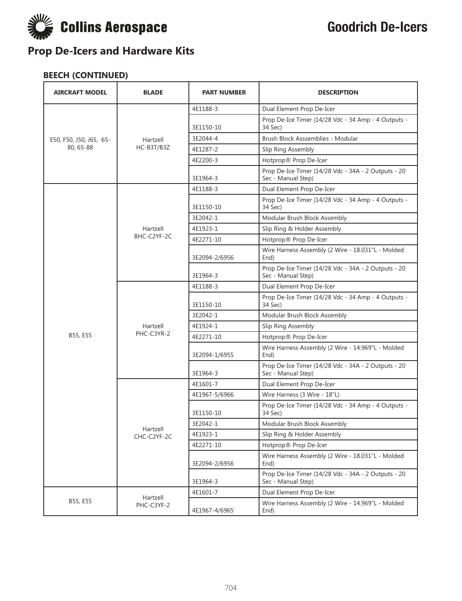

| <b>AIRCRAFT MODEL</b>   | <b>BLADE</b> | <b>PART NUMBER</b> | <b>DESCRIPTION</b>                                                        |
|-------------------------|--------------|--------------------|---------------------------------------------------------------------------|
|                         |              | 4E1188-3           | Dual Element Prop De-Icer                                                 |
|                         |              | 3E1150-10          | Prop De-Ice Timer (14/28 Vdc - 34 Amp - 4 Outputs -<br>34 Sec)            |
| E50, F50, J50, J65, 65- | Hartzell     | 3E2044-4           | Brush Block Asssemblies - Modular                                         |
| 80, 65-88               | HC-B3T/B3Z   | 4E1287-2           | Slip Ring Assembly                                                        |
|                         |              | 4E2200-3           | Hotprop® Prop De-Icer                                                     |
|                         |              | 3E1964-3           | Prop De-Ice Timer (14/28 Vdc - 34A - 2 Outputs - 20<br>Sec - Manual Step) |
|                         |              | 4E1188-3           | Dual Element Prop De-Icer                                                 |
|                         |              | 3E1150-10          | Prop De-Ice Timer (14/28 Vdc - 34 Amp - 4 Outputs -<br>34 Sec)            |
|                         |              | 3E2042-1           | Modular Brush Block Assembly                                              |
|                         | Hartzell     | 4E1923-1           | Slip Ring & Holder Assembly                                               |
|                         | BHC-C2YF-2C  | 4E2271-10          | Hotprop® Prop De-Icer                                                     |
|                         |              | 3E2094-2/6956      | Wire Harness Assembly (2 Wire - 18.031"L - Molded<br>End)                 |
|                         |              | 3E1964-3           | Prop De-Ice Timer (14/28 Vdc - 34A - 2 Outputs - 20<br>Sec - Manual Step) |
|                         |              | 4E1188-3           | Dual Element Prop De-Icer                                                 |
|                         |              | 3E1150-10          | Prop De-Ice Timer (14/28 Vdc - 34 Amp - 4 Outputs -<br>34 Sec)            |
|                         |              | 3E2042-1           | Modular Brush Block Assembly                                              |
|                         | Hartzell     | 4E1924-1           | Slip Ring Assembly                                                        |
| B55, E55                | PHC-C3YR-2   | 4E2271-10          | Hotprop® Prop De-Icer                                                     |
|                         |              | 3E2094-1/6955      | Wire Harness Assembly (2 Wire - 14.969"L - Molded<br>End)                 |
|                         |              | 3E1964-3           | Prop De-Ice Timer (14/28 Vdc - 34A - 2 Outputs - 20<br>Sec - Manual Step) |
|                         |              | 4E1601-7           | Dual Element Prop De-Icer                                                 |
|                         |              | 4E1967-5/6966      | Wire Harness (3 Wire - 18"L)                                              |
|                         |              | 3E1150-10          | Prop De-Ice Timer (14/28 Vdc - 34 Amp - 4 Outputs -<br>34 Sec)            |
|                         | Hartzell     | 3E2042-1           | Modular Brush Block Assembly                                              |
|                         | CHC-C2YF-2C  | 4E1923-1           | Slip Ring & Holder Assembly                                               |
|                         |              | 4E2271-10          | Hotprop® Prop De-Icer                                                     |
|                         |              | 3E2094-2/6956      | Wire Harness Assembly (2 Wire - 18.031"L - Molded<br>End)                 |
|                         |              | 3E1964-3           | Prop De-Ice Timer (14/28 Vdc - 34A - 2 Outputs - 20<br>Sec - Manual Step) |
|                         | Hartzell     | 4E1601-7           | Dual Element Prop De-Icer                                                 |
| B55, E55                | PHC-C3YF-2   | 4E1967-4/6965      | Wire Harness Assembly (2 Wire - 14.969"L - Molded<br>End)                 |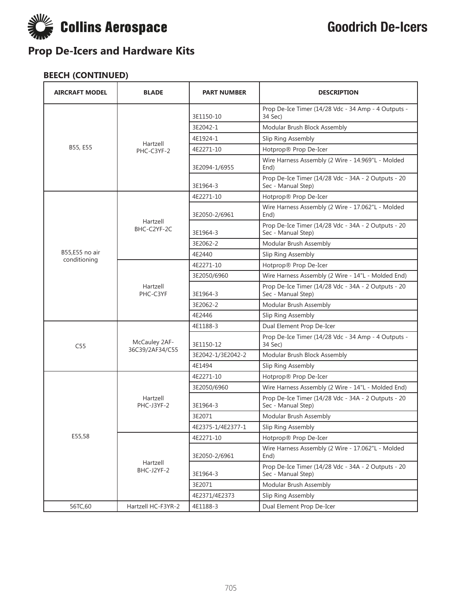

| <b>AIRCRAFT MODEL</b>          | <b>BLADE</b>            | <b>PART NUMBER</b> | <b>DESCRIPTION</b>                                                        |
|--------------------------------|-------------------------|--------------------|---------------------------------------------------------------------------|
|                                |                         | 3E1150-10          | Prop De-Ice Timer (14/28 Vdc - 34 Amp - 4 Outputs -<br>34 Sec)            |
|                                |                         | 3E2042-1           | Modular Brush Block Assembly                                              |
|                                |                         | 4E1924-1           | Slip Ring Assembly                                                        |
| B55, E55                       | Hartzell<br>PHC-C3YF-2  | 4E2271-10          | Hotprop® Prop De-Icer                                                     |
|                                |                         | 3E2094-1/6955      | Wire Harness Assembly (2 Wire - 14.969"L - Molded<br>End)                 |
|                                |                         | 3E1964-3           | Prop De-Ice Timer (14/28 Vdc - 34A - 2 Outputs - 20<br>Sec - Manual Step) |
|                                |                         | 4E2271-10          | Hotprop® Prop De-Icer                                                     |
|                                |                         | 3E2050-2/6961      | Wire Harness Assembly (2 Wire - 17.062"L - Molded<br>End)                 |
|                                | Hartzell<br>BHC-C2YF-2C | 3E1964-3           | Prop De-Ice Timer (14/28 Vdc - 34A - 2 Outputs - 20<br>Sec - Manual Step) |
|                                |                         | 3E2062-2           | Modular Brush Assembly                                                    |
| B55,E55 no air<br>conditioning |                         | 4E2440             | Slip Ring Assembly                                                        |
|                                | Hartzell<br>PHC-C3YF    | 4E2271-10          | Hotprop® Prop De-Icer                                                     |
|                                |                         | 3E2050/6960        | Wire Harness Assembly (2 Wire - 14"L - Molded End)                        |
|                                |                         | 3E1964-3           | Prop De-Ice Timer (14/28 Vdc - 34A - 2 Outputs - 20<br>Sec - Manual Step) |
|                                |                         | 3E2062-2           | Modular Brush Assembly                                                    |
|                                |                         | 4E2446             | Slip Ring Assembly                                                        |
|                                |                         | 4E1188-3           | Dual Element Prop De-Icer                                                 |
| C55                            | McCauley 2AF-           | 3E1150-12          | Prop De-Ice Timer (14/28 Vdc - 34 Amp - 4 Outputs -<br>34 Sec)            |
|                                | 36C39/2AF34/C55         | 3E2042-1/3E2042-2  | Modular Brush Block Assembly                                              |
|                                |                         | 4E1494             | Slip Ring Assembly                                                        |
|                                |                         | 4E2271-10          | Hotprop® Prop De-Icer                                                     |
|                                |                         | 3E2050/6960        | Wire Harness Assembly (2 Wire - 14"L - Molded End)                        |
|                                | Hartzell<br>PHC-J3YF-2  | 3E1964-3           | Prop De-Ice Timer (14/28 Vdc - 34A - 2 Outputs - 20<br>Sec - Manual Step) |
|                                |                         | 3E2071             | Modular Brush Assembly                                                    |
| E55,58                         |                         | 4E2375-1/4E2377-1  | Slip Ring Assembly                                                        |
|                                |                         | 4E2271-10          | Hotprop® Prop De-Icer                                                     |
|                                |                         | 3E2050-2/6961      | Wire Harness Assembly (2 Wire - 17.062"L - Molded<br>End)                 |
|                                | Hartzell<br>BHC-J2YF-2  | 3E1964-3           | Prop De-Ice Timer (14/28 Vdc - 34A - 2 Outputs - 20<br>Sec - Manual Step) |
|                                |                         | 3E2071             | Modular Brush Assembly                                                    |
|                                |                         | 4E2371/4E2373      | Slip Ring Assembly                                                        |
| 56TC,60                        | Hartzell HC-F3YR-2      | 4E1188-3           | Dual Element Prop De-Icer                                                 |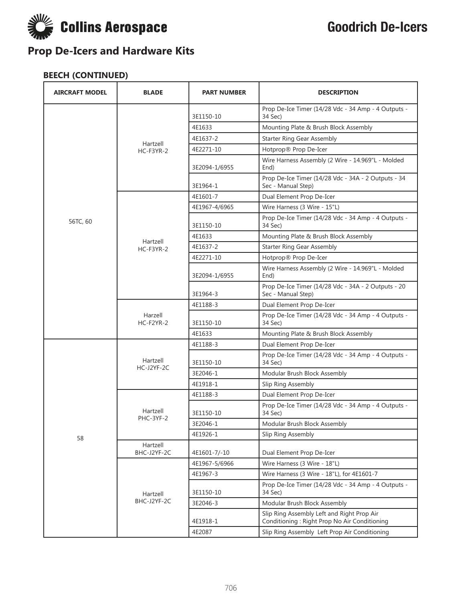

| <b>AIRCRAFT MODEL</b> | <b>BLADE</b>            | <b>PART NUMBER</b> | <b>DESCRIPTION</b>                                                                         |
|-----------------------|-------------------------|--------------------|--------------------------------------------------------------------------------------------|
|                       |                         | 3E1150-10          | Prop De-Ice Timer (14/28 Vdc - 34 Amp - 4 Outputs -<br>34 Sec)                             |
|                       |                         | 4E1633             | Mounting Plate & Brush Block Assembly                                                      |
|                       | Hartzell                | 4E1637-2           | <b>Starter Ring Gear Assembly</b>                                                          |
|                       | $HC-F3YR-2$             | 4E2271-10          | Hotprop® Prop De-Icer                                                                      |
|                       |                         | 3E2094-1/6955      | Wire Harness Assembly (2 Wire - 14.969"L - Molded<br>End)                                  |
|                       |                         | 3E1964-1           | Prop De-Ice Timer (14/28 Vdc - 34A - 2 Outputs - 34<br>Sec - Manual Step)                  |
|                       |                         | 4E1601-7           | Dual Element Prop De-Icer                                                                  |
|                       |                         | 4E1967-4/6965      | Wire Harness (3 Wire - 15"L)                                                               |
| 56TC, 60              |                         | 3E1150-10          | Prop De-Ice Timer (14/28 Vdc - 34 Amp - 4 Outputs -<br>34 Sec)                             |
|                       | Hartzell                | 4E1633             | Mounting Plate & Brush Block Assembly                                                      |
|                       | $HC-F3YR-2$             | 4E1637-2           | <b>Starter Ring Gear Assembly</b>                                                          |
|                       |                         | 4E2271-10          | Hotprop® Prop De-Icer                                                                      |
|                       |                         | 3E2094-1/6955      | Wire Harness Assembly (2 Wire - 14.969"L - Molded<br>End)                                  |
|                       |                         | 3E1964-3           | Prop De-Ice Timer (14/28 Vdc - 34A - 2 Outputs - 20<br>Sec - Manual Step)                  |
|                       | Harzell<br>$HC-F2YR-2$  | 4E1188-3           | Dual Element Prop De-Icer                                                                  |
|                       |                         | 3E1150-10          | Prop De-Ice Timer (14/28 Vdc - 34 Amp - 4 Outputs -<br>34 Sec)                             |
|                       |                         | 4E1633             | Mounting Plate & Brush Block Assembly                                                      |
|                       |                         | 4E1188-3           | Dual Element Prop De-Icer                                                                  |
|                       | Hartzell                | 3E1150-10          | Prop De-Ice Timer (14/28 Vdc - 34 Amp - 4 Outputs -<br>34 Sec)                             |
|                       | HC-J2YF-2C              | 3E2046-1           | Modular Brush Block Assembly                                                               |
|                       |                         | 4E1918-1           | Slip Ring Assembly                                                                         |
|                       |                         | 4E1188-3           | Dual Element Prop De-Icer                                                                  |
|                       | Hartzell<br>PHC-3YF-2   | 3E1150-10          | Prop De-Ice Timer (14/28 Vdc - 34 Amp - 4 Outputs -<br>34 Sec)                             |
|                       |                         | 3E2046-1           | Modular Brush Block Assembly                                                               |
| 58                    |                         | 4E1926-1           | Slip Ring Assembly                                                                         |
|                       | Hartzell<br>BHC-J2YF-2C | 4E1601-7/-10       | Dual Element Prop De-Icer                                                                  |
|                       |                         | 4E1967-5/6966      | Wire Harness (3 Wire - 18"L)                                                               |
|                       |                         | 4E1967-3           | Wire Harness (3 Wire - 18"L), for 4E1601-7                                                 |
|                       | Hartzell                | 3E1150-10          | Prop De-Ice Timer (14/28 Vdc - 34 Amp - 4 Outputs -<br>34 Sec)                             |
|                       | BHC-J2YF-2C             | 3E2046-3           | Modular Brush Block Assembly                                                               |
|                       |                         | 4E1918-1           | Slip Ring Assembly Left and Right Prop Air<br>Conditioning: Right Prop No Air Conditioning |
|                       |                         | 4E2087             | Slip Ring Assembly Left Prop Air Conditioning                                              |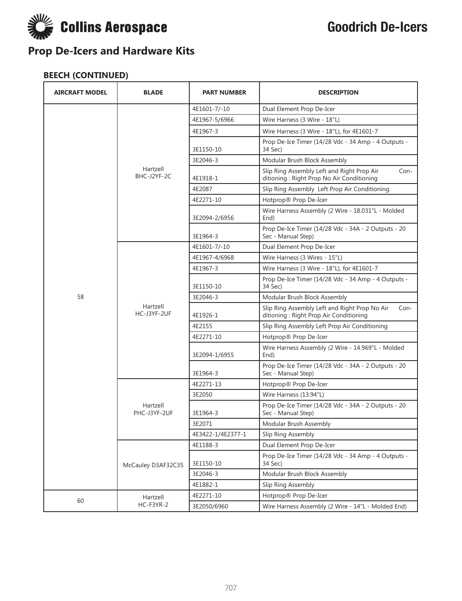

| <b>AIRCRAFT MODEL</b> | <b>BLADE</b>             | <b>PART NUMBER</b> | <b>DESCRIPTION</b>                                                                               |
|-----------------------|--------------------------|--------------------|--------------------------------------------------------------------------------------------------|
|                       |                          | 4E1601-7/-10       | Dual Element Prop De-Icer                                                                        |
|                       |                          | 4E1967-5/6966      | Wire Harness (3 Wire - 18"L)                                                                     |
|                       |                          | 4E1967-3           | Wire Harness (3 Wire - 18"L), for 4E1601-7                                                       |
|                       |                          | 3E1150-10          | Prop De-Ice Timer (14/28 Vdc - 34 Amp - 4 Outputs -<br>34 Sec)                                   |
|                       |                          | 3E2046-3           | Modular Brush Block Assembly                                                                     |
|                       | Hartzell<br>BHC-J2YF-2C  | 4E1918-1           | Slip Ring Assembly Left and Right Prop Air<br>Con-<br>ditioning : Right Prop No Air Conditioning |
|                       |                          | 4E2087             | Slip Ring Assembly Left Prop Air Conditioning                                                    |
|                       |                          | 4E2271-10          | Hotprop® Prop De-Icer                                                                            |
|                       |                          | 3E2094-2/6956      | Wire Harness Assembly (2 Wire - 18.031"L - Molded<br>End)                                        |
|                       |                          | 3E1964-3           | Prop De-Ice Timer (14/28 Vdc - 34A - 2 Outputs - 20<br>Sec - Manual Step)                        |
|                       |                          | 4E1601-7/-10       | Dual Element Prop De-Icer                                                                        |
|                       |                          | 4E1967-4/6968      | Wire Harness (3 Wires - 15"L)                                                                    |
|                       | Hartzell<br>HC-J3YF-2UF  | 4E1967-3           | Wire Harness (3 Wire - 18"L), for 4E1601-7                                                       |
|                       |                          | 3E1150-10          | Prop De-Ice Timer (14/28 Vdc - 34 Amp - 4 Outputs -<br>34 Sec)                                   |
| 58                    |                          | 3E2046-3           | Modular Brush Block Assembly                                                                     |
|                       |                          | 4E1926-1           | Slip Ring Assembly Left and Right Prop No Air<br>Con-<br>ditioning : Right Prop Air Conditioning |
|                       |                          | 4E2155             | Slip Ring Assembly Left Prop Air Conditioning                                                    |
|                       |                          | 4E2271-10          | Hotprop® Prop De-Icer                                                                            |
|                       |                          | 3E2094-1/6955      | Wire Harness Assembly (2 Wire - 14.969"L - Molded<br>End)                                        |
|                       |                          | 3E1964-3           | Prop De-Ice Timer (14/28 Vdc - 34A - 2 Outputs - 20<br>Sec - Manual Step)                        |
|                       |                          | 4E2271-13          | Hotprop® Prop De-Icer                                                                            |
|                       |                          | 3E2050             | Wire Harness (13.94"L)                                                                           |
|                       | Hartzell<br>PHC-J3YF-2UF | 3E1964-3           | Prop De-Ice Timer (14/28 Vdc - 34A - 2 Outputs - 20<br>Sec - Manual Step)                        |
|                       |                          | 3E2071             | Modular Brush Assembly                                                                           |
|                       |                          | 4E3422-1/4E2377-1  | Slip Ring Assembly                                                                               |
|                       |                          | 4E1188-3           | Dual Element Prop De-Icer                                                                        |
|                       | McCauley D3AF32C35       | 3E1150-10          | Prop De-Ice Timer (14/28 Vdc - 34 Amp - 4 Outputs -<br>34 Sec)                                   |
|                       |                          | 3E2046-3           | Modular Brush Block Assembly                                                                     |
|                       |                          | 4E1882-1           | Slip Ring Assembly                                                                               |
| 60                    | Hartzell                 | 4E2271-10          | Hotprop® Prop De-Icer                                                                            |
|                       | HC-F3YR-2                | 3E2050/6960        | Wire Harness Assembly (2 Wire - 14"L - Molded End)                                               |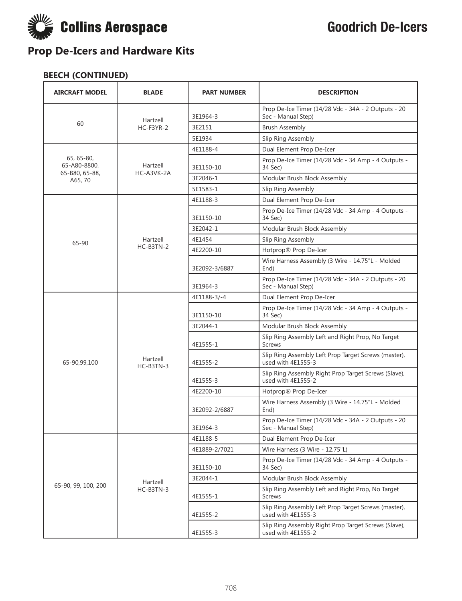

| <b>AIRCRAFT MODEL</b>      | <b>BLADE</b>           | <b>PART NUMBER</b> | <b>DESCRIPTION</b>                                                         |
|----------------------------|------------------------|--------------------|----------------------------------------------------------------------------|
|                            | Hartzell               | 3E1964-3           | Prop De-Ice Timer (14/28 Vdc - 34A - 2 Outputs - 20<br>Sec - Manual Step)  |
| 60                         | HC-F3YR-2              | 3E2151             | <b>Brush Assembly</b>                                                      |
|                            |                        | 5E1934             | Slip Ring Assembly                                                         |
|                            |                        | 4E1188-4           | Dual Element Prop De-Icer                                                  |
| 65, 65-80,<br>65-A80-8800, | Hartzell<br>HC-A3VK-2A | 3E1150-10          | Prop De-Ice Timer (14/28 Vdc - 34 Amp - 4 Outputs -<br>34 Sec)             |
| 65-B80, 65-88,<br>A65, 70  |                        | 3E2046-1           | Modular Brush Block Assembly                                               |
|                            |                        | 5E1583-1           | Slip Ring Assembly                                                         |
|                            |                        | 4E1188-3           | Dual Element Prop De-Icer                                                  |
|                            |                        | 3E1150-10          | Prop De-Ice Timer (14/28 Vdc - 34 Amp - 4 Outputs -<br>34 Sec)             |
|                            |                        | 3E2042-1           | Modular Brush Block Assembly                                               |
| 65-90                      | Hartzell               | 4E1454             | Slip Ring Assembly                                                         |
|                            | HC-B3TN-2              | 4E2200-10          | Hotprop® Prop De-Icer                                                      |
|                            |                        | 3E2092-3/6887      | Wire Harness Assembly (3 Wire - 14.75"L - Molded<br>End)                   |
|                            |                        | 3E1964-3           | Prop De-Ice Timer (14/28 Vdc - 34A - 2 Outputs - 20<br>Sec - Manual Step)  |
|                            |                        | 4E1188-3/-4        | Dual Element Prop De-Icer                                                  |
|                            |                        | 3E1150-10          | Prop De-Ice Timer (14/28 Vdc - 34 Amp - 4 Outputs -<br>34 Sec)             |
|                            |                        | 3E2044-1           | Modular Brush Block Assembly                                               |
|                            |                        | 4E1555-1           | Slip Ring Assembly Left and Right Prop, No Target<br><b>Screws</b>         |
| 65-90,99,100               | Hartzell<br>HC-B3TN-3  | 4E1555-2           | Slip Ring Assembly Left Prop Target Screws (master),<br>used with 4E1555-3 |
|                            |                        | 4E1555-3           | Slip Ring Assembly Right Prop Target Screws (Slave),<br>used with 4E1555-2 |
|                            |                        | 4E2200-10          | Hotprop® Prop De-Icer                                                      |
|                            |                        | 3E2092-2/6887      | Wire Harness Assembly (3 Wire - 14.75"L - Molded<br>End)                   |
|                            |                        | 3E1964-3           | Prop De-Ice Timer (14/28 Vdc - 34A - 2 Outputs - 20<br>Sec - Manual Step)  |
|                            |                        | 4E1188-5           | Dual Element Prop De-Icer                                                  |
|                            |                        | 4E1889-2/7021      | Wire Harness (3 Wire - 12.75"L)                                            |
|                            |                        | 3E1150-10          | Prop De-Ice Timer (14/28 Vdc - 34 Amp - 4 Outputs -<br>34 Sec)             |
|                            | Hartzell               | 3E2044-1           | Modular Brush Block Assembly                                               |
| 65-90, 99, 100, 200        | HC-B3TN-3              | 4E1555-1           | Slip Ring Assembly Left and Right Prop, No Target<br>Screws                |
|                            |                        | 4E1555-2           | Slip Ring Assembly Left Prop Target Screws (master),<br>used with 4E1555-3 |
|                            |                        | 4E1555-3           | Slip Ring Assembly Right Prop Target Screws (Slave),<br>used with 4E1555-2 |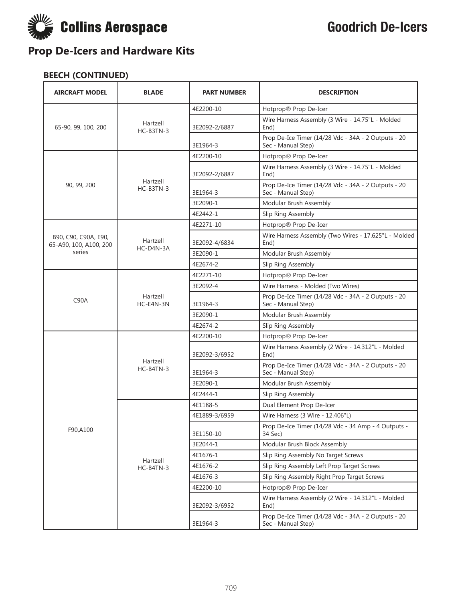

| <b>AIRCRAFT MODEL</b>                          | <b>BLADE</b>            | <b>PART NUMBER</b> | <b>DESCRIPTION</b>                                                        |
|------------------------------------------------|-------------------------|--------------------|---------------------------------------------------------------------------|
|                                                |                         | 4E2200-10          | Hotprop® Prop De-Icer                                                     |
| 65-90, 99, 100, 200                            | Hartzell<br>HC-B3TN-3   | 3E2092-2/6887      | Wire Harness Assembly (3 Wire - 14.75"L - Molded<br>End)                  |
|                                                |                         | 3E1964-3           | Prop De-Ice Timer (14/28 Vdc - 34A - 2 Outputs - 20<br>Sec - Manual Step) |
|                                                |                         | 4E2200-10          | Hotprop® Prop De-Icer                                                     |
|                                                |                         | 3E2092-2/6887      | Wire Harness Assembly (3 Wire - 14.75"L - Molded<br>End)                  |
| 90, 99, 200                                    | Hartzell<br>$HC-B3TN-3$ | 3E1964-3           | Prop De-Ice Timer (14/28 Vdc - 34A - 2 Outputs - 20<br>Sec - Manual Step) |
|                                                |                         | 3E2090-1           | Modular Brush Assembly                                                    |
|                                                |                         | 4E2442-1           | Slip Ring Assembly                                                        |
|                                                |                         | 4E2271-10          | Hotprop® Prop De-Icer                                                     |
| B90, C90, C90A, E90,<br>65-A90, 100, A100, 200 | Hartzell<br>HC-D4N-3A   | 3E2092-4/6834      | Wire Harness Assembly (Two Wires - 17.625"L - Molded<br>End)              |
| series                                         |                         | 3E2090-1           | Modular Brush Assembly                                                    |
|                                                |                         | 4E2674-2           | Slip Ring Assembly                                                        |
|                                                |                         | 4E2271-10          | Hotprop® Prop De-Icer                                                     |
|                                                | Hartzell<br>HC-E4N-3N   | 3E2092-4           | Wire Harness - Molded (Two Wires)                                         |
| C90A                                           |                         | 3E1964-3           | Prop De-Ice Timer (14/28 Vdc - 34A - 2 Outputs - 20<br>Sec - Manual Step) |
|                                                |                         | 3E2090-1           | Modular Brush Assembly                                                    |
|                                                |                         | 4E2674-2           | Slip Ring Assembly                                                        |
|                                                |                         | 4E2200-10          | Hotprop® Prop De-Icer                                                     |
|                                                |                         | 3E2092-3/6952      | Wire Harness Assembly (2 Wire - 14.312"L - Molded<br>End)                 |
|                                                | Hartzell<br>HC-B4TN-3   | 3E1964-3           | Prop De-Ice Timer (14/28 Vdc - 34A - 2 Outputs - 20<br>Sec - Manual Step) |
|                                                |                         | 3E2090-1           | Modular Brush Assembly                                                    |
|                                                |                         | 4E2444-1           | Slip Ring Assembly                                                        |
|                                                |                         | 4E1188-5           | Dual Element Prop De-Icer                                                 |
|                                                |                         | 4E1889-3/6959      | Wire Harness (3 Wire - 12.406"L)                                          |
| F90,A100                                       |                         | 3E1150-10          | Prop De-Ice Timer (14/28 Vdc - 34 Amp - 4 Outputs -<br>34 Sec)            |
|                                                |                         | 3E2044-1           | Modular Brush Block Assembly                                              |
|                                                |                         | 4E1676-1           | Slip Ring Assembly No Target Screws                                       |
|                                                | Hartzell<br>HC-B4TN-3   | 4E1676-2           | Slip Ring Assembly Left Prop Target Screws                                |
|                                                |                         | 4E1676-3           | Slip Ring Assembly Right Prop Target Screws                               |
|                                                |                         | 4E2200-10          | Hotprop® Prop De-Icer                                                     |
|                                                |                         | 3E2092-3/6952      | Wire Harness Assembly (2 Wire - 14.312"L - Molded<br>End)                 |
|                                                |                         | 3E1964-3           | Prop De-Ice Timer (14/28 Vdc - 34A - 2 Outputs - 20<br>Sec - Manual Step) |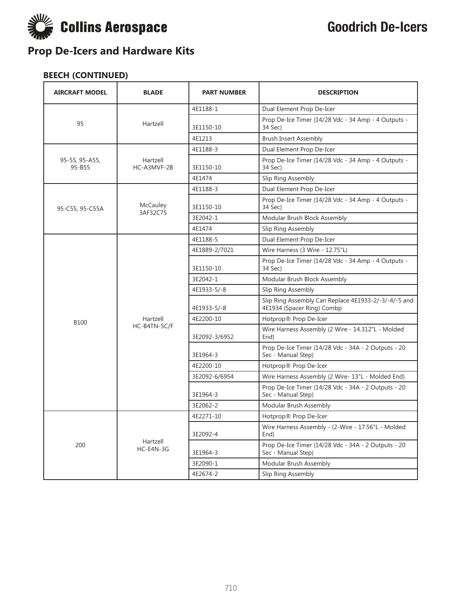

| <b>AIRCRAFT MODEL</b>    | <b>BLADE</b>            | <b>PART NUMBER</b> | <b>DESCRIPTION</b>                                                                 |
|--------------------------|-------------------------|--------------------|------------------------------------------------------------------------------------|
|                          |                         | 4E1188-1           | Dual Element Prop De-Icer                                                          |
| 95                       | Hartzell                | 3E1150-10          | Prop De-Ice Timer (14/28 Vdc - 34 Amp - 4 Outputs -<br>34 Sec)                     |
|                          |                         | 4E1213             | <b>Brush Insert Assembly</b>                                                       |
|                          |                         | 4E1188-3           | Dual Element Prop De-Icer                                                          |
| 95-55, 95-A55,<br>95-B55 | Hartzell<br>HC-A3MVF-2B | 3E1150-10          | Prop De-Ice Timer (14/28 Vdc - 34 Amp - 4 Outputs -<br>34 Sec)                     |
|                          |                         | 4E1474             | Slip Ring Assembly                                                                 |
|                          |                         | 4E1188-3           | Dual Element Prop De-Icer                                                          |
| 95-C55, 95-C55A          | McCauley<br>3AF32C75    | 3E1150-10          | Prop De-Ice Timer (14/28 Vdc - 34 Amp - 4 Outputs -<br>34 Sec)                     |
|                          |                         | 3E2042-1           | Modular Brush Block Assembly                                                       |
|                          |                         | 4E1474             | Slip Ring Assembly                                                                 |
|                          |                         | 4E1188-5           | Dual Element Prop De-Icer                                                          |
|                          |                         | 4E1889-2/7021      | Wire Harness (3 Wire - 12.75"L)                                                    |
|                          |                         | 3E1150-10          | Prop De-Ice Timer (14/28 Vdc - 34 Amp - 4 Outputs -<br>34 Sec)                     |
|                          |                         | 3E2042-1           | Modular Brush Block Assembly                                                       |
|                          |                         | 4E1933-5/-8        | Slip Ring Assembly                                                                 |
|                          |                         | 4E1933-5/-8        | Slip Ring Assembly Can Replace 4E1933-2/-3/-4/-5 and<br>4E1934 (Spacer Ring) Combp |
| <b>B100</b>              | Hartzell                | 4E2200-10          | Hotprop® Prop De-Icer                                                              |
|                          | HC-B4TN-5C/F            | 3E2092-3/6952      | Wire Harness Assembly (2 Wire - 14.312"L - Molded<br>End)                          |
|                          |                         | 3E1964-3           | Prop De-Ice Timer (14/28 Vdc - 34A - 2 Outputs - 20<br>Sec - Manual Step)          |
|                          |                         | 4E2200-10          | Hotprop® Prop De-Icer                                                              |
|                          |                         | 3E2092-6/6954      | Wire Harness Assembly (2 Wire-13"L - Molded End)                                   |
|                          |                         | 3E1964-3           | Prop De-Ice Timer (14/28 Vdc - 34A - 2 Outputs - 20<br>Sec - Manual Step)          |
|                          |                         | 3E2062-2           | Modular Brush Assembly                                                             |
|                          |                         | 4E2271-10          | Hotprop® Prop De-Icer                                                              |
|                          |                         | 3E2092-4           | Wire Harness Assembly - (2-Wire - 17.56"L - Molded<br>End)                         |
| 200                      | Hartzell<br>HC-E4N-3G   | 3E1964-3           | Prop De-Ice Timer (14/28 Vdc - 34A - 2 Outputs - 20<br>Sec - Manual Step)          |
|                          |                         | 3E2090-1           | Modular Brush Assembly                                                             |
|                          |                         | 4E2674-2           | Slip Ring Assembly                                                                 |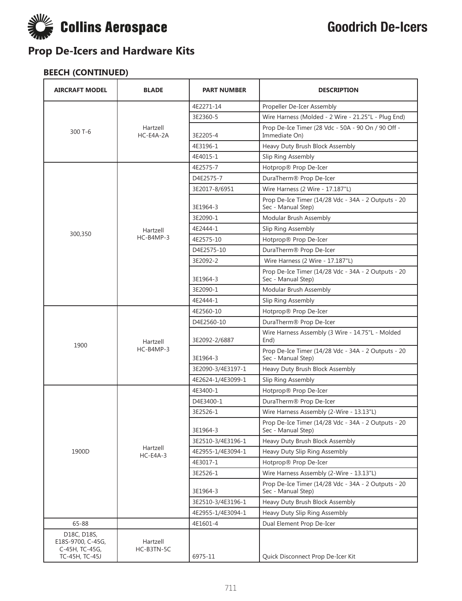

| <b>AIRCRAFT MODEL</b>                              | <b>BLADE</b>           | <b>PART NUMBER</b> | <b>DESCRIPTION</b>                                                        |
|----------------------------------------------------|------------------------|--------------------|---------------------------------------------------------------------------|
|                                                    |                        | 4E2271-14          | Propeller De-Icer Assembly                                                |
|                                                    |                        | 3E2360-5           | Wire Harness (Molded - 2 Wire - 21.25"L - Plug End)                       |
| $300T - 6$                                         | Hartzell<br>HC-E4A-2A  | 3E2205-4           | Prop De-Ice Timer (28 Vdc - 50A - 90 On / 90 Off -<br>Immediate On)       |
|                                                    |                        | 4E3196-1           | Heavy Duty Brush Block Assembly                                           |
|                                                    |                        | 4E4015-1           | Slip Ring Assembly                                                        |
|                                                    |                        | 4E2575-7           | Hotprop® Prop De-Icer                                                     |
|                                                    |                        | D4E2575-7          | DuraTherm® Prop De-Icer                                                   |
|                                                    |                        | 3E2017-8/6951      | Wire Harness (2 Wire - 17.187"L)                                          |
|                                                    |                        | 3E1964-3           | Prop De-Ice Timer (14/28 Vdc - 34A - 2 Outputs - 20<br>Sec - Manual Step) |
|                                                    |                        | 3E2090-1           | Modular Brush Assembly                                                    |
| 300,350                                            | Hartzell               | 4E2444-1           | Slip Ring Assembly                                                        |
|                                                    | $HC-B4MP-3$            | 4E2575-10          | Hotprop® Prop De-Icer                                                     |
|                                                    |                        | D4E2575-10         | DuraTherm® Prop De-Icer                                                   |
|                                                    |                        | 3E2092-2           | Wire Harness (2 Wire - 17.187"L)                                          |
|                                                    |                        | 3E1964-3           | Prop De-Ice Timer (14/28 Vdc - 34A - 2 Outputs - 20<br>Sec - Manual Step) |
|                                                    |                        | 3E2090-1           | Modular Brush Assembly                                                    |
|                                                    |                        | 4E2444-1           | Slip Ring Assembly                                                        |
|                                                    | Hartzell<br>HC-B4MP-3  | 4E2560-10          | Hotprop® Prop De-Icer                                                     |
|                                                    |                        | D4E2560-10         | DuraTherm® Prop De-Icer                                                   |
| 1900                                               |                        | 3E2092-2/6887      | Wire Harness Assembly (3 Wire - 14.75"L - Molded<br>End)                  |
|                                                    |                        | 3E1964-3           | Prop De-Ice Timer (14/28 Vdc - 34A - 2 Outputs - 20<br>Sec - Manual Step) |
|                                                    |                        | 3E2090-3/4E3197-1  | Heavy Duty Brush Block Assembly                                           |
|                                                    |                        | 4E2624-1/4E3099-1  | Slip Ring Assembly                                                        |
|                                                    |                        | 4E3400-1           | Hotprop® Prop De-Icer                                                     |
|                                                    |                        | D4E3400-1          | DuraTherm® Prop De-Icer                                                   |
|                                                    |                        | 3E2526-1           | Wire Harness Assembly (2-Wire - 13.13"L)                                  |
|                                                    |                        | 3E1964-3           | Prop De-Ice Timer (14/28 Vdc - 34A - 2 Outputs - 20<br>Sec - Manual Step) |
|                                                    |                        | 3E2510-3/4E3196-1  | Heavy Duty Brush Block Assembly                                           |
| 1900D                                              | Hartzell<br>$HC-E4A-3$ | 4E2955-1/4E3094-1  | Heavy Duty Slip Ring Assembly                                             |
|                                                    |                        | 4E3017-1           | Hotprop® Prop De-Icer                                                     |
|                                                    |                        | 3E2526-1           | Wire Harness Assembly (2-Wire - 13.13"L)                                  |
|                                                    |                        | 3E1964-3           | Prop De-Ice Timer (14/28 Vdc - 34A - 2 Outputs - 20<br>Sec - Manual Step) |
|                                                    |                        | 3E2510-3/4E3196-1  | Heavy Duty Brush Block Assembly                                           |
|                                                    |                        | 4E2955-1/4E3094-1  | Heavy Duty Slip Ring Assembly                                             |
| 65-88                                              |                        | 4E1601-4           | Dual Element Prop De-Icer                                                 |
| D18C, D18S,<br>E18S-9700, C-45G,<br>C-45H, TC-45G, | Hartzell<br>HC-B3TN-5C |                    |                                                                           |
| TC-45H, TC-45J                                     |                        | 6975-11            | Quick Disconnect Prop De-Icer Kit                                         |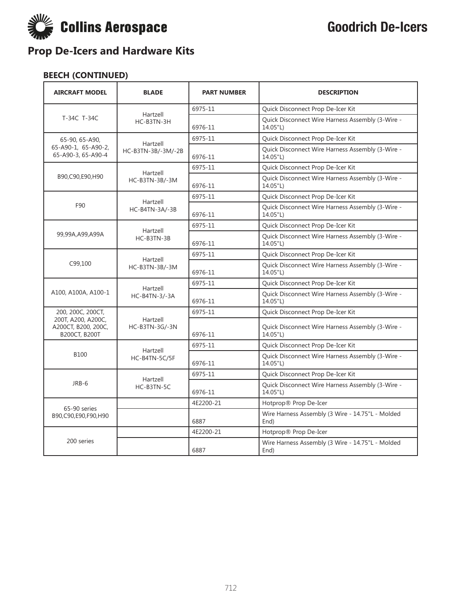

| <b>AIRCRAFT MODEL</b>                                             | <b>BLADE</b>               | <b>PART NUMBER</b> | <b>DESCRIPTION</b>                                           |
|-------------------------------------------------------------------|----------------------------|--------------------|--------------------------------------------------------------|
|                                                                   |                            | 6975-11            | Quick Disconnect Prop De-Icer Kit                            |
| T-34C T-34C                                                       | Hartzell<br>HC-B3TN-3H     | 6976-11            | Quick Disconnect Wire Harness Assembly (3-Wire -<br>14.05"L) |
| 65-90, 65-A90,                                                    | Hartzell                   | 6975-11            | Quick Disconnect Prop De-Icer Kit                            |
| 65-A90-1, 65-A90-2,<br>65-A90-3, 65-A90-4                         | HC-B3TN-3B/-3M/-2B         | 6976-11            | Quick Disconnect Wire Harness Assembly (3-Wire -<br>14.05"L) |
|                                                                   | Hartzell                   | 6975-11            | Quick Disconnect Prop De-Icer Kit                            |
| B90,C90,E90,H90                                                   | HC-B3TN-3B/-3M             | 6976-11            | Quick Disconnect Wire Harness Assembly (3-Wire -<br>14.05"L) |
|                                                                   | Hartzell                   | 6975-11            | Quick Disconnect Prop De-Icer Kit                            |
| F90                                                               | HC-B4TN-3A/-3B             | 6976-11            | Quick Disconnect Wire Harness Assembly (3-Wire -<br>14.05"L) |
|                                                                   | Hartzell                   | 6975-11            | Quick Disconnect Prop De-Icer Kit                            |
| 99,99A,A99,A99A                                                   | HC-B3TN-3B                 | 6976-11            | Quick Disconnect Wire Harness Assembly (3-Wire -<br>14.05"L) |
|                                                                   | Hartzell<br>HC-B3TN-3B/-3M | 6975-11            | Quick Disconnect Prop De-Icer Kit                            |
| C99,100                                                           |                            | 6976-11            | Quick Disconnect Wire Harness Assembly (3-Wire -<br>14.05"L) |
|                                                                   | Hartzell<br>HC-B4TN-3/-3A  | 6975-11            | Quick Disconnect Prop De-Icer Kit                            |
| A100, A100A, A100-1                                               |                            | 6976-11            | Quick Disconnect Wire Harness Assembly (3-Wire -<br>14.05"L) |
| 200, 200C, 200CT,                                                 | Hartzell<br>HC-B3TN-3G/-3N | 6975-11            | Quick Disconnect Prop De-Icer Kit                            |
| 200T, A200, A200C,<br>A200CT, B200, 200C,<br><b>B200CT, B200T</b> |                            | 6976-11            | Quick Disconnect Wire Harness Assembly (3-Wire -<br>14.05"L) |
|                                                                   |                            | 6975-11            | Quick Disconnect Prop De-Icer Kit                            |
| <b>B100</b>                                                       | Hartzell<br>HC-B4TN-5C/5F  | 6976-11            | Quick Disconnect Wire Harness Assembly (3-Wire -<br>14.05"L) |
|                                                                   | Hartzell                   | 6975-11            | Quick Disconnect Prop De-Icer Kit                            |
| JRB-6                                                             | HC-B3TN-5C                 | 6976-11            | Quick Disconnect Wire Harness Assembly (3-Wire -<br>14.05"L) |
| 65-90 series                                                      |                            | 4E2200-21          | Hotprop® Prop De-Icer                                        |
| B90,C90,E90,F90,H90                                               |                            | 6887               | Wire Harness Assembly (3 Wire - 14.75"L - Molded<br>End)     |
|                                                                   |                            | 4E2200-21          | Hotprop® Prop De-Icer                                        |
| 200 series                                                        |                            | 6887               | Wire Harness Assembly (3 Wire - 14.75"L - Molded<br>End)     |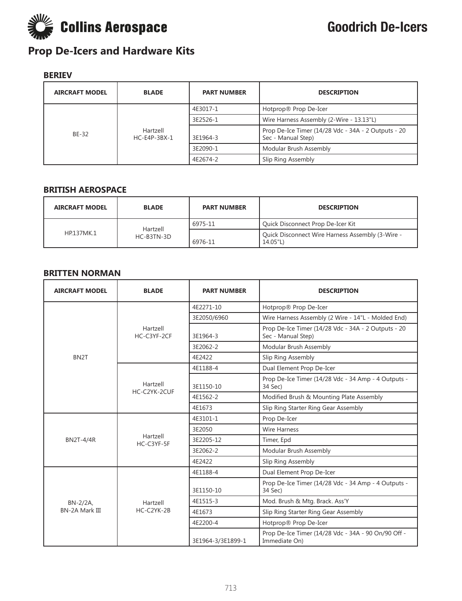

### **BERIEV**

| <b>AIRCRAFT MODEL</b> | <b>BLADE</b>               | <b>PART NUMBER</b> | <b>DESCRIPTION</b>                                                        |
|-----------------------|----------------------------|--------------------|---------------------------------------------------------------------------|
| BE-32                 | Hartzell<br>$HC-E4P-3BX-1$ | 4E3017-1           | Hotprop® Prop De-Icer                                                     |
|                       |                            | 3E2526-1           | Wire Harness Assembly (2-Wire - 13.13"L)                                  |
|                       |                            | 3E1964-3           | Prop De-Ice Timer (14/28 Vdc - 34A - 2 Outputs - 20<br>Sec - Manual Step) |
|                       |                            | 3E2090-1           | Modular Brush Assembly                                                    |
|                       |                            | 4E2674-2           | Slip Ring Assembly                                                        |

#### **BRITISH AEROSPACE**

| <b>AIRCRAFT MODEL</b> | <b>BLADE</b> | <b>PART NUMBER</b> | <b>DESCRIPTION</b>                                           |
|-----------------------|--------------|--------------------|--------------------------------------------------------------|
|                       | Hartzell     | 6975-11            | Quick Disconnect Prop De-Icer Kit                            |
| HP137MK.1             | HC-B3TN-3D   | 6976-11            | Quick Disconnect Wire Harness Assembly (3-Wire -<br>14.05"L) |

#### **BRITTEN NORMAN**

| <b>AIRCRAFT MODEL</b> | <b>BLADE</b>             | <b>PART NUMBER</b> | <b>DESCRIPTION</b>                                                        |
|-----------------------|--------------------------|--------------------|---------------------------------------------------------------------------|
|                       |                          | 4E2271-10          | Hotprop® Prop De-Icer                                                     |
|                       |                          | 3E2050/6960        | Wire Harness Assembly (2 Wire - 14"L - Molded End)                        |
|                       | Hartzell<br>HC-C3YF-2CF  | 3E1964-3           | Prop De-Ice Timer (14/28 Vdc - 34A - 2 Outputs - 20<br>Sec - Manual Step) |
|                       |                          | 3E2062-2           | Modular Brush Assembly                                                    |
| BN <sub>2</sub> T     |                          | 4E2422             | Slip Ring Assembly                                                        |
|                       |                          | 4E1188-4           | Dual Element Prop De-Icer                                                 |
|                       | Hartzell<br>HC-C2YK-2CUF | 3E1150-10          | Prop De-Ice Timer (14/28 Vdc - 34 Amp - 4 Outputs -<br>34 Sec)            |
|                       |                          | 4E1562-2           | Modified Brush & Mounting Plate Assembly                                  |
|                       |                          | 4E1673             | Slip Ring Starter Ring Gear Assembly                                      |
|                       | Hartzell<br>HC-C3YF-5F   | 4E3101-1           | Prop De-Icer                                                              |
|                       |                          | 3E2050             | <b>Wire Harness</b>                                                       |
| <b>BN2T-4/4R</b>      |                          | 3E2205-12          | Timer, Epd                                                                |
|                       |                          | 3E2062-2           | Modular Brush Assembly                                                    |
|                       |                          | 4E2422             | Slip Ring Assembly                                                        |
|                       |                          | 4E1188-4           | Dual Element Prop De-Icer                                                 |
| $BN-2/2A$             | Hartzell                 | 3E1150-10          | Prop De-Ice Timer (14/28 Vdc - 34 Amp - 4 Outputs -<br>34 Sec)            |
|                       |                          | 4E1515-3           | Mod. Brush & Mtg. Brack. Ass'Y                                            |
| <b>BN-2A Mark III</b> | HC-C2YK-2B               | 4E1673             | Slip Ring Starter Ring Gear Assembly                                      |
|                       |                          | 4E2200-4           | Hotprop® Prop De-Icer                                                     |
|                       |                          | 3E1964-3/3E1899-1  | Prop De-Ice Timer (14/28 Vdc - 34A - 90 On/90 Off -<br>Immediate On)      |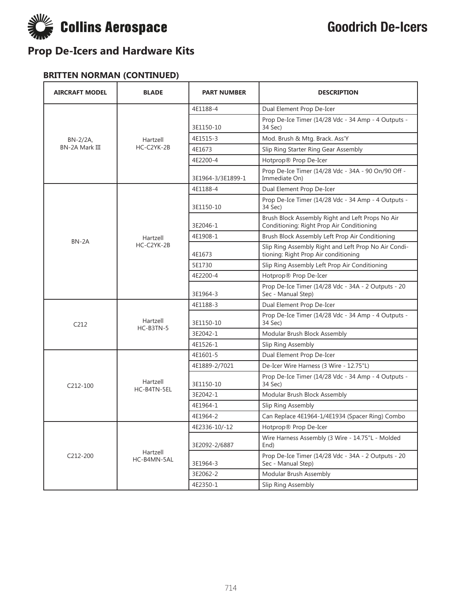

#### **BRITTEN NORMAN (CONTINUED)**

| <b>AIRCRAFT MODEL</b> | <b>BLADE</b>            | <b>PART NUMBER</b> | <b>DESCRIPTION</b>                                                                            |
|-----------------------|-------------------------|--------------------|-----------------------------------------------------------------------------------------------|
|                       |                         | 4E1188-4           | Dual Element Prop De-Icer                                                                     |
|                       |                         | 3E1150-10          | Prop De-Ice Timer (14/28 Vdc - 34 Amp - 4 Outputs -<br>34 Sec)                                |
| BN-2/2A,              | Hartzell                | 4E1515-3           | Mod. Brush & Mtg. Brack. Ass'Y                                                                |
| BN-2A Mark III        | HC-C2YK-2B              | 4E1673             | Slip Ring Starter Ring Gear Assembly                                                          |
|                       |                         | 4E2200-4           | Hotprop® Prop De-Icer                                                                         |
|                       |                         | 3E1964-3/3E1899-1  | Prop De-Ice Timer (14/28 Vdc - 34A - 90 On/90 Off -<br>Immediate On)                          |
|                       |                         | 4E1188-4           | Dual Element Prop De-Icer                                                                     |
|                       |                         | 3E1150-10          | Prop De-Ice Timer (14/28 Vdc - 34 Amp - 4 Outputs -<br>34 Sec)                                |
|                       |                         | 3E2046-1           | Brush Block Assembly Right and Left Props No Air<br>Conditioning: Right Prop Air Conditioning |
| BN-2A                 | Hartzell                | 4E1908-1           | Brush Block Assembly Left Prop Air Conditioning                                               |
|                       | HC-C2YK-2B              | 4E1673             | Slip Ring Assembly Right and Left Prop No Air Condi-<br>tioning: Right Prop Air conditioning  |
|                       |                         | 5E1730             | Slip Ring Assembly Left Prop Air Conditioning                                                 |
|                       |                         | 4E2200-4           | Hotprop® Prop De-Icer                                                                         |
|                       |                         | 3E1964-3           | Prop De-Ice Timer (14/28 Vdc - 34A - 2 Outputs - 20<br>Sec - Manual Step)                     |
|                       | Hartzell                | 4E1188-3           | Dual Element Prop De-Icer                                                                     |
| C <sub>212</sub>      |                         | 3E1150-10          | Prop De-Ice Timer (14/28 Vdc - 34 Amp - 4 Outputs -<br>34 Sec)                                |
|                       | HC-B3TN-5               | 3E2042-1           | Modular Brush Block Assembly                                                                  |
|                       |                         | 4E1526-1           | Slip Ring Assembly                                                                            |
|                       |                         | 4E1601-5           | Dual Element Prop De-Icer                                                                     |
|                       |                         | 4E1889-2/7021      | De-Icer Wire Harness (3 Wire - 12.75"L)                                                       |
| $C212-100$            | Hartzell                | 3E1150-10          | Prop De-Ice Timer (14/28 Vdc - 34 Amp - 4 Outputs -<br>34 Sec)                                |
|                       | HC-B4TN-5EL             | 3E2042-1           | Modular Brush Block Assembly                                                                  |
|                       |                         | 4E1964-1           | Slip Ring Assembly                                                                            |
|                       |                         | 4E1964-2           | Can Replace 4E1964-1/4E1934 (Spacer Ring) Combo                                               |
|                       |                         | 4E2336-10/-12      | Hotprop® Prop De-Icer                                                                         |
|                       | Hartzell<br>HC-B4MN-5AL | 3E2092-2/6887      | Wire Harness Assembly (3 Wire - 14.75"L - Molded<br>End)                                      |
| C212-200              |                         | 3E1964-3           | Prop De-Ice Timer (14/28 Vdc - 34A - 2 Outputs - 20<br>Sec - Manual Step)                     |
|                       |                         | 3E2062-2           | Modular Brush Assembly                                                                        |
|                       |                         | 4E2350-1           | Slip Ring Assembly                                                                            |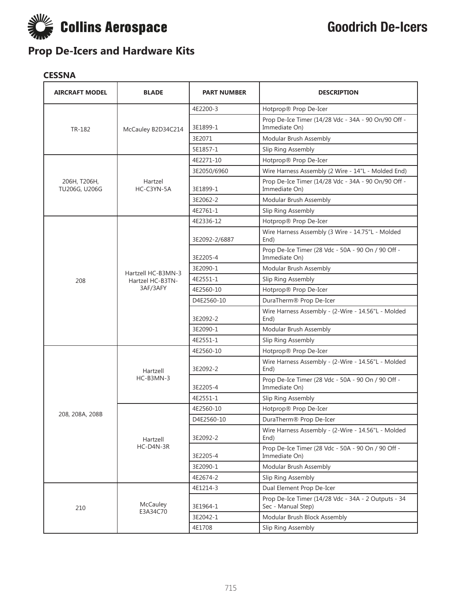

#### **CESSNA**

| <b>AIRCRAFT MODEL</b>         | <b>BLADE</b>          | <b>PART NUMBER</b> | <b>DESCRIPTION</b>                                                        |
|-------------------------------|-----------------------|--------------------|---------------------------------------------------------------------------|
|                               |                       | 4E2200-3           | Hotprop® Prop De-Icer                                                     |
| TR-182                        | McCauley B2D34C214    | 3E1899-1           | Prop De-Ice Timer (14/28 Vdc - 34A - 90 On/90 Off -<br>Immediate On)      |
|                               |                       | 3E2071             | Modular Brush Assembly                                                    |
|                               |                       | 5E1857-1           | Slip Ring Assembly                                                        |
|                               |                       | 4E2271-10          | Hotprop® Prop De-Icer                                                     |
|                               |                       | 3E2050/6960        | Wire Harness Assembly (2 Wire - 14"L - Molded End)                        |
| 206Н, Т206Н,<br>TU206G, U206G | Hartzel<br>HC-C3YN-5A | 3E1899-1           | Prop De-Ice Timer (14/28 Vdc - 34A - 90 On/90 Off -<br>Immediate On)      |
|                               |                       | 3E2062-2           | Modular Brush Assembly                                                    |
|                               |                       | 4E2761-1           | Slip Ring Assembly                                                        |
|                               |                       | 4E2336-12          | Hotprop® Prop De-Icer                                                     |
|                               |                       | 3E2092-2/6887      | Wire Harness Assembly (3 Wire - 14.75"L - Molded<br>End)                  |
|                               |                       | 3E2205-4           | Prop De-Ice Timer (28 Vdc - 50A - 90 On / 90 Off -<br>Immediate On)       |
|                               | Hartzell HC-B3MN-3    | 3E2090-1           | Modular Brush Assembly                                                    |
| 208                           | Hartzel HC-B3TN-      | 4E2551-1           | Slip Ring Assembly                                                        |
|                               | 3AF/3AFY              | 4E2560-10          | Hotprop® Prop De-Icer                                                     |
|                               |                       | D4E2560-10         | DuraTherm® Prop De-Icer                                                   |
|                               |                       | 3E2092-2           | Wire Harness Assembly - (2-Wire - 14.56"L - Molded<br>End)                |
|                               |                       | 3E2090-1           | Modular Brush Assembly                                                    |
|                               |                       | 4E2551-1           | Slip Ring Assembly                                                        |
|                               |                       | 4E2560-10          | Hotprop® Prop De-Icer                                                     |
|                               | Hartzell              | 3E2092-2           | Wire Harness Assembly - (2-Wire - 14.56"L - Molded<br>End)                |
|                               | HC-B3MN-3             | 3E2205-4           | Prop De-Ice Timer (28 Vdc - 50A - 90 On / 90 Off -<br>Immediate On)       |
|                               |                       | 4E2551-1           | Slip Ring Assembly                                                        |
| 208, 208A, 208B               |                       | 4E2560-10          | Hotprop® Prop De-Icer                                                     |
|                               |                       | D4E2560-10         | DuraTherm® Prop De-Icer                                                   |
|                               | Hartzell              | 3E2092-2           | Wire Harness Assembly - (2-Wire - 14.56"L - Molded<br>End)                |
|                               | HC-D4N-3R             | 3E2205-4           | Prop De-Ice Timer (28 Vdc - 50A - 90 On / 90 Off -<br>Immediate On)       |
|                               |                       | 3E2090-1           | Modular Brush Assembly                                                    |
|                               |                       | 4E2674-2           | Slip Ring Assembly                                                        |
|                               |                       | 4E1214-3           | Dual Element Prop De-Icer                                                 |
| 210                           | McCauley<br>E3A34C70  | 3E1964-1           | Prop De-Ice Timer (14/28 Vdc - 34A - 2 Outputs - 34<br>Sec - Manual Step) |
|                               |                       | 3E2042-1           | Modular Brush Block Assembly                                              |
|                               |                       | 4E1708             | Slip Ring Assembly                                                        |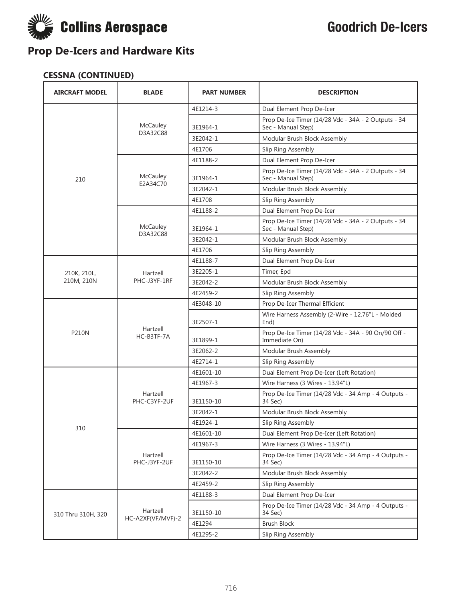

### **CESSNA (CONTINUED)**

| <b>AIRCRAFT MODEL</b> | <b>BLADE</b>                  | <b>PART NUMBER</b> | <b>DESCRIPTION</b>                                                        |
|-----------------------|-------------------------------|--------------------|---------------------------------------------------------------------------|
|                       |                               | 4E1214-3           | Dual Element Prop De-Icer                                                 |
|                       | McCauley                      | 3E1964-1           | Prop De-Ice Timer (14/28 Vdc - 34A - 2 Outputs - 34<br>Sec - Manual Step) |
|                       | D3A32C88                      | 3E2042-1           | Modular Brush Block Assembly                                              |
|                       |                               | 4E1706             | Slip Ring Assembly                                                        |
|                       |                               | 4E1188-2           | Dual Element Prop De-Icer                                                 |
| 210                   | McCauley                      | 3E1964-1           | Prop De-Ice Timer (14/28 Vdc - 34A - 2 Outputs - 34<br>Sec - Manual Step) |
|                       | E2A34C70                      | 3E2042-1           | Modular Brush Block Assembly                                              |
|                       |                               | 4E1708             | Slip Ring Assembly                                                        |
|                       |                               | 4E1188-2           | Dual Element Prop De-Icer                                                 |
|                       | McCauley<br>D3A32C88          | 3E1964-1           | Prop De-Ice Timer (14/28 Vdc - 34A - 2 Outputs - 34<br>Sec - Manual Step) |
|                       |                               | 3E2042-1           | Modular Brush Block Assembly                                              |
|                       |                               | 4E1706             | Slip Ring Assembly                                                        |
|                       |                               | 4E1188-7           | Dual Element Prop De-Icer                                                 |
| 210K, 210L,           | Hartzell                      | 3E2205-1           | Timer, Epd                                                                |
| 210M, 210N            | PHC-J3YF-1RF                  | 3E2042-2           | Modular Brush Block Assembly                                              |
|                       |                               | 4E2459-2           | Slip Ring Assembly                                                        |
|                       | Hartzell<br>HC-B3TF-7A        | 4E3048-10          | Prop De-Icer Thermal Efficient                                            |
|                       |                               | 3E2507-1           | Wire Harness Assembly (2-Wire - 12.76"L - Molded<br>End)                  |
| <b>P210N</b>          |                               | 3E1899-1           | Prop De-Ice Timer (14/28 Vdc - 34A - 90 On/90 Off -<br>Immediate On)      |
|                       |                               | 3E2062-2           | Modular Brush Assembly                                                    |
|                       |                               | 4E2714-1           | Slip Ring Assembly                                                        |
|                       |                               | 4E1601-10          | Dual Element Prop De-Icer (Left Rotation)                                 |
|                       |                               | 4E1967-3           | Wire Harness (3 Wires - 13.94"L)                                          |
|                       | Hartzell<br>PHC-C3YF-2UF      | 3E1150-10          | Prop De-Ice Timer (14/28 Vdc - 34 Amp - 4 Outputs -<br>34 Sec)            |
|                       |                               | 3E2042-1           | Modular Brush Block Assembly                                              |
| 310                   |                               | 4E1924-1           | Slip Ring Assembly                                                        |
|                       |                               | 4E1601-10          | Dual Element Prop De-Icer (Left Rotation)                                 |
|                       |                               | 4E1967-3           | Wire Harness (3 Wires - 13.94"L)                                          |
|                       | Hartzell<br>PHC-J3YF-2UF      | 3E1150-10          | Prop De-Ice Timer (14/28 Vdc - 34 Amp - 4 Outputs -<br>34 Sec)            |
|                       |                               | 3E2042-2           | Modular Brush Block Assembly                                              |
|                       |                               | 4E2459-2           | Slip Ring Assembly                                                        |
|                       |                               | 4E1188-3           | Dual Element Prop De-Icer                                                 |
| 310 Thru 310H, 320    | Hartzell<br>HC-A2XF(VF/MVF)-2 | 3E1150-10          | Prop De-Ice Timer (14/28 Vdc - 34 Amp - 4 Outputs -<br>34 Sec)            |
|                       |                               | 4E1294             | <b>Brush Block</b>                                                        |
|                       |                               | 4E1295-2           | Slip Ring Assembly                                                        |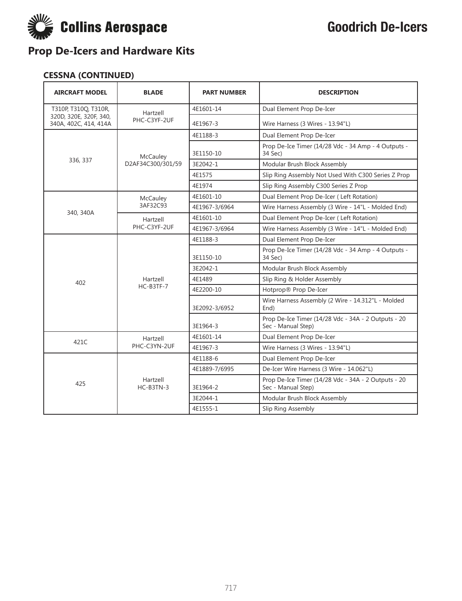

#### **CESSNA (CONTINUED)**

| <b>AIRCRAFT MODEL</b>                           | <b>BLADE</b>          | <b>PART NUMBER</b> | <b>DESCRIPTION</b>                                                        |
|-------------------------------------------------|-----------------------|--------------------|---------------------------------------------------------------------------|
| T310P, T310Q, T310R,                            | Hartzell              | 4E1601-14          | Dual Element Prop De-Icer                                                 |
| 320D, 320E, 320F, 340,<br>340A, 402C, 414, 414A | PHC-C3YF-2UF          | 4E1967-3           | Wire Harness (3 Wires - 13.94"L)                                          |
|                                                 |                       | 4E1188-3           | Dual Element Prop De-Icer                                                 |
|                                                 | McCauley              | 3E1150-10          | Prop De-Ice Timer (14/28 Vdc - 34 Amp - 4 Outputs -<br>34 Sec)            |
| 336, 337                                        | D2AF34C300/301/59     | 3E2042-1           | Modular Brush Block Assembly                                              |
|                                                 |                       | 4E1575             | Slip Ring Assembly Not Used With C300 Series Z Prop                       |
|                                                 |                       | 4E1974             | Slip Ring Assembly C300 Series Z Prop                                     |
|                                                 | McCauley              | 4E1601-10          | Dual Element Prop De-Icer (Left Rotation)                                 |
| 340, 340A                                       | 3AF32C93              | 4E1967-3/6964      | Wire Harness Assembly (3 Wire - 14"L - Molded End)                        |
|                                                 | Hartzell              | 4E1601-10          | Dual Element Prop De-Icer (Left Rotation)                                 |
|                                                 | PHC-C3YF-2UF          | 4E1967-3/6964      | Wire Harness Assembly (3 Wire - 14"L - Molded End)                        |
|                                                 |                       | 4E1188-3           | Dual Element Prop De-Icer                                                 |
|                                                 |                       | 3E1150-10          | Prop De-Ice Timer (14/28 Vdc - 34 Amp - 4 Outputs -<br>34 Sec)            |
|                                                 |                       | 3E2042-1           | Modular Brush Block Assembly                                              |
| 402                                             | Hartzell              | 4E1489             | Slip Ring & Holder Assembly                                               |
|                                                 | HC-B3TF-7             | 4E2200-10          | Hotprop® Prop De-Icer                                                     |
|                                                 |                       | 3E2092-3/6952      | Wire Harness Assembly (2 Wire - 14.312"L - Molded<br>End)                 |
|                                                 |                       | 3E1964-3           | Prop De-Ice Timer (14/28 Vdc - 34A - 2 Outputs - 20<br>Sec - Manual Step) |
| 421C                                            | Hartzell              | 4E1601-14          | Dual Element Prop De-Icer                                                 |
|                                                 | PHC-C3YN-2UF          | 4E1967-3           | Wire Harness (3 Wires - 13.94"L)                                          |
|                                                 |                       | 4E1188-6           | Dual Element Prop De-Icer                                                 |
|                                                 |                       | 4E1889-7/6995      | De-Icer Wire Harness (3 Wire - 14.062"L)                                  |
| 425                                             | Hartzell<br>HC-B3TN-3 | 3E1964-2           | Prop De-Ice Timer (14/28 Vdc - 34A - 2 Outputs - 20<br>Sec - Manual Step) |
|                                                 |                       | 3E2044-1           | Modular Brush Block Assembly                                              |
|                                                 |                       | 4E1555-1           | Slip Ring Assembly                                                        |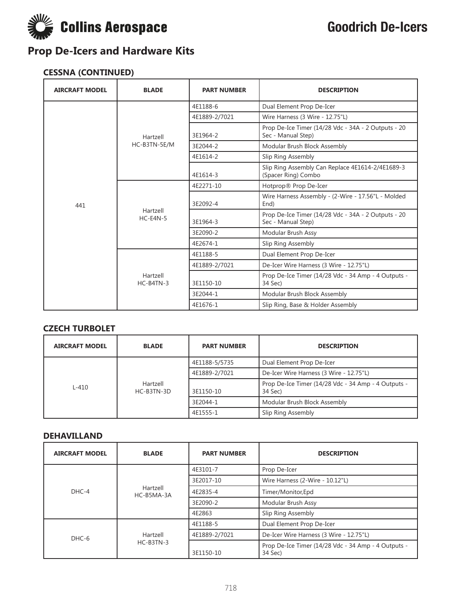

### **CESSNA (CONTINUED)**

| <b>AIRCRAFT MODEL</b> | <b>BLADE</b>            | <b>PART NUMBER</b> | <b>DESCRIPTION</b>                                                        |
|-----------------------|-------------------------|--------------------|---------------------------------------------------------------------------|
|                       |                         | 4E1188-6           | Dual Element Prop De-Icer                                                 |
|                       |                         | 4E1889-2/7021      | Wire Harness (3 Wire - 12.75"L)                                           |
|                       | Hartzell                | 3E1964-2           | Prop De-Ice Timer (14/28 Vdc - 34A - 2 Outputs - 20<br>Sec - Manual Step) |
|                       | HC-B3TN-5E/M            | 3E2044-2           | Modular Brush Block Assembly                                              |
|                       |                         | 4E1614-2           | Slip Ring Assembly                                                        |
|                       |                         | 4E1614-3           | Slip Ring Assembly Can Replace 4E1614-2/4E1689-3<br>(Spacer Ring) Combo   |
|                       | Hartzell<br>$HC-E4N-5$  | 4E2271-10          | Hotprop® Prop De-Icer                                                     |
| 441                   |                         | 3E2092-4           | Wire Harness Assembly - (2-Wire - 17.56"L - Molded<br>End)                |
|                       |                         | 3E1964-3           | Prop De-Ice Timer (14/28 Vdc - 34A - 2 Outputs - 20<br>Sec - Manual Step) |
|                       |                         | 3E2090-2           | Modular Brush Assy                                                        |
|                       |                         | 4E2674-1           | Slip Ring Assembly                                                        |
|                       | Hartzell<br>$HC-B4TN-3$ | 4E1188-5           | Dual Element Prop De-Icer                                                 |
|                       |                         | 4E1889-2/7021      | De-Icer Wire Harness (3 Wire - 12.75"L)                                   |
|                       |                         | 3E1150-10          | Prop De-Ice Timer (14/28 Vdc - 34 Amp - 4 Outputs -<br>34 Sec)            |
|                       |                         | 3E2044-1           | Modular Brush Block Assembly                                              |
|                       |                         | 4E1676-1           | Slip Ring, Base & Holder Assembly                                         |

#### **CZECH TURBOLET**

| <b>AIRCRAFT MODEL</b> | <b>BLADE</b>           | <b>PART NUMBER</b> | <b>DESCRIPTION</b>                                             |
|-----------------------|------------------------|--------------------|----------------------------------------------------------------|
|                       |                        | 4E1188-5/5735      | Dual Element Prop De-Icer                                      |
|                       |                        | 4E1889-2/7021      | De-Icer Wire Harness (3 Wire - 12.75"L)                        |
| $L-410$               | Hartzell<br>HC-B3TN-3D | 3E1150-10          | Prop De-Ice Timer (14/28 Vdc - 34 Amp - 4 Outputs -<br>34 Sec) |
|                       |                        | 3E2044-1           | Modular Brush Block Assembly                                   |
|                       |                        | 4E1555-1           | Slip Ring Assembly                                             |

#### **DEHAVILLAND**

| <b>AIRCRAFT MODEL</b> | <b>BLADE</b>           | <b>PART NUMBER</b> | <b>DESCRIPTION</b>                                             |
|-----------------------|------------------------|--------------------|----------------------------------------------------------------|
|                       | Hartzell<br>HC-B5MA-3A | 4E3101-7           | Prop De-Icer                                                   |
|                       |                        | 3E2017-10          | Wire Harness (2-Wire - 10.12"L)                                |
| DHC-4                 |                        | 4E2835-4           | Timer/Monitor, Epd                                             |
|                       |                        | 3E2090-2           | Modular Brush Assy                                             |
|                       |                        | 4E2863             | Slip Ring Assembly                                             |
| DHC-6                 | Hartzell<br>HC-B3TN-3  | 4E1188-5           | Dual Element Prop De-Icer                                      |
|                       |                        | 4E1889-2/7021      | De-Icer Wire Harness (3 Wire - 12.75"L)                        |
|                       |                        | 3E1150-10          | Prop De-Ice Timer (14/28 Vdc - 34 Amp - 4 Outputs -<br>34 Sec) |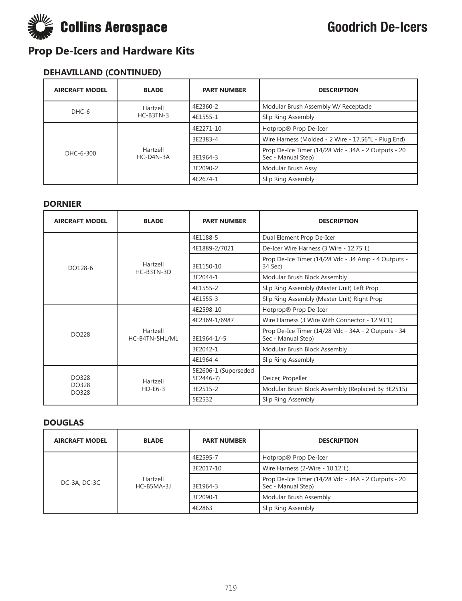

### **DEHAVILLAND (CONTINUED)**

| <b>AIRCRAFT MODEL</b> | <b>BLADE</b>            | <b>PART NUMBER</b> | <b>DESCRIPTION</b>                                                        |
|-----------------------|-------------------------|--------------------|---------------------------------------------------------------------------|
| DHC-6                 | Hartzell<br>$HC-B3TN-3$ | 4E2360-2           | Modular Brush Assembly W/ Receptacle                                      |
|                       |                         | 4E1555-1           | Slip Ring Assembly                                                        |
| DHC-6-300             | Hartzell<br>HC-D4N-3A   | 4E2271-10          | Hotprop® Prop De-Icer                                                     |
|                       |                         | 3E2383-4           | Wire Harness (Molded - 2 Wire - 17.56"L - Plug End)                       |
|                       |                         | 3E1964-3           | Prop De-Ice Timer (14/28 Vdc - 34A - 2 Outputs - 20<br>Sec - Manual Step) |
|                       |                         | 3E2090-2           | Modular Brush Assy                                                        |
|                       |                         | 4E2674-1           | Slip Ring Assembly                                                        |

#### **DORNIER**

| <b>AIRCRAFT MODEL</b> | <b>BLADE</b>               | <b>PART NUMBER</b>                | <b>DESCRIPTION</b>                                                        |
|-----------------------|----------------------------|-----------------------------------|---------------------------------------------------------------------------|
|                       |                            | 4E1188-5                          | Dual Element Prop De-Icer                                                 |
|                       |                            | 4E1889-2/7021                     | De-Icer Wire Harness (3 Wire - 12.75"L)                                   |
| DO128-6               | Hartzell<br>HC-B3TN-3D     | 3E1150-10                         | Prop De-Ice Timer (14/28 Vdc - 34 Amp - 4 Outputs -<br>34 Sec)            |
|                       |                            | 3E2044-1                          | Modular Brush Block Assembly                                              |
|                       |                            | 4E1555-2                          | Slip Ring Assembly (Master Unit) Left Prop                                |
|                       |                            | 4E1555-3                          | Slip Ring Assembly (Master Unit) Right Prop                               |
|                       | Hartzell<br>HC-B4TN-5HL/ML | 4E2598-10                         | Hotprop® Prop De-Icer                                                     |
| <b>DO228</b>          |                            | 4E2369-1/6987                     | Wire Harness (3 Wire With Connector - 12.93"L)                            |
|                       |                            | 3E1964-1/-5                       | Prop De-Ice Timer (14/28 Vdc - 34A - 2 Outputs - 34<br>Sec - Manual Step) |
|                       |                            | 3E2042-1                          | Modular Brush Block Assembly                                              |
|                       |                            | 4E1964-4                          | Slip Ring Assembly                                                        |
| DO328                 | Hartzell<br>$HD-E6-3$      | 5E2606-1 (Superseded<br>5E2446-7) | Deicer, Propeller                                                         |
| DO328<br>DO328        |                            | 3E2515-2                          | Modular Brush Block Assembly (Replaced By 3E2515)                         |
|                       |                            | 5E2532                            | Slip Ring Assembly                                                        |

#### **DOUGLAS**

| <b>AIRCRAFT MODEL</b> | <b>BLADE</b>             | <b>PART NUMBER</b> | <b>DESCRIPTION</b>                                                        |
|-----------------------|--------------------------|--------------------|---------------------------------------------------------------------------|
| DC-3A, DC-3C          | Hartzell<br>$HC-B5MA-3J$ | 4E2595-7           | Hotprop® Prop De-Icer                                                     |
|                       |                          | 3E2017-10          | Wire Harness (2-Wire - 10.12"L)                                           |
|                       |                          | 3E1964-3           | Prop De-Ice Timer (14/28 Vdc - 34A - 2 Outputs - 20<br>Sec - Manual Step) |
|                       |                          | 3E2090-1           | Modular Brush Assembly                                                    |
|                       |                          | 4E2863             | Slip Ring Assembly                                                        |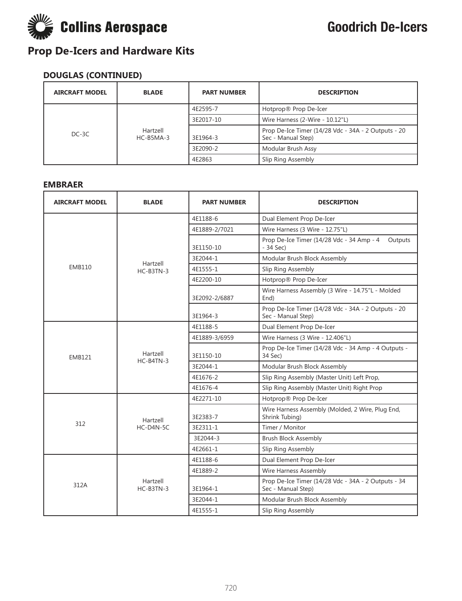

### **DOUGLAS (CONTINUED)**

| <b>AIRCRAFT MODEL</b> | <b>BLADE</b>            | <b>PART NUMBER</b> | <b>DESCRIPTION</b>                                                        |
|-----------------------|-------------------------|--------------------|---------------------------------------------------------------------------|
| $DC-3C$               |                         | 4E2595-7           | Hotprop® Prop De-Icer                                                     |
|                       | Hartzell<br>$HC-B5MA-3$ | 3E2017-10          | Wire Harness (2-Wire - 10.12"L)                                           |
|                       |                         | 3E1964-3           | Prop De-Ice Timer (14/28 Vdc - 34A - 2 Outputs - 20<br>Sec - Manual Step) |
|                       |                         | 3E2090-2           | Modular Brush Assy                                                        |
|                       |                         | 4E2863             | Slip Ring Assembly                                                        |

#### **EMBRAER**

| <b>AIRCRAFT MODEL</b> | <b>BLADE</b>            | <b>PART NUMBER</b> | <b>DESCRIPTION</b>                                                        |
|-----------------------|-------------------------|--------------------|---------------------------------------------------------------------------|
|                       |                         | 4E1188-6           | Dual Element Prop De-Icer                                                 |
|                       |                         | 4E1889-2/7021      | Wire Harness (3 Wire - 12.75"L)                                           |
|                       |                         | 3E1150-10          | Prop De-Ice Timer (14/28 Vdc - 34 Amp - 4<br>Outputs<br>$-34$ Sec)        |
|                       | Hartzell                | 3E2044-1           | Modular Brush Block Assembly                                              |
| <b>EMB110</b>         | $HC-B3TN-3$             | 4E1555-1           | Slip Ring Assembly                                                        |
|                       |                         | 4E2200-10          | Hotprop® Prop De-Icer                                                     |
|                       |                         | 3E2092-2/6887      | Wire Harness Assembly (3 Wire - 14.75"L - Molded<br>End)                  |
|                       |                         | 3E1964-3           | Prop De-Ice Timer (14/28 Vdc - 34A - 2 Outputs - 20<br>Sec - Manual Step) |
|                       |                         | 4E1188-5           | Dual Element Prop De-Icer                                                 |
|                       | Hartzell<br>HC-B4TN-3   | 4E1889-3/6959      | Wire Harness (3 Wire - 12.406"L)                                          |
| <b>EMB121</b>         |                         | 3E1150-10          | Prop De-Ice Timer (14/28 Vdc - 34 Amp - 4 Outputs -<br>34 Sec)            |
|                       |                         | 3E2044-1           | Modular Brush Block Assembly                                              |
|                       |                         | 4F1676-2           | Slip Ring Assembly (Master Unit) Left Prop,                               |
|                       |                         | 4E1676-4           | Slip Ring Assembly (Master Unit) Right Prop                               |
|                       | Hartzell                | 4E2271-10          | Hotprop® Prop De-Icer                                                     |
|                       |                         | 3E2383-7           | Wire Harness Assembly (Molded, 2 Wire, Plug End,<br>Shrink Tubing)        |
| 312                   | HC-D4N-5C               | 3E2311-1           | Timer / Monitor                                                           |
|                       |                         | 3E2044-3           | <b>Brush Block Assembly</b>                                               |
|                       |                         | 4E2661-1           | Slip Ring Assembly                                                        |
|                       |                         | 4E1188-6           | Dual Element Prop De-Icer                                                 |
| 312A                  |                         | 4E1889-2           | Wire Harness Assembly                                                     |
|                       | Hartzell<br>$HC-B3TN-3$ | 3E1964-1           | Prop De-Ice Timer (14/28 Vdc - 34A - 2 Outputs - 34<br>Sec - Manual Step) |
|                       |                         | 3E2044-1           | Modular Brush Block Assembly                                              |
|                       |                         | 4E1555-1           | Slip Ring Assembly                                                        |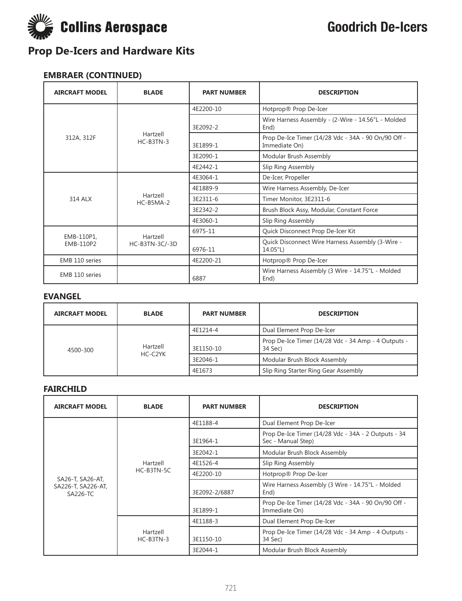

### **EMBRAER (CONTINUED)**

| <b>AIRCRAFT MODEL</b>   | <b>BLADE</b>            | <b>PART NUMBER</b> | <b>DESCRIPTION</b>                                                   |
|-------------------------|-------------------------|--------------------|----------------------------------------------------------------------|
|                         | Hartzell<br>HC-B3TN-3   | 4E2200-10          | Hotprop® Prop De-Icer                                                |
|                         |                         | 3E2092-2           | Wire Harness Assembly - (2-Wire - 14.56"L - Molded<br>End)           |
| 312A, 312F              |                         | 3E1899-1           | Prop De-Ice Timer (14/28 Vdc - 34A - 90 On/90 Off -<br>Immediate On) |
|                         |                         | 3E2090-1           | Modular Brush Assembly                                               |
|                         |                         | 4E2442-1           | Slip Ring Assembly                                                   |
|                         | Hartzell<br>$HC-B5MA-2$ | 4E3064-1           | De-Icer, Propeller                                                   |
|                         |                         | 4E1889-9           | Wire Harness Assembly, De-Icer                                       |
| 314 ALX                 |                         | 3E2311-6           | Timer Monitor, 3E2311-6                                              |
|                         |                         | 3E2342-2           | Brush Block Assy, Modular, Constant Force                            |
|                         |                         | 4E3060-1           | Slip Ring Assembly                                                   |
|                         | Hartzell                | 6975-11            | Quick Disconnect Prop De-Icer Kit                                    |
| EMB-110P1,<br>EMB-110P2 | HC-B3TN-3C/-3D          | 6976-11            | Quick Disconnect Wire Harness Assembly (3-Wire -<br>14.05"L)         |
| EMB 110 series          |                         | 4E2200-21          | Hotprop® Prop De-Icer                                                |
| EMB 110 series          |                         | 6887               | Wire Harness Assembly (3 Wire - 14.75"L - Molded<br>End)             |

#### **EVANGEL**

| <b>AIRCRAFT MODEL</b> | <b>BLADE</b>        | <b>PART NUMBER</b> | <b>DESCRIPTION</b>                                             |
|-----------------------|---------------------|--------------------|----------------------------------------------------------------|
| 4500-300              | Hartzell<br>HC-C2YK | 4E1214-4           | Dual Element Prop De-Icer                                      |
|                       |                     | 3E1150-10          | Prop De-Ice Timer (14/28 Vdc - 34 Amp - 4 Outputs -<br>34 Sec) |
|                       |                     | 3E2046-1           | Modular Brush Block Assembly                                   |
|                       |                     | 4E1673             | Slip Ring Starter Ring Gear Assembly                           |

#### **FAIRCHILD**

| <b>AIRCRAFT MODEL</b>          | <b>BLADE</b>           | <b>PART NUMBER</b> | <b>DESCRIPTION</b>                                                        |
|--------------------------------|------------------------|--------------------|---------------------------------------------------------------------------|
|                                |                        | 4E1188-4           | Dual Element Prop De-Icer                                                 |
|                                |                        | 3E1964-1           | Prop De-Ice Timer (14/28 Vdc - 34A - 2 Outputs - 34<br>Sec - Manual Step) |
|                                |                        | 3E2042-1           | Modular Brush Block Assembly                                              |
|                                | Hartzell<br>HC-B3TN-5C | 4E1526-4           | Slip Ring Assembly                                                        |
| SA26-T, SA26-AT,               |                        | 4E2200-10          | Hotprop® Prop De-Icer                                                     |
| SA226-T, SA226-AT,<br>SA226-TC |                        | 3E2092-2/6887      | Wire Harness Assembly (3 Wire - 14.75"L - Molded<br>End)                  |
|                                |                        | 3E1899-1           | Prop De-Ice Timer (14/28 Vdc - 34A - 90 On/90 Off -<br>Immediate On)      |
|                                | Hartzell<br>HC-B3TN-3  | 4E1188-3           | Dual Element Prop De-Icer                                                 |
|                                |                        | 3E1150-10          | Prop De-Ice Timer (14/28 Vdc - 34 Amp - 4 Outputs -<br>34 Sec)            |
|                                |                        | 3E2044-1           | Modular Brush Block Assembly                                              |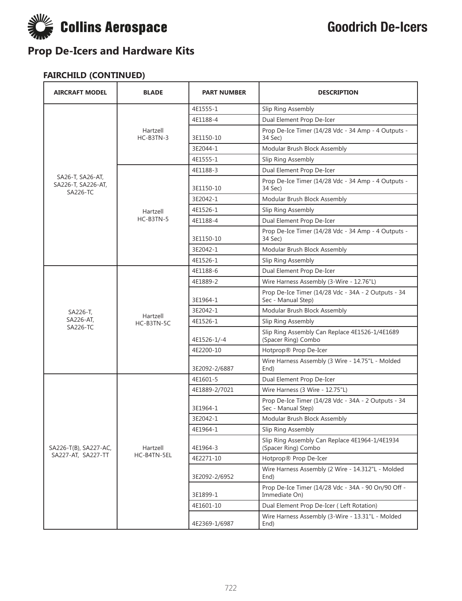

### **FAIRCHILD (CONTINUED)**

| <b>AIRCRAFT MODEL</b>                              | <b>BLADE</b>          | <b>PART NUMBER</b> | <b>DESCRIPTION</b>                                                        |
|----------------------------------------------------|-----------------------|--------------------|---------------------------------------------------------------------------|
|                                                    |                       | 4E1555-1           | Slip Ring Assembly                                                        |
|                                                    |                       | 4E1188-4           | Dual Element Prop De-Icer                                                 |
|                                                    | Hartzell<br>HC-B3TN-3 | 3E1150-10          | Prop De-Ice Timer (14/28 Vdc - 34 Amp - 4 Outputs -<br>34 Sec)            |
|                                                    |                       | 3E2044-1           | Modular Brush Block Assembly                                              |
|                                                    |                       | 4E1555-1           | Slip Ring Assembly                                                        |
|                                                    |                       | 4E1188-3           | Dual Element Prop De-Icer                                                 |
| SA26-T, SA26-AT,<br>SA226-T, SA226-AT,<br>SA226-TC |                       | 3E1150-10          | Prop De-Ice Timer (14/28 Vdc - 34 Amp - 4 Outputs -<br>34 Sec)            |
|                                                    |                       | 3E2042-1           | Modular Brush Block Assembly                                              |
|                                                    | Hartzell              | 4E1526-1           | Slip Ring Assembly                                                        |
|                                                    | HC-B3TN-5             | 4E1188-4           | Dual Element Prop De-Icer                                                 |
|                                                    |                       | 3E1150-10          | Prop De-Ice Timer (14/28 Vdc - 34 Amp - 4 Outputs -<br>34 Sec)            |
|                                                    |                       | 3E2042-1           | Modular Brush Block Assembly                                              |
|                                                    |                       | 4E1526-1           | Slip Ring Assembly                                                        |
|                                                    |                       | 4E1188-6           | Dual Element Prop De-Icer                                                 |
|                                                    | Hartzell              | 4E1889-2           | Wire Harness Assembly (3-Wire - 12.76"L)                                  |
|                                                    |                       | 3E1964-1           | Prop De-Ice Timer (14/28 Vdc - 34A - 2 Outputs - 34<br>Sec - Manual Step) |
| SA226-T,                                           |                       | 3E2042-1           | Modular Brush Block Assembly                                              |
| SA226-AT.<br><b>SA226-TC</b>                       | HC-B3TN-5C            | 4E1526-1           | Slip Ring Assembly                                                        |
|                                                    |                       | 4E1526-1/-4        | Slip Ring Assembly Can Replace 4E1526-1/4E1689<br>(Spacer Ring) Combo     |
|                                                    |                       | 4E2200-10          | Hotprop® Prop De-Icer                                                     |
|                                                    |                       | 3E2092-2/6887      | Wire Harness Assembly (3 Wire - 14.75"L - Molded<br>End)                  |
|                                                    |                       | 4E1601-5           | Dual Element Prop De-Icer                                                 |
|                                                    |                       | 4E1889-2/7021      | Wire Harness (3 Wire - 12.75"L)                                           |
|                                                    |                       | 3E1964-1           | Prop De-Ice Timer (14/28 Vdc - 34A - 2 Outputs - 34<br>Sec - Manual Step) |
|                                                    |                       | 3E2042-1           | Modular Brush Block Assembly                                              |
|                                                    |                       | 4E1964-1           | Slip Ring Assembly                                                        |
| SA226-T(B), SA227-AC,<br>SA227-AT, SA227-TT        | Hartzell              | 4E1964-3           | Slip Ring Assembly Can Replace 4E1964-1/4E1934<br>(Spacer Ring) Combo     |
|                                                    | HC-B4TN-5EL           | 4E2271-10          | Hotprop® Prop De-Icer                                                     |
|                                                    |                       | 3E2092-2/6952      | Wire Harness Assembly (2 Wire - 14.312"L - Molded<br>End)                 |
|                                                    |                       | 3E1899-1           | Prop De-Ice Timer (14/28 Vdc - 34A - 90 On/90 Off -<br>Immediate On)      |
|                                                    |                       | 4E1601-10          | Dual Element Prop De-Icer (Left Rotation)                                 |
|                                                    |                       | 4E2369-1/6987      | Wire Harness Assembly (3-Wire - 13.31"L - Molded<br>End)                  |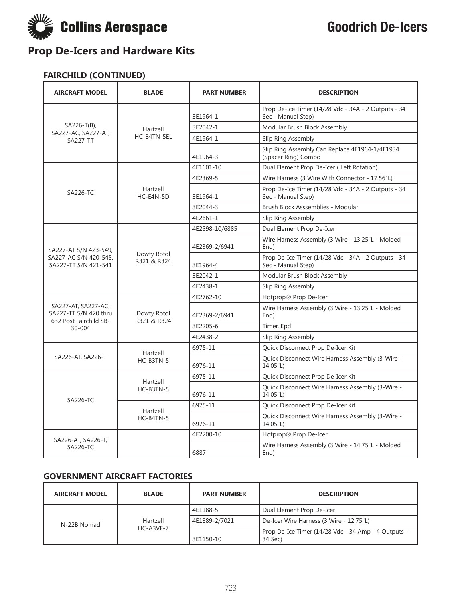

#### **FAIRCHILD (CONTINUED)**

| <b>AIRCRAFT MODEL</b>                                                  | <b>BLADE</b>               | <b>PART NUMBER</b> | <b>DESCRIPTION</b>                                                        |
|------------------------------------------------------------------------|----------------------------|--------------------|---------------------------------------------------------------------------|
|                                                                        |                            | 3E1964-1           | Prop De-Ice Timer (14/28 Vdc - 34A - 2 Outputs - 34<br>Sec - Manual Step) |
| SA226-T(B),                                                            | Hartzell                   | 3E2042-1           | Modular Brush Block Assembly                                              |
| SA227-AC, SA227-AT,<br><b>SA227-TT</b>                                 | HC-B4TN-5EL                | 4E1964-1           | Slip Ring Assembly                                                        |
|                                                                        |                            | 4E1964-3           | Slip Ring Assembly Can Replace 4E1964-1/4E1934<br>(Spacer Ring) Combo     |
|                                                                        |                            | 4E1601-10          | Dual Element Prop De-Icer (Left Rotation)                                 |
|                                                                        |                            | 4E2369-5           | Wire Harness (3 Wire With Connector - 17.56"L)                            |
| <b>SA226-TC</b>                                                        | Hartzell<br>HC-E4N-5D      | 3E1964-1           | Prop De-Ice Timer (14/28 Vdc - 34A - 2 Outputs - 34<br>Sec - Manual Step) |
|                                                                        |                            | 3E2044-3           | Brush Block Asssemblies - Modular                                         |
|                                                                        |                            | 4E2661-1           | Slip Ring Assembly                                                        |
|                                                                        |                            | 4E2598-10/6885     | Dual Element Prop De-Icer                                                 |
| SA227-AT S/N 423-549,                                                  | Dowty Rotol<br>R321 & R324 | 4E2369-2/6941      | Wire Harness Assembly (3 Wire - 13.25"L - Molded<br>End)                  |
| SA227-AC S/N 420-545,<br>SA227-TT S/N 421-541                          |                            | 3E1964-4           | Prop De-Ice Timer (14/28 Vdc - 34A - 2 Outputs - 34<br>Sec - Manual Step) |
|                                                                        |                            | 3E2042-1           | Modular Brush Block Assembly                                              |
|                                                                        |                            | 4E2438-1           | Slip Ring Assembly                                                        |
|                                                                        |                            | 4E2762-10          | Hotprop® Prop De-Icer                                                     |
| SA227-AT, SA227-AC,<br>SA227-TT S/N 420 thru<br>632 Post Fairchild SB- | Dowty Rotol<br>R321 & R324 | 4E2369-2/6941      | Wire Harness Assembly (3 Wire - 13.25"L - Molded<br>End)                  |
| 30-004                                                                 |                            | 3E2205-6           | Timer, Epd                                                                |
|                                                                        |                            | 4E2438-2           | Slip Ring Assembly                                                        |
|                                                                        | Hartzell                   | 6975-11            | Quick Disconnect Prop De-Icer Kit                                         |
| SA226-AT, SA226-T                                                      | HC-B3TN-5                  | 6976-11            | Quick Disconnect Wire Harness Assembly (3-Wire -<br>14.05"L)              |
|                                                                        | Hartzell                   | 6975-11            | Quick Disconnect Prop De-Icer Kit                                         |
| SA226-TC                                                               | HC-B3TN-5                  | 6976-11            | Quick Disconnect Wire Harness Assembly (3-Wire -<br>14.05"L)              |
|                                                                        |                            | 6975-11            | Quick Disconnect Prop De-Icer Kit                                         |
|                                                                        | Hartzell<br>HC-B4TN-5      | 6976-11            | Quick Disconnect Wire Harness Assembly (3-Wire -<br>14.05"L)              |
|                                                                        |                            | 4E2200-10          | Hotprop® Prop De-Icer                                                     |
| SA226-AT, SA226-T,<br>SA226-TC                                         |                            | 6887               | Wire Harness Assembly (3 Wire - 14.75"L - Molded<br>End)                  |

#### **GOVERNMENT AIRCRAFT FACTORIES**

| <b>AIRCRAFT MODEL</b> | <b>BLADE</b>                | <b>PART NUMBER</b> | <b>DESCRIPTION</b>                                             |
|-----------------------|-----------------------------|--------------------|----------------------------------------------------------------|
| N-22B Nomad           | Hartzell<br>$HC - A3VF - 7$ | 4E1188-5           | Dual Element Prop De-Icer                                      |
|                       |                             | 4E1889-2/7021      | De-Icer Wire Harness (3 Wire - 12.75"L)                        |
|                       |                             | 3E1150-10          | Prop De-Ice Timer (14/28 Vdc - 34 Amp - 4 Outputs -<br>34 Sec) |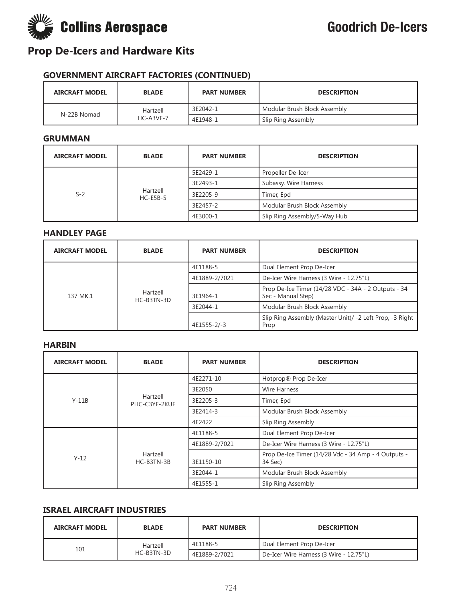

#### **GOVERNMENT AIRCRAFT FACTORIES (CONTINUED)**

| <b>AIRCRAFT MODEL</b> | <b>BLADE</b>    | <b>PART NUMBER</b> | <b>DESCRIPTION</b>           |
|-----------------------|-----------------|--------------------|------------------------------|
| N-22B Nomad           | Hartzell        | 3E2042-1           | Modular Brush Block Assembly |
|                       | $HC - A3VF - 7$ | 4E1948-1           | Slip Ring Assembly           |

#### **GRUMMAN**

| <b>AIRCRAFT MODEL</b> | <b>BLADE</b>           | <b>PART NUMBER</b> | <b>DESCRIPTION</b>           |
|-----------------------|------------------------|--------------------|------------------------------|
| $S-2$                 | Hartzell<br>$HC-ESB-5$ | 5E2429-1           | Propeller De-Icer            |
|                       |                        | 3E2493-1           | Subassy. Wire Harness        |
|                       |                        | 3E2205-9           | Timer, Epd                   |
|                       |                        | 3E2457-2           | Modular Brush Block Assembly |
|                       |                        | 4E3000-1           | Slip Ring Assembly/5-Way Hub |

#### **HANDLEY PAGE**

| <b>AIRCRAFT MODEL</b> | <b>BLADE</b>           | <b>PART NUMBER</b> | <b>DESCRIPTION</b>                                                        |
|-----------------------|------------------------|--------------------|---------------------------------------------------------------------------|
| 137 MK.1              | Hartzell<br>HC-B3TN-3D | 4E1188-5           | Dual Element Prop De-Icer                                                 |
|                       |                        | 4E1889-2/7021      | De-Icer Wire Harness (3 Wire - 12.75"L)                                   |
|                       |                        | 3E1964-1           | Prop De-Ice Timer (14/28 VDC - 34A - 2 Outputs - 34<br>Sec - Manual Step) |
|                       |                        | 3E2044-1           | Modular Brush Block Assembly                                              |
|                       |                        | 4E1555-2/-3        | Slip Ring Assembly (Master Unit)/ -2 Left Prop, -3 Right<br>Prop          |

#### **HARBIN**

| <b>AIRCRAFT MODEL</b> | <b>BLADE</b>              | <b>PART NUMBER</b> | <b>DESCRIPTION</b>                                             |
|-----------------------|---------------------------|--------------------|----------------------------------------------------------------|
|                       |                           | 4E2271-10          | Hotprop® Prop De-Icer                                          |
|                       |                           | 3E2050             | <b>Wire Harness</b>                                            |
| $Y-11B$               | Hartzell<br>PHC-C3YF-2KUF | 3E2205-3           | Timer, Epd                                                     |
|                       |                           | 3E2414-3           | Modular Brush Block Assembly                                   |
|                       |                           | 4E2422             | Slip Ring Assembly                                             |
| $Y - 12$              | Hartzell<br>HC-B3TN-3B    | 4E1188-5           | Dual Element Prop De-Icer                                      |
|                       |                           | 4E1889-2/7021      | De-Icer Wire Harness (3 Wire - 12.75"L)                        |
|                       |                           | 3E1150-10          | Prop De-Ice Timer (14/28 Vdc - 34 Amp - 4 Outputs -<br>34 Sec) |
|                       |                           | 3E2044-1           | Modular Brush Block Assembly                                   |
|                       |                           | 4E1555-1           | Slip Ring Assembly                                             |

#### **ISRAEL AIRCRAFT INDUSTRIES**

| <b>AIRCRAFT MODEL</b> | <b>BLADE</b> | <b>PART NUMBER</b> | <b>DESCRIPTION</b>                      |
|-----------------------|--------------|--------------------|-----------------------------------------|
|                       | Hartzell     | 4E1188-5           | Dual Element Prop De-Icer               |
| 101                   | HC-B3TN-3D   | 4E1889-2/7021      | De-Icer Wire Harness (3 Wire - 12.75"L) |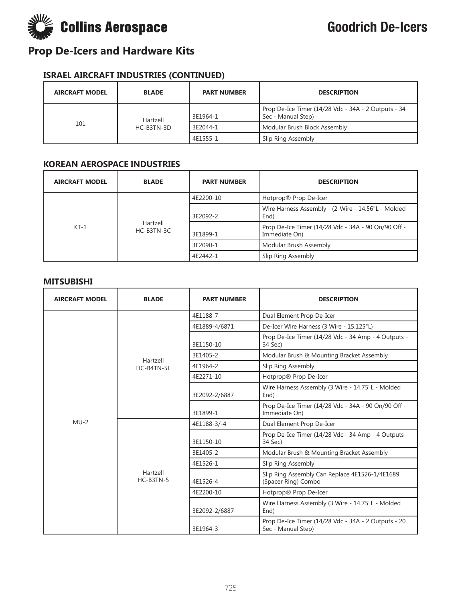

#### **ISRAEL AIRCRAFT INDUSTRIES (CONTINUED)**

| <b>AIRCRAFT MODEL</b> | <b>BLADE</b>           | <b>PART NUMBER</b> | <b>DESCRIPTION</b>                                                        |
|-----------------------|------------------------|--------------------|---------------------------------------------------------------------------|
| 101                   | Hartzell<br>HC-B3TN-3D | 3E1964-1           | Prop De-Ice Timer (14/28 Vdc - 34A - 2 Outputs - 34<br>Sec - Manual Step) |
|                       |                        | 3E2044-1           | Modular Brush Block Assembly                                              |
|                       |                        | 4E1555-1           | Slip Ring Assembly                                                        |

#### **KOREAN AEROSPACE INDUSTRIES**

| <b>AIRCRAFT MODEL</b> | <b>BLADE</b>             | <b>PART NUMBER</b> | <b>DESCRIPTION</b>                                                   |
|-----------------------|--------------------------|--------------------|----------------------------------------------------------------------|
| $KT-1$                | Hartzell<br>$HC-B3TN-3C$ | 4E2200-10          | Hotprop® Prop De-Icer                                                |
|                       |                          | 3E2092-2           | Wire Harness Assembly - (2-Wire - 14.56"L - Molded<br>End)           |
|                       |                          | 3E1899-1           | Prop De-Ice Timer (14/28 Vdc - 34A - 90 On/90 Off -<br>Immediate On) |
|                       |                          | 3E2090-1           | Modular Brush Assembly                                               |
|                       |                          | 4E2442-1           | Slip Ring Assembly                                                   |

#### **MITSUBISHI**

| <b>AIRCRAFT MODEL</b> | <b>BLADE</b>            | <b>PART NUMBER</b> | <b>DESCRIPTION</b>                                                        |
|-----------------------|-------------------------|--------------------|---------------------------------------------------------------------------|
|                       |                         | 4E1188-7           | Dual Element Prop De-Icer                                                 |
|                       |                         | 4E1889-4/6871      | De-Icer Wire Harness (3 Wire - 15.125"L)                                  |
|                       |                         | 3E1150-10          | Prop De-Ice Timer (14/28 Vdc - 34 Amp - 4 Outputs -<br>34 Sec)            |
|                       | Hartzell                | 3E1405-2           | Modular Brush & Mounting Bracket Assembly                                 |
|                       | HC-B4TN-5L              | 4E1964-2           | Slip Ring Assembly                                                        |
|                       |                         | 4E2271-10          | Hotprop® Prop De-Icer                                                     |
| $MU-2$                |                         | 3E2092-2/6887      | Wire Harness Assembly (3 Wire - 14.75"L - Molded<br>End)                  |
|                       |                         | 3E1899-1           | Prop De-Ice Timer (14/28 Vdc - 34A - 90 On/90 Off -<br>Immediate On)      |
|                       | Hartzell<br>$HC-B3TN-5$ | 4E1188-3/-4        | Dual Element Prop De-Icer                                                 |
|                       |                         | 3E1150-10          | Prop De-Ice Timer (14/28 Vdc - 34 Amp - 4 Outputs -<br>34 Sec)            |
|                       |                         | 3E1405-2           | Modular Brush & Mounting Bracket Assembly                                 |
|                       |                         | 4E1526-1           | Slip Ring Assembly                                                        |
|                       |                         | 4E1526-4           | Slip Ring Assembly Can Replace 4E1526-1/4E1689<br>(Spacer Ring) Combo     |
|                       |                         | 4E2200-10          | Hotprop® Prop De-Icer                                                     |
|                       |                         | 3E2092-2/6887      | Wire Harness Assembly (3 Wire - 14.75"L - Molded<br>End)                  |
|                       |                         | 3E1964-3           | Prop De-Ice Timer (14/28 Vdc - 34A - 2 Outputs - 20<br>Sec - Manual Step) |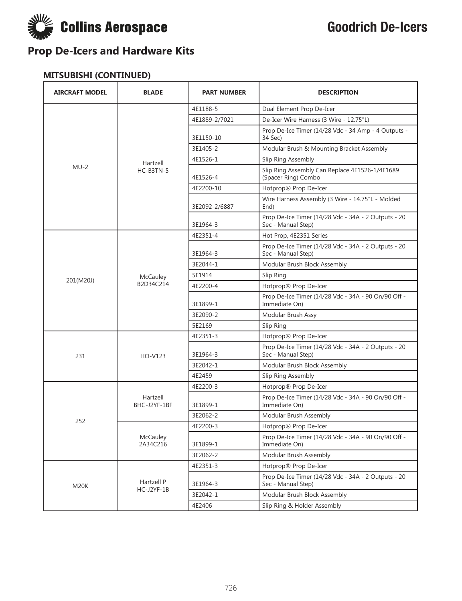

### **MITSUBISHI (CONTINUED)**

| <b>AIRCRAFT MODEL</b> | <b>BLADE</b>             | <b>PART NUMBER</b> | <b>DESCRIPTION</b>                                                        |
|-----------------------|--------------------------|--------------------|---------------------------------------------------------------------------|
|                       |                          | 4E1188-5           | Dual Element Prop De-Icer                                                 |
|                       |                          | 4E1889-2/7021      | De-Icer Wire Harness (3 Wire - 12.75"L)                                   |
|                       |                          | 3E1150-10          | Prop De-Ice Timer (14/28 Vdc - 34 Amp - 4 Outputs -<br>34 Sec)            |
|                       |                          | 3E1405-2           | Modular Brush & Mounting Bracket Assembly                                 |
|                       | Hartzell                 | 4E1526-1           | Slip Ring Assembly                                                        |
| $MU-2$                | HC-B3TN-5                | 4E1526-4           | Slip Ring Assembly Can Replace 4E1526-1/4E1689<br>(Spacer Ring) Combo     |
|                       |                          | 4E2200-10          | Hotprop® Prop De-Icer                                                     |
|                       |                          | 3E2092-2/6887      | Wire Harness Assembly (3 Wire - 14.75"L - Molded<br>End)                  |
|                       |                          | 3E1964-3           | Prop De-Ice Timer (14/28 Vdc - 34A - 2 Outputs - 20<br>Sec - Manual Step) |
|                       |                          | 4E2351-4           | Hot Prop, 4E2351 Series                                                   |
|                       |                          | 3E1964-3           | Prop De-Ice Timer (14/28 Vdc - 34A - 2 Outputs - 20<br>Sec - Manual Step) |
|                       |                          | 3E2044-1           | Modular Brush Block Assembly                                              |
| 201(M20J)             | McCauley<br>B2D34C214    | 5E1914             | Slip Ring                                                                 |
|                       |                          | 4E2200-4           | Hotprop® Prop De-Icer                                                     |
|                       |                          | 3E1899-1           | Prop De-Ice Timer (14/28 Vdc - 34A - 90 On/90 Off -<br>Immediate On)      |
|                       |                          | 3E2090-2           | Modular Brush Assy                                                        |
|                       |                          | 5E2169             | Slip Ring                                                                 |
|                       |                          | 4E2351-3           | Hotprop® Prop De-Icer                                                     |
| 231                   | HO-V123                  | 3E1964-3           | Prop De-Ice Timer (14/28 Vdc - 34A - 2 Outputs - 20<br>Sec - Manual Step) |
|                       |                          | 3E2042-1           | Modular Brush Block Assembly                                              |
|                       |                          | 4E2459             | Slip Ring Assembly                                                        |
|                       |                          | 4E2200-3           | Hotprop® Prop De-Icer                                                     |
|                       | Hartzell<br>BHC-J2YF-1BF | 3E1899-1           | Prop De-Ice Timer (14/28 Vdc - 34A - 90 On/90 Off -<br>Immediate On)      |
| 252                   |                          | 3E2062-2           | Modular Brush Assembly                                                    |
|                       |                          | 4E2200-3           | Hotprop® Prop De-Icer                                                     |
|                       | McCauley<br>2A34C216     | 3E1899-1           | Prop De-Ice Timer (14/28 Vdc - 34A - 90 On/90 Off -<br>Immediate On)      |
|                       |                          | 3E2062-2           | Modular Brush Assembly                                                    |
|                       |                          | 4E2351-3           | Hotprop® Prop De-Icer                                                     |
| M20K                  | Hartzell P<br>HC-J2YF-1B | 3E1964-3           | Prop De-Ice Timer (14/28 Vdc - 34A - 2 Outputs - 20<br>Sec - Manual Step) |
|                       |                          | 3E2042-1           | Modular Brush Block Assembly                                              |
|                       |                          | 4E2406             | Slip Ring & Holder Assembly                                               |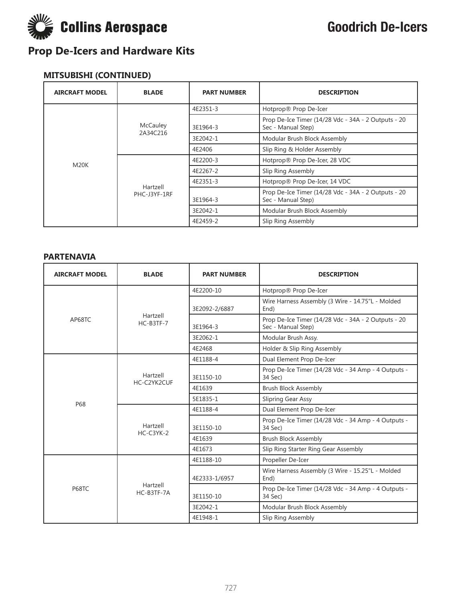

### **MITSUBISHI (CONTINUED)**

| <b>AIRCRAFT MODEL</b> | <b>BLADE</b>             | <b>PART NUMBER</b> | <b>DESCRIPTION</b>                                                        |
|-----------------------|--------------------------|--------------------|---------------------------------------------------------------------------|
|                       |                          | 4E2351-3           | Hotprop® Prop De-Icer                                                     |
|                       | McCauley<br>2A34C216     | 3E1964-3           | Prop De-Ice Timer (14/28 Vdc - 34A - 2 Outputs - 20<br>Sec - Manual Step) |
|                       |                          | 3E2042-1           | Modular Brush Block Assembly                                              |
|                       |                          | 4E2406             | Slip Ring & Holder Assembly                                               |
| M20K                  | Hartzell<br>PHC-J3YF-1RF | 4E2200-3           | Hotprop® Prop De-Icer, 28 VDC                                             |
|                       |                          | 4E2267-2           | Slip Ring Assembly                                                        |
|                       |                          | 4E2351-3           | Hotprop® Prop De-Icer, 14 VDC                                             |
|                       |                          | 3E1964-3           | Prop De-Ice Timer (14/28 Vdc - 34A - 2 Outputs - 20<br>Sec - Manual Step) |
|                       |                          | 3E2042-1           | Modular Brush Block Assembly                                              |
|                       |                          | 4E2459-2           | Slip Ring Assembly                                                        |

#### **PARTENAVIA**

| <b>AIRCRAFT MODEL</b> | <b>BLADE</b>            | <b>PART NUMBER</b> | <b>DESCRIPTION</b>                                                        |
|-----------------------|-------------------------|--------------------|---------------------------------------------------------------------------|
|                       |                         | 4E2200-10          | Hotprop® Prop De-Icer                                                     |
|                       |                         | 3E2092-2/6887      | Wire Harness Assembly (3 Wire - 14.75"L - Molded<br>End)                  |
| AP68TC                | Hartzell<br>$HC-B3TF-7$ | 3E1964-3           | Prop De-Ice Timer (14/28 Vdc - 34A - 2 Outputs - 20<br>Sec - Manual Step) |
|                       |                         | 3E2062-1           | Modular Brush Assy.                                                       |
|                       |                         | 4E2468             | Holder & Slip Ring Assembly                                               |
|                       |                         | 4E1188-4           | Dual Element Prop De-Icer                                                 |
|                       | Hartzell<br>HC-C2YK2CUF | 3E1150-10          | Prop De-Ice Timer (14/28 Vdc - 34 Amp - 4 Outputs -<br>34 Sec)            |
|                       |                         | 4E1639             | <b>Brush Block Assembly</b>                                               |
| <b>P68</b>            |                         | 5E1835-1           | Slipring Gear Assy                                                        |
|                       | Hartzell<br>$HC-C3YK-2$ | 4E1188-4           | Dual Element Prop De-Icer                                                 |
|                       |                         | 3E1150-10          | Prop De-Ice Timer (14/28 Vdc - 34 Amp - 4 Outputs -<br>34 Sec)            |
|                       |                         | 4E1639             | <b>Brush Block Assembly</b>                                               |
|                       |                         | 4E1673             | Slip Ring Starter Ring Gear Assembly                                      |
|                       |                         | 4E1188-10          | Propeller De-Icer                                                         |
| <b>P68TC</b>          | Hartzell<br>HC-B3TF-7A  | 4E2333-1/6957      | Wire Harness Assembly (3 Wire - 15.25"L - Molded<br>End)                  |
|                       |                         | 3E1150-10          | Prop De-Ice Timer (14/28 Vdc - 34 Amp - 4 Outputs -<br>34 Sec)            |
|                       |                         | 3E2042-1           | Modular Brush Block Assembly                                              |
|                       |                         | 4E1948-1           | Slip Ring Assembly                                                        |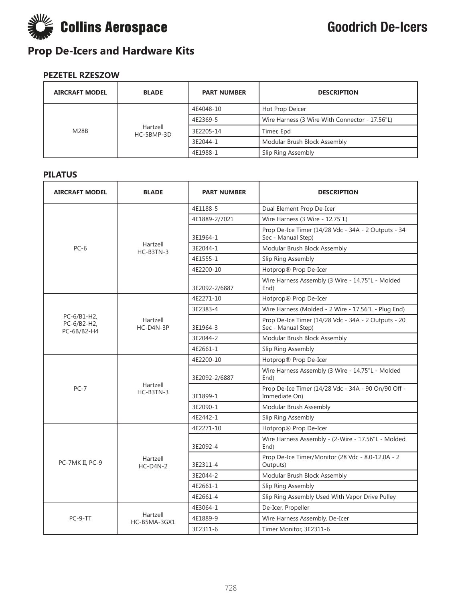

### **PEZETEL RZESZOW**

| <b>AIRCRAFT MODEL</b> | <b>BLADE</b>           | <b>PART NUMBER</b> | <b>DESCRIPTION</b>                             |
|-----------------------|------------------------|--------------------|------------------------------------------------|
| <b>M28B</b>           | Hartzell<br>HC-5BMP-3D | 4E4048-10          | Hot Prop Deicer                                |
|                       |                        | 4E2369-5           | Wire Harness (3 Wire With Connector - 17.56"L) |
|                       |                        | 3E2205-14          | Timer, Epd                                     |
|                       |                        | 3E2044-1           | Modular Brush Block Assembly                   |
|                       |                        | 4E1988-1           | Slip Ring Assembly                             |

#### **PILATUS**

| <b>AIRCRAFT MODEL</b>                     | <b>BLADE</b>             | <b>PART NUMBER</b> | <b>DESCRIPTION</b>                                                        |
|-------------------------------------------|--------------------------|--------------------|---------------------------------------------------------------------------|
|                                           |                          | 4E1188-5           | Dual Element Prop De-Icer                                                 |
|                                           |                          | 4E1889-2/7021      | Wire Harness (3 Wire - 12.75"L)                                           |
|                                           |                          | 3E1964-1           | Prop De-Ice Timer (14/28 Vdc - 34A - 2 Outputs - 34<br>Sec - Manual Step) |
| $PC-6$                                    | Hartzell<br>$HC-B3TN-3$  | 3E2044-1           | Modular Brush Block Assembly                                              |
|                                           |                          | 4E1555-1           | Slip Ring Assembly                                                        |
|                                           |                          | 4E2200-10          | Hotprop® Prop De-Icer                                                     |
|                                           |                          | 3E2092-2/6887      | Wire Harness Assembly (3 Wire - 14.75"L - Molded<br>End)                  |
|                                           |                          | 4E2271-10          | Hotprop® Prop De-Icer                                                     |
|                                           |                          | 3E2383-4           | Wire Harness (Molded - 2 Wire - 17.56"L - Plug End)                       |
| PC-6/B1-H2,<br>PC-6/B2-H2,<br>PC-6B/B2-H4 | Hartzell<br>$HC-DAN-3P$  | 3E1964-3           | Prop De-Ice Timer (14/28 Vdc - 34A - 2 Outputs - 20<br>Sec - Manual Step) |
|                                           |                          | 3E2044-2           | Modular Brush Block Assembly                                              |
|                                           |                          | 4E2661-1           | Slip Ring Assembly                                                        |
|                                           | Hartzell<br>$HC-B3TN-3$  | 4E2200-10          | Hotprop® Prop De-Icer                                                     |
|                                           |                          | 3E2092-2/6887      | Wire Harness Assembly (3 Wire - 14.75"L - Molded<br>End)                  |
| $PC-7$                                    |                          | 3E1899-1           | Prop De-Ice Timer (14/28 Vdc - 34A - 90 On/90 Off -<br>Immediate On)      |
|                                           |                          | 3E2090-1           | Modular Brush Assembly                                                    |
|                                           |                          | 4E2442-1           | Slip Ring Assembly                                                        |
|                                           |                          | 4E2271-10          | Hotprop® Prop De-Icer                                                     |
|                                           |                          | 3E2092-4           | Wire Harness Assembly - (2-Wire - 17.56"L - Molded<br>End)                |
| PC-7MK II, PC-9                           | Hartzell<br>$HC-D4N-2$   | 3E2311-4           | Prop De-Ice Timer/Monitor (28 Vdc - 8.0-12.0A - 2<br>Outputs)             |
|                                           |                          | 3E2044-2           | Modular Brush Block Assembly                                              |
|                                           |                          | 4E2661-1           | Slip Ring Assembly                                                        |
|                                           |                          | 4E2661-4           | Slip Ring Assembly Used With Vapor Drive Pulley                           |
|                                           |                          | 4E3064-1           | De-Icer, Propeller                                                        |
| $PC-9-TT$                                 | Hartzell<br>HC-B5MA-3GX1 | 4E1889-9           | Wire Harness Assembly, De-Icer                                            |
|                                           |                          | 3E2311-6           | Timer Monitor, 3E2311-6                                                   |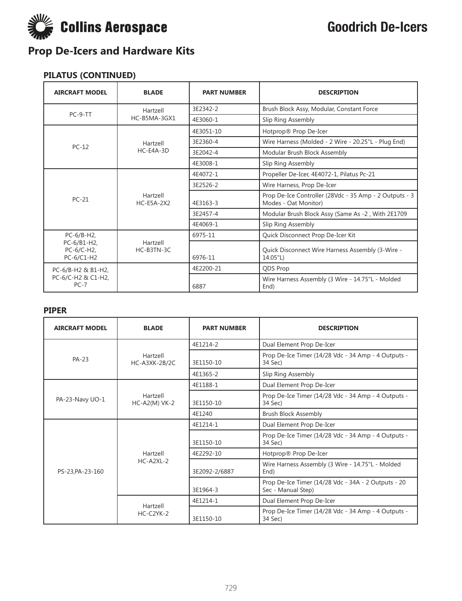

#### **PILATUS (CONTINUED)**

| <b>AIRCRAFT MODEL</b>                     | <b>BLADE</b>                  | <b>PART NUMBER</b> | <b>DESCRIPTION</b>                                                             |
|-------------------------------------------|-------------------------------|--------------------|--------------------------------------------------------------------------------|
| PC-9-TT                                   | Hartzell                      | 3E2342-2           | Brush Block Assy, Modular, Constant Force                                      |
|                                           | HC-B5MA-3GX1                  | 4E3060-1           | Slip Ring Assembly                                                             |
|                                           |                               | 4E3051-10          | Hotprop® Prop De-Icer                                                          |
| $PC-12$                                   | Hartzell                      | 3E2360-4           | Wire Harness (Molded - 2 Wire - 20.25"L - Plug End)                            |
|                                           | $HC-E4A-3D$                   | 3E2042-4           | Modular Brush Block Assembly                                                   |
|                                           |                               | 4E3008-1           | Slip Ring Assembly                                                             |
|                                           | Hartzell<br><b>HC-E5A-2X2</b> | 4E4072-1           | Propeller De-Icer, 4E4072-1, Pilatus Pc-21                                     |
|                                           |                               | 3E2526-2           | Wire Harness, Prop De-Icer                                                     |
| $PC-21$                                   |                               | 4E3163-3           | Prop De-Ice Controller (28Vdc - 35 Amp - 2 Outputs - 3<br>Modes - Oat Monitor) |
|                                           |                               | 3E2457-4           | Modular Brush Block Assy (Same As -2, With 2E1709                              |
|                                           |                               | 4E4069-1           | Slip Ring Assembly                                                             |
| $PC-6/B-H2$ ,                             |                               | 6975-11            | Quick Disconnect Prop De-Icer Kit                                              |
| PC-6/B1-H2,<br>PC-6/C-H2,<br>$PC-6/C1-H2$ | Hartzell<br>HC-B3TN-3C        | 6976-11            | Quick Disconnect Wire Harness Assembly (3-Wire -<br>14.05"L)                   |
| PC-6/B-H2 & B1-H2,                        |                               | 4E2200-21          | <b>ODS Prop</b>                                                                |
| PC-6/C-H2 & C1-H2,<br>$PC-7$              |                               | 6887               | Wire Harness Assembly (3 Wire - 14.75"L - Molded<br>End)                       |

#### **PIPER**

| <b>AIRCRAFT MODEL</b> | <b>BLADE</b>                | <b>PART NUMBER</b> | <b>DESCRIPTION</b>                                                        |
|-----------------------|-----------------------------|--------------------|---------------------------------------------------------------------------|
|                       |                             | 4E1214-2           | Dual Element Prop De-Icer                                                 |
| PA-23                 | Hartzell<br>HC-A3XK-2B/2C   | 3E1150-10          | Prop De-Ice Timer (14/28 Vdc - 34 Amp - 4 Outputs -<br>34 Sec)            |
|                       |                             | 4E1365-2           | Slip Ring Assembly                                                        |
|                       |                             | 4E1188-1           | Dual Element Prop De-Icer                                                 |
| PA-23-Navy UO-1       | Hartzell<br>$HC-A2(M)$ VK-2 | 3E1150-10          | Prop De-Ice Timer (14/28 Vdc - 34 Amp - 4 Outputs -<br>34 Sec)            |
|                       |                             | 4E1240             | <b>Brush Block Assembly</b>                                               |
|                       | Hartzell<br>$HC-A2XL-2$     | 4E1214-1           | Dual Element Prop De-Icer                                                 |
|                       |                             | 3E1150-10          | Prop De-Ice Timer (14/28 Vdc - 34 Amp - 4 Outputs -<br>34 Sec)            |
|                       |                             | 4E2292-10          | Hotprop® Prop De-Icer                                                     |
| PS-23.PA-23-160       |                             | 3E2092-2/6887      | Wire Harness Assembly (3 Wire - 14.75"L - Molded<br>End)                  |
|                       |                             | 3E1964-3           | Prop De-Ice Timer (14/28 Vdc - 34A - 2 Outputs - 20<br>Sec - Manual Step) |
|                       | Hartzell                    | 4E1214-1           | Dual Element Prop De-Icer                                                 |
|                       | $HC-C2YK-2$                 | 3E1150-10          | Prop De-Ice Timer (14/28 Vdc - 34 Amp - 4 Outputs -<br>34 Sec)            |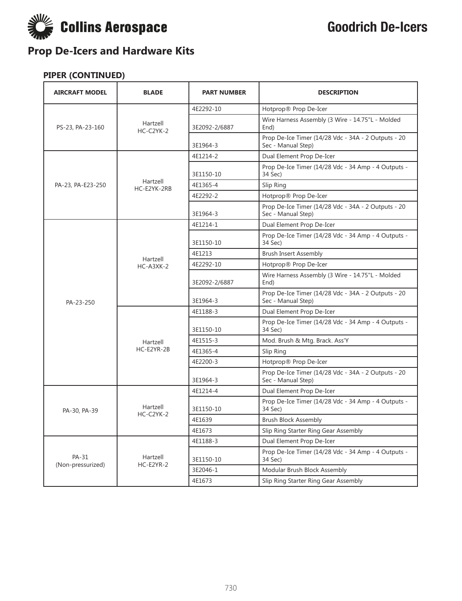

| <b>AIRCRAFT MODEL</b>      | <b>BLADE</b>            | <b>PART NUMBER</b> | <b>DESCRIPTION</b>                                                        |
|----------------------------|-------------------------|--------------------|---------------------------------------------------------------------------|
|                            | Hartzell<br>$HC-C2YK-2$ | 4E2292-10          | Hotprop® Prop De-Icer                                                     |
| PS-23, PA-23-160           |                         | 3E2092-2/6887      | Wire Harness Assembly (3 Wire - 14.75"L - Molded<br>End)                  |
|                            |                         | 3E1964-3           | Prop De-Ice Timer (14/28 Vdc - 34A - 2 Outputs - 20<br>Sec - Manual Step) |
|                            |                         | 4E1214-2           | Dual Element Prop De-Icer                                                 |
|                            |                         | 3E1150-10          | Prop De-Ice Timer (14/28 Vdc - 34 Amp - 4 Outputs -<br>34 Sec)            |
| PA-23, PA-E23-250          | Hartzell<br>HC-E2YK-2RB | 4E1365-4           | Slip Ring                                                                 |
|                            |                         | 4E2292-2           | Hotprop® Prop De-Icer                                                     |
|                            |                         | 3E1964-3           | Prop De-Ice Timer (14/28 Vdc - 34A - 2 Outputs - 20<br>Sec - Manual Step) |
|                            |                         | 4E1214-1           | Dual Element Prop De-Icer                                                 |
|                            |                         | 3E1150-10          | Prop De-Ice Timer (14/28 Vdc - 34 Amp - 4 Outputs -<br>34 Sec)            |
|                            | Hartzell                | 4E1213             | <b>Brush Insert Assembly</b>                                              |
|                            | $HC-A3XK-2$             | 4E2292-10          | Hotprop® Prop De-Icer                                                     |
|                            |                         | 3E2092-2/6887      | Wire Harness Assembly (3 Wire - 14.75"L - Molded<br>End)                  |
| PA-23-250                  |                         | 3E1964-3           | Prop De-Ice Timer (14/28 Vdc - 34A - 2 Outputs - 20<br>Sec - Manual Step) |
|                            |                         | 4E1188-3           | Dual Element Prop De-Icer                                                 |
|                            |                         | 3E1150-10          | Prop De-Ice Timer (14/28 Vdc - 34 Amp - 4 Outputs -<br>34 Sec)            |
|                            | Hartzell                | 4E1515-3           | Mod. Brush & Mtg. Brack. Ass'Y                                            |
|                            | HC-E2YR-2B              | 4E1365-4           | Slip Ring                                                                 |
|                            |                         | 4E2200-3           | Hotprop® Prop De-Icer                                                     |
|                            |                         | 3E1964-3           | Prop De-Ice Timer (14/28 Vdc - 34A - 2 Outputs - 20<br>Sec - Manual Step) |
|                            |                         | 4E1214-4           | Dual Element Prop De-Icer                                                 |
| PA-30, PA-39               | Hartzell<br>HC-C2YK-2   | 3E1150-10          | Prop De-Ice Timer (14/28 Vdc - 34 Amp - 4 Outputs -<br>34 Sec)            |
|                            |                         | 4E1639             | <b>Brush Block Assembly</b>                                               |
|                            |                         | 4E1673             | Slip Ring Starter Ring Gear Assembly                                      |
|                            |                         | 4E1188-3           | Dual Element Prop De-Icer                                                 |
| PA-31<br>(Non-pressurized) | Hartzell<br>HC-E2YR-2   | 3E1150-10          | Prop De-Ice Timer (14/28 Vdc - 34 Amp - 4 Outputs -<br>34 Sec)            |
|                            |                         | 3E2046-1           | Modular Brush Block Assembly                                              |
|                            |                         | 4E1673             | Slip Ring Starter Ring Gear Assembly                                      |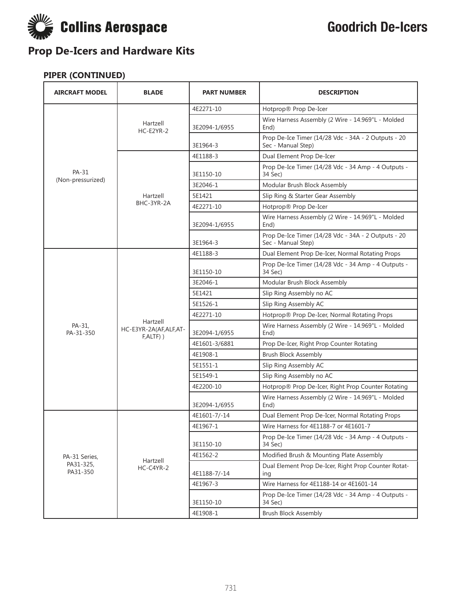

| <b>AIRCRAFT MODEL</b>      | <b>BLADE</b>                                   | <b>PART NUMBER</b> | <b>DESCRIPTION</b>                                                        |
|----------------------------|------------------------------------------------|--------------------|---------------------------------------------------------------------------|
|                            | Hartzell<br>HC-E2YR-2                          | 4E2271-10          | Hotprop® Prop De-Icer                                                     |
|                            |                                                | 3E2094-1/6955      | Wire Harness Assembly (2 Wire - 14.969"L - Molded<br>End)                 |
|                            |                                                | 3E1964-3           | Prop De-Ice Timer (14/28 Vdc - 34A - 2 Outputs - 20<br>Sec - Manual Step) |
|                            |                                                | 4E1188-3           | Dual Element Prop De-Icer                                                 |
| PA-31<br>(Non-pressurized) |                                                | 3E1150-10          | Prop De-Ice Timer (14/28 Vdc - 34 Amp - 4 Outputs -<br>34 Sec)            |
|                            |                                                | 3E2046-1           | Modular Brush Block Assembly                                              |
|                            | Hartzell                                       | 5E1421             | Slip Ring & Starter Gear Assembly                                         |
|                            | BHC-3YR-2A                                     | 4E2271-10          | Hotprop® Prop De-Icer                                                     |
|                            |                                                | 3E2094-1/6955      | Wire Harness Assembly (2 Wire - 14.969"L - Molded<br>End)                 |
|                            |                                                | 3E1964-3           | Prop De-Ice Timer (14/28 Vdc - 34A - 2 Outputs - 20<br>Sec - Manual Step) |
|                            |                                                | 4E1188-3           | Dual Element Prop De-Icer, Normal Rotating Props                          |
|                            | Hartzell<br>HC-E3YR-2A(AF,ALF,AT-<br>F,ALTF) ) | 3E1150-10          | Prop De-Ice Timer (14/28 Vdc - 34 Amp - 4 Outputs -<br>34 Sec)            |
|                            |                                                | 3E2046-1           | Modular Brush Block Assembly                                              |
|                            |                                                | 5E1421             | Slip Ring Assembly no AC                                                  |
|                            |                                                | 5E1526-1           | Slip Ring Assembly AC                                                     |
|                            |                                                | 4E2271-10          | Hotprop® Prop De-Icer, Normal Rotating Props                              |
| PA-31,<br>PA-31-350        |                                                | 3E2094-1/6955      | Wire Harness Assembly (2 Wire - 14.969"L - Molded<br>End)                 |
|                            |                                                | 4E1601-3/6881      | Prop De-Icer, Right Prop Counter Rotating                                 |
|                            |                                                | 4E1908-1           | <b>Brush Block Assembly</b>                                               |
|                            |                                                | 5E1551-1           | Slip Ring Assembly AC                                                     |
|                            |                                                | 5E1549-1           | Slip Ring Assembly no AC                                                  |
|                            |                                                | 4E2200-10          | Hotprop® Prop De-Icer, Right Prop Counter Rotating                        |
|                            |                                                | 3E2094-1/6955      | Wire Harness Assembly (2 Wire - 14.969"L - Molded<br>End)                 |
|                            |                                                | 4E1601-7/-14       | Dual Element Prop De-Icer, Normal Rotating Props                          |
|                            |                                                | 4E1967-1           | Wire Harness for 4E1188-7 or 4E1601-7                                     |
|                            |                                                | 3E1150-10          | Prop De-Ice Timer (14/28 Vdc - 34 Amp - 4 Outputs -<br>34 Sec)            |
| PA-31 Series,              |                                                | 4E1562-2           | Modified Brush & Mounting Plate Assembly                                  |
| PA31-325,<br>PA31-350      | Hartzell<br>HC-C4YR-2                          | 4E1188-7/-14       | Dual Element Prop De-Icer, Right Prop Counter Rotat-<br>ing               |
|                            |                                                | 4E1967-3           | Wire Harness for 4E1188-14 or 4E1601-14                                   |
|                            |                                                | 3E1150-10          | Prop De-Ice Timer (14/28 Vdc - 34 Amp - 4 Outputs -<br>34 Sec)            |
|                            |                                                | 4E1908-1           | <b>Brush Block Assembly</b>                                               |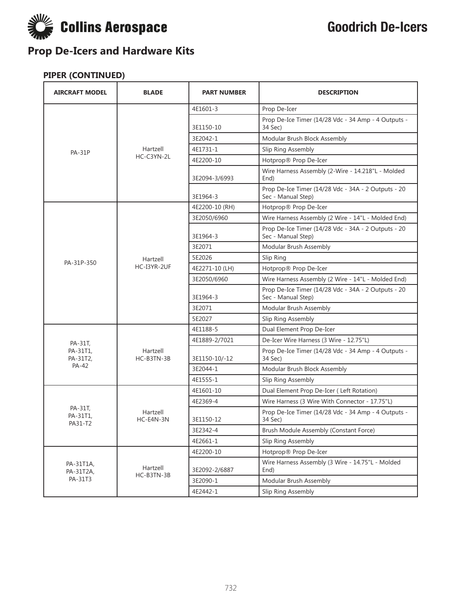

| <b>AIRCRAFT MODEL</b>          | <b>BLADE</b>           | <b>PART NUMBER</b> | <b>DESCRIPTION</b>                                                        |
|--------------------------------|------------------------|--------------------|---------------------------------------------------------------------------|
|                                |                        | 4E1601-3           | Prop De-Icer                                                              |
|                                |                        | 3E1150-10          | Prop De-Ice Timer (14/28 Vdc - 34 Amp - 4 Outputs -<br>34 Sec)            |
|                                |                        | 3E2042-1           | Modular Brush Block Assembly                                              |
| <b>PA-31P</b>                  | Hartzell               | 4E1731-1           | Slip Ring Assembly                                                        |
|                                | HC-C3YN-2L             | 4E2200-10          | Hotprop® Prop De-Icer                                                     |
|                                |                        | 3E2094-3/6993      | Wire Harness Assembly (2-Wire - 14.218"L - Molded<br>End)                 |
|                                |                        | 3E1964-3           | Prop De-Ice Timer (14/28 Vdc - 34A - 2 Outputs - 20<br>Sec - Manual Step) |
|                                |                        | 4E2200-10 (RH)     | Hotprop® Prop De-Icer                                                     |
|                                |                        | 3E2050/6960        | Wire Harness Assembly (2 Wire - 14"L - Molded End)                        |
|                                |                        | 3E1964-3           | Prop De-Ice Timer (14/28 Vdc - 34A - 2 Outputs - 20<br>Sec - Manual Step) |
|                                |                        | 3E2071             | Modular Brush Assembly                                                    |
| PA-31P-350                     | Hartzell               | 5E2026             | Slip Ring                                                                 |
|                                | HC-I3YR-2UF            | 4E2271-10 (LH)     | Hotprop® Prop De-Icer                                                     |
|                                |                        | 3E2050/6960        | Wire Harness Assembly (2 Wire - 14"L - Molded End)                        |
|                                |                        | 3E1964-3           | Prop De-Ice Timer (14/28 Vdc - 34A - 2 Outputs - 20<br>Sec - Manual Step) |
|                                |                        | 3E2071             | Modular Brush Assembly                                                    |
|                                |                        | 5E2027             | Slip Ring Assembly                                                        |
|                                |                        | 4E1188-5           | Dual Element Prop De-Icer                                                 |
| PA-31T,                        |                        | 4E1889-2/7021      | De-Icer Wire Harness (3 Wire - 12.75"L)                                   |
| PA-31T1,<br>PA-31T2,           | Hartzell<br>HC-B3TN-3B | 3E1150-10/-12      | Prop De-Ice Timer (14/28 Vdc - 34 Amp - 4 Outputs -<br>34 Sec)            |
| PA-42                          |                        | 3E2044-1           | Modular Brush Block Assembly                                              |
|                                |                        | 4E1555-1           | Slip Ring Assembly                                                        |
|                                |                        | 4E1601-10          | Dual Element Prop De-Icer (Left Rotation)                                 |
|                                |                        | 4E2369-4           | Wire Harness (3 Wire With Connector - 17.75"L)                            |
| PA-31T,<br>PA-31T1,<br>PA31-T2 | Hartzell<br>HC-E4N-3N  | 3E1150-12          | Prop De-Ice Timer (14/28 Vdc - 34 Amp - 4 Outputs -<br>34 Sec)            |
|                                |                        | 3E2342-4           | Brush Module Assembly (Constant Force)                                    |
|                                |                        | 4E2661-1           | Slip Ring Assembly                                                        |
|                                |                        | 4E2200-10          | Hotprop® Prop De-Icer                                                     |
| PA-31T1A,<br>PA-31T2A,         | Hartzell<br>HC-B3TN-3B | 3E2092-2/6887      | Wire Harness Assembly (3 Wire - 14.75"L - Molded<br>End)                  |
| PA-31T3                        |                        | 3E2090-1           | Modular Brush Assembly                                                    |
|                                |                        | 4E2442-1           | Slip Ring Assembly                                                        |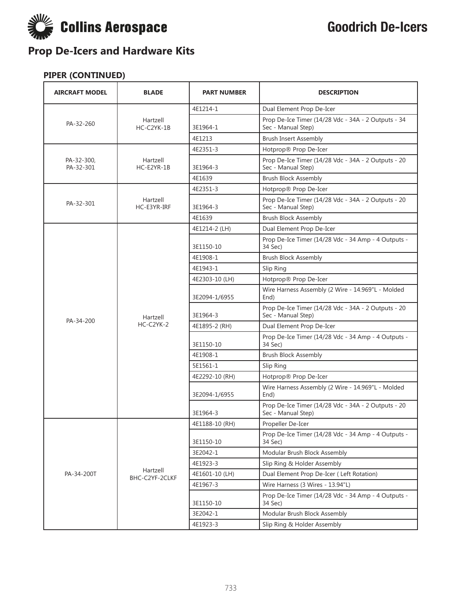

| <b>AIRCRAFT MODEL</b>   | <b>BLADE</b>            | <b>PART NUMBER</b> | <b>DESCRIPTION</b>                                                        |
|-------------------------|-------------------------|--------------------|---------------------------------------------------------------------------|
| PA-32-260               | Hartzell<br>HC-C2YK-1B  | 4E1214-1           | Dual Element Prop De-Icer                                                 |
|                         |                         | 3E1964-1           | Prop De-Ice Timer (14/28 Vdc - 34A - 2 Outputs - 34<br>Sec - Manual Step) |
|                         |                         | 4E1213             | <b>Brush Insert Assembly</b>                                              |
|                         |                         | 4E2351-3           | Hotprop® Prop De-Icer                                                     |
| PA-32-300,<br>PA-32-301 | Hartzell<br>HC-E2YR-1B  | 3E1964-3           | Prop De-Ice Timer (14/28 Vdc - 34A - 2 Outputs - 20<br>Sec - Manual Step) |
|                         |                         | 4E1639             | <b>Brush Block Assembly</b>                                               |
|                         |                         | 4E2351-3           | Hotprop® Prop De-Icer                                                     |
| PA-32-301               | Hartzell<br>HC-E3YR-IRF | 3E1964-3           | Prop De-Ice Timer (14/28 Vdc - 34A - 2 Outputs - 20<br>Sec - Manual Step) |
|                         |                         | 4E1639             | <b>Brush Block Assembly</b>                                               |
|                         |                         | 4E1214-2 (LH)      | Dual Element Prop De-Icer                                                 |
|                         |                         | 3E1150-10          | Prop De-Ice Timer (14/28 Vdc - 34 Amp - 4 Outputs -<br>34 Sec)            |
|                         |                         | 4E1908-1           | <b>Brush Block Assembly</b>                                               |
|                         |                         | 4E1943-1           | Slip Ring                                                                 |
|                         |                         | 4E2303-10 (LH)     | Hotprop® Prop De-Icer                                                     |
|                         | Hartzell                | 3E2094-1/6955      | Wire Harness Assembly (2 Wire - 14.969"L - Molded<br>End)                 |
| PA-34-200               |                         | 3E1964-3           | Prop De-Ice Timer (14/28 Vdc - 34A - 2 Outputs - 20<br>Sec - Manual Step) |
|                         | $HC-C2YK-2$             | 4E1895-2 (RH)      | Dual Element Prop De-Icer                                                 |
|                         |                         | 3E1150-10          | Prop De-Ice Timer (14/28 Vdc - 34 Amp - 4 Outputs -<br>34 Sec)            |
|                         |                         | 4E1908-1           | <b>Brush Block Assembly</b>                                               |
|                         |                         | 5E1561-1           | Slip Ring                                                                 |
|                         |                         | 4E2292-10 (RH)     | Hotprop® Prop De-Icer                                                     |
|                         |                         | 3E2094-1/6955      | Wire Harness Assembly (2 Wire - 14.969"L - Molded<br>End)                 |
|                         |                         | 3E1964-3           | Prop De-Ice Timer (14/28 Vdc - 34A - 2 Outputs - 20<br>Sec - Manual Step) |
|                         |                         | 4E1188-10 (RH)     | Propeller De-Icer                                                         |
|                         |                         | 3E1150-10          | Prop De-Ice Timer (14/28 Vdc - 34 Amp - 4 Outputs -<br>34 Sec)            |
|                         |                         | 3E2042-1           | Modular Brush Block Assembly                                              |
|                         | Hartzell                | 4E1923-3           | Slip Ring & Holder Assembly                                               |
| PA-34-200T              | BHC-C2YF-2CLKF          | 4E1601-10 (LH)     | Dual Element Prop De-Icer (Left Rotation)                                 |
|                         |                         | 4E1967-3           | Wire Harness (3 Wires - 13.94"L)                                          |
|                         |                         | 3E1150-10          | Prop De-Ice Timer (14/28 Vdc - 34 Amp - 4 Outputs -<br>34 Sec)            |
|                         |                         | 3E2042-1           | Modular Brush Block Assembly                                              |
|                         |                         | 4E1923-3           | Slip Ring & Holder Assembly                                               |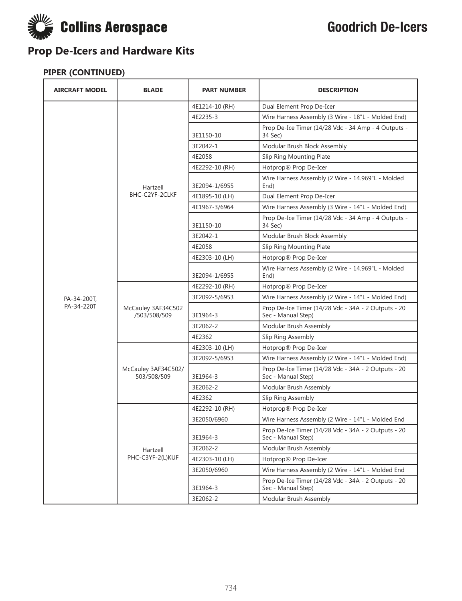

| <b>AIRCRAFT MODEL</b> | <b>BLADE</b>                       | <b>PART NUMBER</b> | <b>DESCRIPTION</b>                                                        |
|-----------------------|------------------------------------|--------------------|---------------------------------------------------------------------------|
|                       |                                    | 4E1214-10 (RH)     | Dual Element Prop De-Icer                                                 |
|                       |                                    | 4E2235-3           | Wire Harness Assembly (3 Wire - 18"L - Molded End)                        |
|                       |                                    | 3E1150-10          | Prop De-Ice Timer (14/28 Vdc - 34 Amp - 4 Outputs -<br>34 Sec)            |
|                       |                                    | 3E2042-1           | Modular Brush Block Assembly                                              |
|                       |                                    | 4E2058             | Slip Ring Mounting Plate                                                  |
|                       |                                    | 4E2292-10 (RH)     | Hotprop® Prop De-Icer                                                     |
|                       | Hartzell                           | 3E2094-1/6955      | Wire Harness Assembly (2 Wire - 14.969"L - Molded<br>End)                 |
|                       | BHC-C2YF-2CLKF                     | 4E1895-10 (LH)     | Dual Element Prop De-Icer                                                 |
|                       |                                    | 4E1967-3/6964      | Wire Harness Assembly (3 Wire - 14"L - Molded End)                        |
|                       |                                    | 3E1150-10          | Prop De-Ice Timer (14/28 Vdc - 34 Amp - 4 Outputs -<br>34 Sec)            |
|                       |                                    | 3E2042-1           | Modular Brush Block Assembly                                              |
|                       |                                    | 4E2058             | Slip Ring Mounting Plate                                                  |
|                       |                                    | 4E2303-10 (LH)     | Hotprop® Prop De-Icer                                                     |
|                       |                                    | 3E2094-1/6955      | Wire Harness Assembly (2 Wire - 14.969"L - Molded<br>End)                 |
|                       | McCauley 3AF34C502<br>/503/508/509 | 4E2292-10 (RH)     | Hotprop® Prop De-Icer                                                     |
| PA-34-200T,           |                                    | 3E2092-5/6953      | Wire Harness Assembly (2 Wire - 14"L - Molded End)                        |
| PA-34-220T            |                                    | 3E1964-3           | Prop De-Ice Timer (14/28 Vdc - 34A - 2 Outputs - 20<br>Sec - Manual Step) |
|                       |                                    | 3E2062-2           | Modular Brush Assembly                                                    |
|                       |                                    | 4E2362             | Slip Ring Assembly                                                        |
|                       | McCauley 3AF34C502/<br>503/508/509 | 4E2303-10 (LH)     | Hotprop® Prop De-Icer                                                     |
|                       |                                    | 3E2092-5/6953      | Wire Harness Assembly (2 Wire - 14"L - Molded End)                        |
|                       |                                    | 3E1964-3           | Prop De-Ice Timer (14/28 Vdc - 34A - 2 Outputs - 20<br>Sec - Manual Step) |
|                       |                                    | 3E2062-2           | Modular Brush Assembly                                                    |
|                       |                                    | 4E2362             | Slip Ring Assembly                                                        |
|                       |                                    | 4E2292-10 (RH)     | Hotprop® Prop De-Icer                                                     |
|                       |                                    | 3E2050/6960        | Wire Harness Assembly (2 Wire - 14"L - Molded End                         |
|                       |                                    | 3E1964-3           | Prop De-Ice Timer (14/28 Vdc - 34A - 2 Outputs - 20<br>Sec - Manual Step) |
|                       | Hartzell                           | 3E2062-2           | Modular Brush Assembly                                                    |
|                       | PHC-C3YF-2(L)KUF                   | 4E2303-10 (LH)     | Hotprop® Prop De-Icer                                                     |
|                       |                                    | 3E2050/6960        | Wire Harness Assembly (2 Wire - 14"L - Molded End                         |
|                       |                                    | 3E1964-3           | Prop De-Ice Timer (14/28 Vdc - 34A - 2 Outputs - 20<br>Sec - Manual Step) |
|                       |                                    | 3E2062-2           | Modular Brush Assembly                                                    |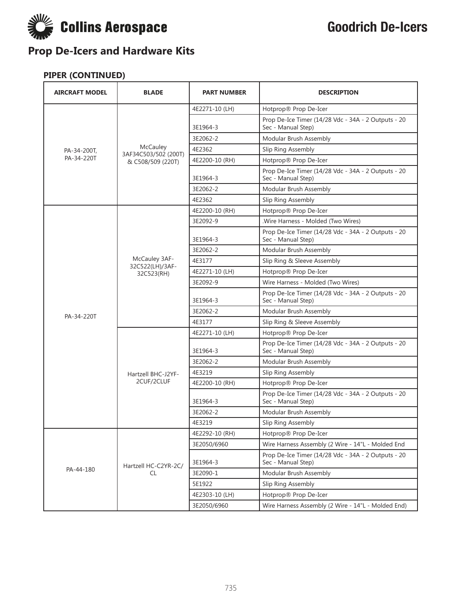

| <b>AIRCRAFT MODEL</b> | <b>BLADE</b>                     | <b>PART NUMBER</b> | <b>DESCRIPTION</b>                                                        |
|-----------------------|----------------------------------|--------------------|---------------------------------------------------------------------------|
|                       |                                  | 4E2271-10 (LH)     | Hotprop® Prop De-Icer                                                     |
|                       |                                  | 3E1964-3           | Prop De-Ice Timer (14/28 Vdc - 34A - 2 Outputs - 20<br>Sec - Manual Step) |
|                       |                                  | 3E2062-2           | Modular Brush Assembly                                                    |
| PA-34-200T,           | McCauley<br>3AF34C503/502 (200T) | 4E2362             | Slip Ring Assembly                                                        |
| PA-34-220T            | & C508/509 (220T)                | 4E2200-10 (RH)     | Hotprop® Prop De-Icer                                                     |
|                       |                                  | 3E1964-3           | Prop De-Ice Timer (14/28 Vdc - 34A - 2 Outputs - 20<br>Sec - Manual Step) |
|                       |                                  | 3E2062-2           | Modular Brush Assembly                                                    |
|                       |                                  | 4E2362             | Slip Ring Assembly                                                        |
|                       |                                  | 4E2200-10 (RH)     | Hotprop® Prop De-Icer                                                     |
|                       |                                  | 3E2092-9           | .Wire Harness - Molded (Two Wires)                                        |
|                       |                                  | 3E1964-3           | Prop De-Ice Timer (14/28 Vdc - 34A - 2 Outputs - 20<br>Sec - Manual Step) |
|                       |                                  | 3E2062-2           | Modular Brush Assembly                                                    |
|                       | McCauley 3AF-<br>32C522(LH)/3AF- | 4E3177             | Slip Ring & Sleeve Assembly                                               |
|                       | 32C523(RH)                       | 4E2271-10 (LH)     | Hotprop® Prop De-Icer                                                     |
|                       |                                  | 3E2092-9           | Wire Harness - Molded (Two Wires)                                         |
|                       |                                  | 3E1964-3           | Prop De-Ice Timer (14/28 Vdc - 34A - 2 Outputs - 20<br>Sec - Manual Step) |
| PA-34-220T            |                                  | 3E2062-2           | Modular Brush Assembly                                                    |
|                       |                                  | 4E3177             | Slip Ring & Sleeve Assembly                                               |
|                       | Hartzell BHC-J2YF-               | 4E2271-10 (LH)     | Hotprop® Prop De-Icer                                                     |
|                       |                                  | 3E1964-3           | Prop De-Ice Timer (14/28 Vdc - 34A - 2 Outputs - 20<br>Sec - Manual Step) |
|                       |                                  | 3E2062-2           | Modular Brush Assembly                                                    |
|                       |                                  | 4E3219             | Slip Ring Assembly                                                        |
|                       | 2CUF/2CLUF                       | 4E2200-10 (RH)     | Hotprop® Prop De-Icer                                                     |
|                       |                                  | 3E1964-3           | Prop De-Ice Timer (14/28 Vdc - 34A - 2 Outputs - 20<br>Sec - Manual Step) |
|                       |                                  | 3E2062-2           | Modular Brush Assembly                                                    |
|                       |                                  | 4E3219             | Slip Ring Assembly                                                        |
|                       |                                  | 4E2292-10 (RH)     | Hotprop® Prop De-Icer                                                     |
|                       |                                  | 3E2050/6960        | Wire Harness Assembly (2 Wire - 14"L - Molded End                         |
|                       | Hartzell HC-C2YR-2C/             | 3E1964-3           | Prop De-Ice Timer (14/28 Vdc - 34A - 2 Outputs - 20<br>Sec - Manual Step) |
| PA-44-180             | CL                               | 3E2090-1           | Modular Brush Assembly                                                    |
|                       |                                  | 5E1922             | Slip Ring Assembly                                                        |
|                       |                                  | 4E2303-10 (LH)     | Hotprop® Prop De-Icer                                                     |
|                       |                                  | 3E2050/6960        | Wire Harness Assembly (2 Wire - 14"L - Molded End)                        |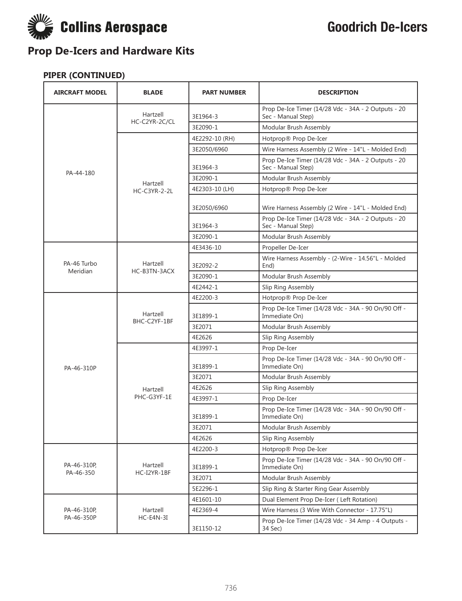

| <b>AIRCRAFT MODEL</b>   | <b>BLADE</b>             | <b>PART NUMBER</b> | <b>DESCRIPTION</b>                                                        |
|-------------------------|--------------------------|--------------------|---------------------------------------------------------------------------|
|                         | Hartzell                 | 3E1964-3           | Prop De-Ice Timer (14/28 Vdc - 34A - 2 Outputs - 20<br>Sec - Manual Step) |
|                         | HC-C2YR-2C/CL            | 3E2090-1           | Modular Brush Assembly                                                    |
|                         |                          | 4E2292-10 (RH)     | Hotprop® Prop De-Icer                                                     |
|                         |                          | 3E2050/6960        | Wire Harness Assembly (2 Wire - 14"L - Molded End)                        |
|                         |                          | 3E1964-3           | Prop De-Ice Timer (14/28 Vdc - 34A - 2 Outputs - 20<br>Sec - Manual Step) |
| PA-44-180               |                          | 3E2090-1           | Modular Brush Assembly                                                    |
|                         | Hartzell<br>HC-C3YR-2-2L | 4E2303-10 (LH)     | Hotprop® Prop De-Icer                                                     |
|                         |                          | 3E2050/6960        | Wire Harness Assembly (2 Wire - 14"L - Molded End)                        |
|                         |                          | 3E1964-3           | Prop De-Ice Timer (14/28 Vdc - 34A - 2 Outputs - 20<br>Sec - Manual Step) |
|                         |                          | 3E2090-1           | Modular Brush Assembly                                                    |
|                         |                          | 4E3436-10          | Propeller De-Icer                                                         |
| PA-46 Turbo<br>Meridian | Hartzell<br>HC-B3TN-3ACX | 3E2092-2           | Wire Harness Assembly - (2-Wire - 14.56"L - Molded<br>End)                |
|                         |                          | 3E2090-1           | Modular Brush Assembly                                                    |
|                         |                          | 4E2442-1           | Slip Ring Assembly                                                        |
|                         | Hartzell<br>BHC-C2YF-1BF | 4E2200-3           | Hotprop® Prop De-Icer                                                     |
|                         |                          | 3E1899-1           | Prop De-Ice Timer (14/28 Vdc - 34A - 90 On/90 Off -<br>Immediate On)      |
|                         |                          | 3E2071             | Modular Brush Assembly                                                    |
|                         |                          | 4E2626             | Slip Ring Assembly                                                        |
|                         |                          | 4E3997-1           | Prop De-Icer                                                              |
| PA-46-310P              |                          | 3E1899-1           | Prop De-Ice Timer (14/28 Vdc - 34A - 90 On/90 Off -<br>Immediate On)      |
|                         |                          | 3E2071             | Modular Brush Assembly                                                    |
|                         | Hartzell                 | 4E2626             | Slip Ring Assembly                                                        |
|                         | PHC-G3YF-1E              | 4E3997-1           | Prop De-Icer                                                              |
|                         |                          | 3E1899-1           | Prop De-Ice Timer (14/28 Vdc - 34A - 90 On/90 Off -<br>Immediate On)      |
|                         |                          | 3E2071             | Modular Brush Assembly                                                    |
|                         |                          | 4E2626             | Slip Ring Assembly                                                        |
|                         |                          | 4E2200-3           | Hotprop® Prop De-Icer                                                     |
| PA-46-310P,             | Hartzell<br>HC-I2YR-1BF  | 3E1899-1           | Prop De-Ice Timer (14/28 Vdc - 34A - 90 On/90 Off -<br>Immediate On)      |
| PA-46-350               |                          | 3E2071             | Modular Brush Assembly                                                    |
|                         |                          | 5E2296-1           | Slip Ring & Starter Ring Gear Assembly                                    |
|                         |                          | 4E1601-10          | Dual Element Prop De-Icer (Left Rotation)                                 |
| PA-46-310P              | Hartzell                 | 4E2369-4           | Wire Harness (3 Wire With Connector - 17.75"L)                            |
| PA-46-350P              | $HC-E4N-3I$              | 3E1150-12          | Prop De-Ice Timer (14/28 Vdc - 34 Amp - 4 Outputs -<br>34 Sec)            |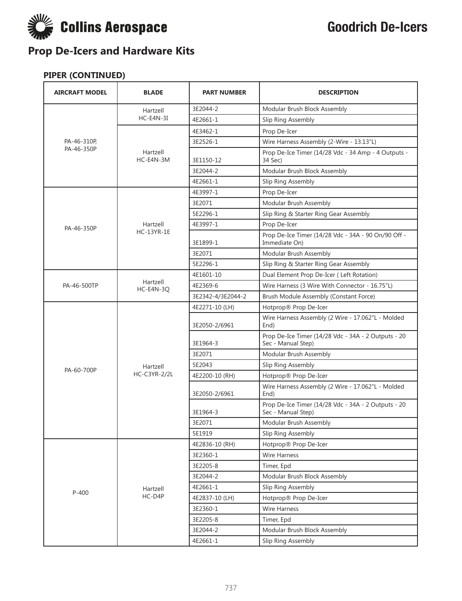

| <b>AIRCRAFT MODEL</b> | <b>BLADE</b>          | <b>PART NUMBER</b> | <b>DESCRIPTION</b>                                                        |
|-----------------------|-----------------------|--------------------|---------------------------------------------------------------------------|
|                       | Hartzell              | 3E2044-2           | Modular Brush Block Assembly                                              |
|                       | $HC-E4N-3I$           | 4E2661-1           | Slip Ring Assembly                                                        |
|                       |                       | 4E3462-1           | Prop De-Icer                                                              |
| PA-46-310P,           |                       | 3E2526-1           | Wire Harness Assembly (2-Wire - 13.13"L)                                  |
| PA-46-350P            | Hartzell<br>HC-E4N-3M | 3E1150-12          | Prop De-Ice Timer (14/28 Vdc - 34 Amp - 4 Outputs -<br>34 Sec)            |
|                       |                       | 3E2044-2           | Modular Brush Block Assembly                                              |
|                       |                       | 4E2661-1           | Slip Ring Assembly                                                        |
|                       |                       | 4E3997-1           | Prop De-Icer                                                              |
|                       |                       | 3E2071             | Modular Brush Assembly                                                    |
|                       |                       | 5E2296-1           | Slip Ring & Starter Ring Gear Assembly                                    |
| PA-46-350P            | Hartzell              | 4E3997-1           | Prop De-Icer                                                              |
|                       | <b>HC-13YR-1E</b>     | 3E1899-1           | Prop De-Ice Timer (14/28 Vdc - 34A - 90 On/90 Off -<br>Immediate On)      |
|                       |                       | 3E2071             | Modular Brush Assembly                                                    |
|                       |                       | 5E2296-1           | Slip Ring & Starter Ring Gear Assembly                                    |
|                       |                       | 4E1601-10          | Dual Element Prop De-Icer (Left Rotation)                                 |
| PA-46-500TP           | Hartzell<br>HC-E4N-3Q | 4E2369-6           | Wire Harness (3 Wire With Connector - 16.75"L)                            |
|                       |                       | 3E2342-4/3E2044-2  | Brush Module Assembly (Constant Force)                                    |
|                       |                       | 4E2271-10 (LH)     | Hotprop® Prop De-Icer                                                     |
|                       |                       | 3E2050-2/6961      | Wire Harness Assembly (2 Wire - 17.062"L - Molded<br>End)                 |
|                       |                       | 3E1964-3           | Prop De-Ice Timer (14/28 Vdc - 34A - 2 Outputs - 20<br>Sec - Manual Step) |
|                       |                       | 3E2071             | Modular Brush Assembly                                                    |
| PA-60-700P            | Hartzell              | 5E2043             | Slip Ring Assembly                                                        |
|                       | <b>HC-C3YR-2/2L</b>   | 4E2200-10 (RH)     | Hotprop® Prop De-Icer                                                     |
|                       |                       | 3E2050-2/6961      | Wire Harness Assembly (2 Wire - 17.062"L - Molded<br>End)                 |
|                       |                       | 3E1964-3           | Prop De-Ice Timer (14/28 Vdc - 34A - 2 Outputs - 20<br>Sec - Manual Step) |
|                       |                       | 3E2071             | Modular Brush Assembly                                                    |
|                       |                       | 5E1919             | Slip Ring Assembly                                                        |
|                       |                       | 4E2836-10 (RH)     | Hotprop® Prop De-Icer                                                     |
|                       |                       | 3E2360-1           | Wire Harness                                                              |
|                       |                       | 3E2205-8           | Timer, Epd                                                                |
|                       |                       | 3E2044-2           | Modular Brush Block Assembly                                              |
| $P-400$               | Hartzell              | 4E2661-1           | Slip Ring Assembly                                                        |
|                       | HC-D4P                | 4E2837-10 (LH)     | Hotprop® Prop De-Icer                                                     |
|                       |                       | 3E2360-1           | <b>Wire Harness</b>                                                       |
|                       |                       | 3E2205-8           | Timer, Epd                                                                |
|                       |                       | 3E2044-2           | Modular Brush Block Assembly                                              |
|                       |                       | 4E2661-1           | Slip Ring Assembly                                                        |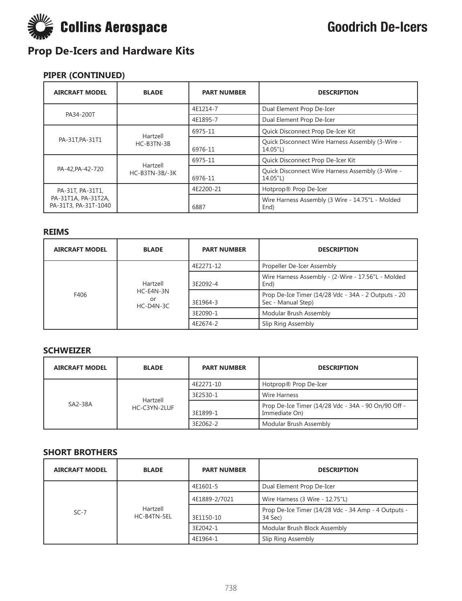

### **PIPER (CONTINUED)**

| <b>AIRCRAFT MODEL</b>                                           | <b>BLADE</b>               | <b>PART NUMBER</b> | <b>DESCRIPTION</b>                                           |
|-----------------------------------------------------------------|----------------------------|--------------------|--------------------------------------------------------------|
| PA34-200T                                                       |                            | 4E1214-7           | Dual Element Prop De-Icer                                    |
|                                                                 |                            | 4E1895-7           | Dual Element Prop De-Icer                                    |
|                                                                 | Hartzell                   | 6975-11            | Quick Disconnect Prop De-Icer Kit                            |
| PA-31T, PA-31T1                                                 | HC-B3TN-3B                 | 6976-11            | Quick Disconnect Wire Harness Assembly (3-Wire -<br>14.05"L) |
| PA-42, PA-42-720                                                | Hartzell<br>HC-B3TN-3B/-3K | 6975-11            | Quick Disconnect Prop De-Icer Kit                            |
|                                                                 |                            | 6976-11            | Quick Disconnect Wire Harness Assembly (3-Wire -<br>14.05"L) |
| PA-31T, PA-31T1,<br>PA-31T1A, PA-31T2A,<br>PA-31T3, PA-31T-1040 |                            | 4E2200-21          | Hotprop® Prop De-Icer                                        |
|                                                                 |                            | 6887               | Wire Harness Assembly (3 Wire - 14.75"L - Molded<br>End)     |

#### **REIMS**

| <b>AIRCRAFT MODEL</b> | <b>BLADE</b>                               | <b>PART NUMBER</b> | <b>DESCRIPTION</b>                                                        |
|-----------------------|--------------------------------------------|--------------------|---------------------------------------------------------------------------|
| F406                  | Hartzell<br>HC-E4N-3N<br>or<br>$HC-D4N-3C$ | 4E2271-12          | Propeller De-Icer Assembly                                                |
|                       |                                            | 3E2092-4           | Wire Harness Assembly - (2-Wire - 17.56"L - Molded<br>End)                |
|                       |                                            | 3E1964-3           | Prop De-Ice Timer (14/28 Vdc - 34A - 2 Outputs - 20<br>Sec - Manual Step) |
|                       |                                            | 3E2090-1           | Modular Brush Assembly                                                    |
|                       |                                            | 4E2674-2           | Slip Ring Assembly                                                        |

#### **SCHWEIZER**

| <b>AIRCRAFT MODEL</b> | <b>BLADE</b>             | <b>PART NUMBER</b> | <b>DESCRIPTION</b>                                                   |
|-----------------------|--------------------------|--------------------|----------------------------------------------------------------------|
| SA2-38A               | Hartzell<br>HC-C3YN-2LUF | 4E2271-10          | Hotprop® Prop De-Icer                                                |
|                       |                          | 3E2530-1           | Wire Harness                                                         |
|                       |                          | 3E1899-1           | Prop De-Ice Timer (14/28 Vdc - 34A - 90 On/90 Off -<br>Immediate On) |
|                       |                          | 3E2062-2           | Modular Brush Assembly                                               |

#### **SHORT BROTHERS**

| <b>AIRCRAFT MODEL</b> | <b>BLADE</b>            | <b>PART NUMBER</b> | <b>DESCRIPTION</b>                                             |
|-----------------------|-------------------------|--------------------|----------------------------------------------------------------|
| $SC-7$                | Hartzell<br>HC-B4TN-5EL | 4E1601-5           | Dual Element Prop De-Icer                                      |
|                       |                         | 4E1889-2/7021      | Wire Harness (3 Wire - 12.75"L)                                |
|                       |                         | 3E1150-10          | Prop De-Ice Timer (14/28 Vdc - 34 Amp - 4 Outputs -<br>34 Sec) |
|                       |                         | 3E2042-1           | Modular Brush Block Assembly                                   |
|                       |                         | 4E1964-1           | Slip Ring Assembly                                             |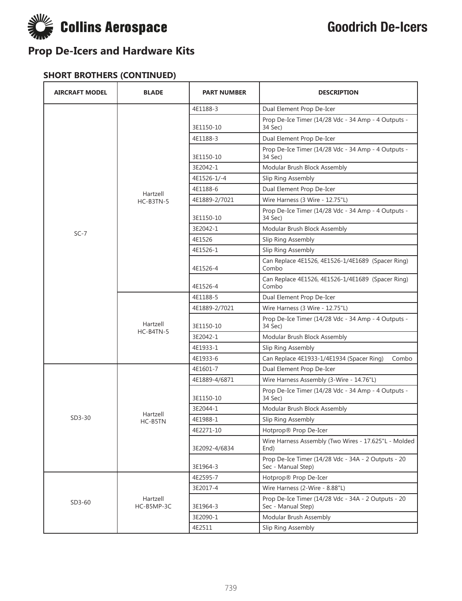

#### **SHORT BROTHERS (CONTINUED)**

| <b>AIRCRAFT MODEL</b> | <b>BLADE</b>           | <b>PART NUMBER</b> | <b>DESCRIPTION</b>                                                        |
|-----------------------|------------------------|--------------------|---------------------------------------------------------------------------|
|                       |                        | 4E1188-3           | Dual Element Prop De-Icer                                                 |
|                       |                        | 3E1150-10          | Prop De-Ice Timer (14/28 Vdc - 34 Amp - 4 Outputs -<br>34 Sec)            |
|                       |                        | 4E1188-3           | Dual Element Prop De-Icer                                                 |
|                       |                        | 3E1150-10          | Prop De-Ice Timer (14/28 Vdc - 34 Amp - 4 Outputs -<br>34 Sec)            |
|                       |                        | 3E2042-1           | Modular Brush Block Assembly                                              |
|                       |                        | 4E1526-1/-4        | Slip Ring Assembly                                                        |
|                       | Hartzell               | 4E1188-6           | Dual Element Prop De-Icer                                                 |
|                       | HC-B3TN-5              | 4E1889-2/7021      | Wire Harness (3 Wire - 12.75"L)                                           |
|                       |                        | 3E1150-10          | Prop De-Ice Timer (14/28 Vdc - 34 Amp - 4 Outputs -<br>34 Sec)            |
| $SC-7$                |                        | 3E2042-1           | Modular Brush Block Assembly                                              |
|                       |                        | 4E1526             | Slip Ring Assembly                                                        |
|                       |                        | 4E1526-1           | Slip Ring Assembly                                                        |
|                       |                        | 4E1526-4           | Can Replace 4E1526, 4E1526-1/4E1689 (Spacer Ring)<br>Combo                |
|                       |                        | 4E1526-4           | Can Replace 4E1526, 4E1526-1/4E1689 (Spacer Ring)<br>Combo                |
|                       | Hartzell<br>HC-B4TN-5  | 4E1188-5           | Dual Element Prop De-Icer                                                 |
|                       |                        | 4E1889-2/7021      | Wire Harness (3 Wire - 12.75"L)                                           |
|                       |                        | 3E1150-10          | Prop De-Ice Timer (14/28 Vdc - 34 Amp - 4 Outputs -<br>34 Sec)            |
|                       |                        | 3E2042-1           | Modular Brush Block Assembly                                              |
|                       |                        | 4E1933-1           | Slip Ring Assembly                                                        |
|                       |                        | 4E1933-6           | Can Replace 4E1933-1/4E1934 (Spacer Ring)<br>Combo                        |
|                       |                        | 4E1601-7           | Dual Element Prop De-Icer                                                 |
|                       |                        | 4E1889-4/6871      | Wire Harness Assembly (3-Wire - 14.76"L)                                  |
|                       |                        | 3E1150-10          | Prop De-Ice Timer (14/28 Vdc - 34 Amp - 4 Outputs -<br>34 Sec)            |
|                       | Hartzell               | 3E2044-1           | Modular Brush Block Assembly                                              |
| $SD3-30$              | HC-B5TN                | 4E1988-1           | Slip Ring Assembly                                                        |
|                       |                        | 4E2271-10          | Hotprop® Prop De-Icer                                                     |
|                       |                        | 3E2092-4/6834      | Wire Harness Assembly (Two Wires - 17.625"L - Molded<br>End)              |
|                       |                        | 3E1964-3           | Prop De-Ice Timer (14/28 Vdc - 34A - 2 Outputs - 20<br>Sec - Manual Step) |
|                       |                        | 4E2595-7           | Hotprop® Prop De-Icer                                                     |
|                       |                        | 3E2017-4           | Wire Harness (2-Wire - 8.88"L)                                            |
| $SD3-60$              | Hartzell<br>HC-B5MP-3C | 3E1964-3           | Prop De-Ice Timer (14/28 Vdc - 34A - 2 Outputs - 20<br>Sec - Manual Step) |
|                       |                        | 3E2090-1           | Modular Brush Assembly                                                    |
|                       |                        | 4E2511             | Slip Ring Assembly                                                        |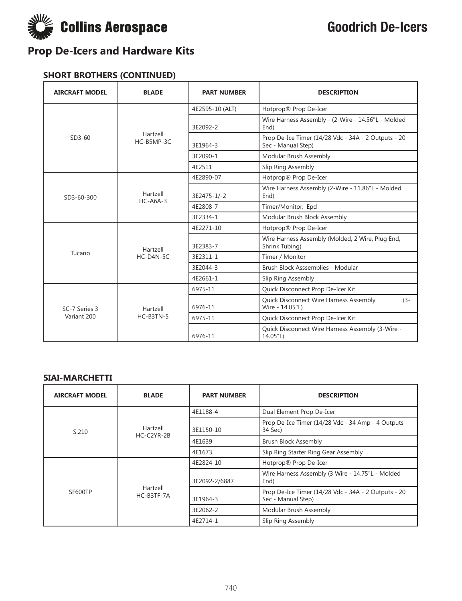

#### **SHORT BROTHERS (CONTINUED)**

| <b>AIRCRAFT MODEL</b>        | <b>BLADE</b>             | <b>PART NUMBER</b> | <b>DESCRIPTION</b>                                                        |
|------------------------------|--------------------------|--------------------|---------------------------------------------------------------------------|
| $SD3-60$                     | Hartzell<br>$HC-BSMP-3C$ | 4E2595-10 (ALT)    | Hotprop® Prop De-Icer                                                     |
|                              |                          | 3E2092-2           | Wire Harness Assembly - (2-Wire - 14.56"L - Molded<br>End)                |
|                              |                          | 3E1964-3           | Prop De-Ice Timer (14/28 Vdc - 34A - 2 Outputs - 20<br>Sec - Manual Step) |
|                              |                          | 3E2090-1           | Modular Brush Assembly                                                    |
|                              |                          | 4E2511             | Slip Ring Assembly                                                        |
| SD3-60-300                   | Hartzell<br>$HC-AGA-3$   | 4E2890-07          | Hotprop® Prop De-Icer                                                     |
|                              |                          | 3E2475-1/-2        | Wire Harness Assembly (2-Wire - 11.86"L - Molded<br>End)                  |
|                              |                          | 4E2808-7           | Timer/Monitor, Epd                                                        |
|                              |                          | 3E2334-1           | Modular Brush Block Assembly                                              |
|                              | Hartzell<br>$HC-D4N-5C$  | 4E2271-10          | Hotprop® Prop De-Icer                                                     |
| Tucano                       |                          | 3E2383-7           | Wire Harness Assembly (Molded, 2 Wire, Plug End,<br>Shrink Tubing)        |
|                              |                          | 3E2311-1           | Timer / Monitor                                                           |
|                              |                          | 3E2044-3           | Brush Block Asssemblies - Modular                                         |
|                              |                          | 4E2661-1           | Slip Ring Assembly                                                        |
| SC-7 Series 3<br>Variant 200 | Hartzell<br>HC-B3TN-5    | 6975-11            | Quick Disconnect Prop De-Icer Kit                                         |
|                              |                          | 6976-11            | Quick Disconnect Wire Harness Assembly<br>$(3 -$<br>Wire - 14.05"L)       |
|                              |                          | 6975-11            | Quick Disconnect Prop De-Icer Kit                                         |
|                              |                          | 6976-11            | Quick Disconnect Wire Harness Assembly (3-Wire -<br>14.05"L)              |

#### **SIAI-MARCHETTI**

| <b>AIRCRAFT MODEL</b> | <b>BLADE</b>             | <b>PART NUMBER</b> | <b>DESCRIPTION</b>                                                        |
|-----------------------|--------------------------|--------------------|---------------------------------------------------------------------------|
| S.210                 | Hartzell<br>$HC-C2YR-2B$ | 4E1188-4           | Dual Element Prop De-Icer                                                 |
|                       |                          | 3E1150-10          | Prop De-Ice Timer (14/28 Vdc - 34 Amp - 4 Outputs -<br>34 Sec)            |
|                       |                          | 4E1639             | <b>Brush Block Assembly</b>                                               |
|                       |                          | 4E1673             | Slip Ring Starter Ring Gear Assembly                                      |
| SF600TP               | Hartzell<br>HC-B3TF-7A   | 4E2824-10          | Hotprop® Prop De-Icer                                                     |
|                       |                          | 3E2092-2/6887      | Wire Harness Assembly (3 Wire - 14.75"L - Molded<br>End)                  |
|                       |                          | 3E1964-3           | Prop De-Ice Timer (14/28 Vdc - 34A - 2 Outputs - 20<br>Sec - Manual Step) |
|                       |                          | 3E2062-2           | Modular Brush Assembly                                                    |
|                       |                          | 4E2714-1           | Slip Ring Assembly                                                        |